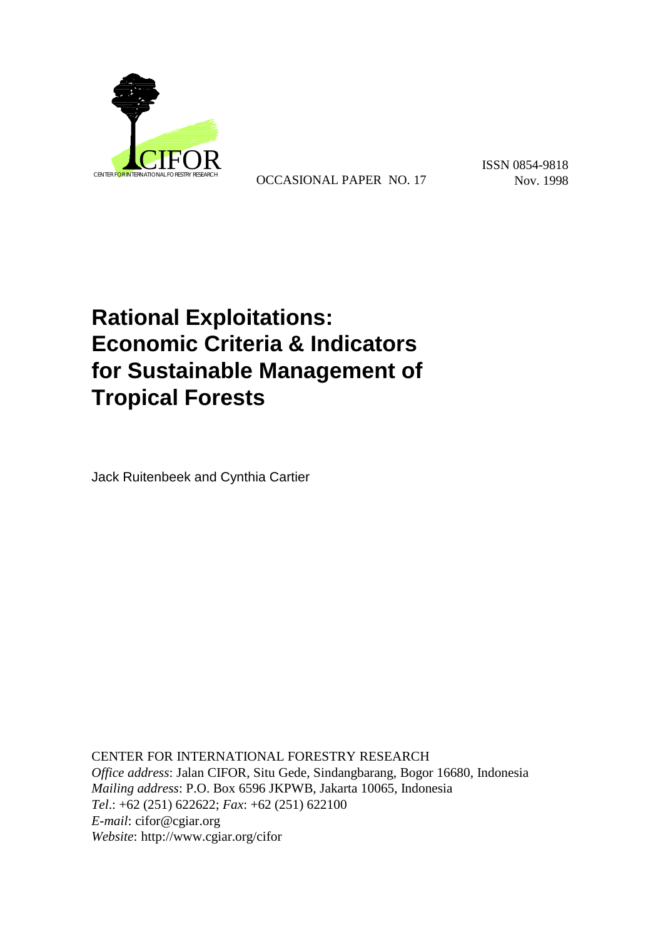

OCCASIONAL PAPER NO. 17 Nov. 1998

ISSN 0854-9818

# **Rational Exploitations: Economic Criteria & Indicators for Sustainable Management of Tropical Forests**

Jack Ruitenbeek and Cynthia Cartier

CENTER FOR INTERNATIONAL FORESTRY RESEARCH *Office address*: Jalan CIFOR, Situ Gede, Sindangbarang, Bogor 16680, Indonesia *Mailing address*: P.O. Box 6596 JKPWB, Jakarta 10065, Indonesia *Tel*.: +62 (251) 622622; *Fax*: +62 (251) 622100 *E-mail*: cifor@cgiar.org *Website*: http://www.cgiar.org/cifor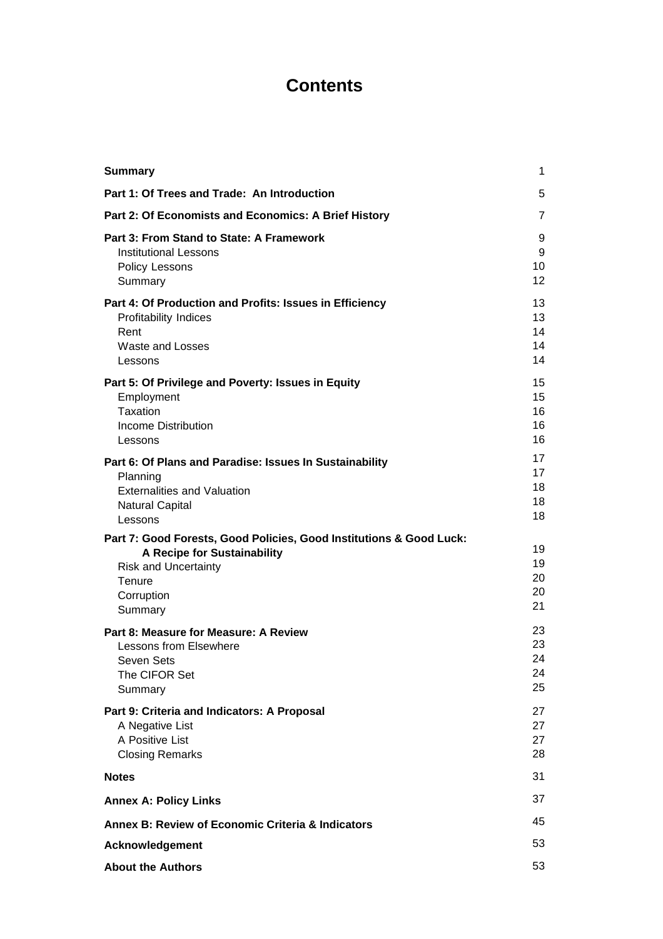# **Contents**

| <b>Summary</b>                                                                                                                                                       | 1                               |
|----------------------------------------------------------------------------------------------------------------------------------------------------------------------|---------------------------------|
| Part 1: Of Trees and Trade: An Introduction                                                                                                                          | 5                               |
| Part 2: Of Economists and Economics: A Brief History                                                                                                                 | $\overline{7}$                  |
| Part 3: From Stand to State: A Framework<br><b>Institutional Lessons</b><br>Policy Lessons<br>Summary                                                                | 9<br>9<br>10<br>12 <sup>2</sup> |
| Part 4: Of Production and Profits: Issues in Efficiency<br><b>Profitability Indices</b><br>Rent<br><b>Waste and Losses</b><br>Lessons                                | 13<br>13<br>14<br>14<br>14      |
| Part 5: Of Privilege and Poverty: Issues in Equity<br>Employment<br>Taxation<br><b>Income Distribution</b><br>Lessons                                                | 15<br>15<br>16<br>16<br>16      |
| Part 6: Of Plans and Paradise: Issues In Sustainability<br>Planning<br><b>Externalities and Valuation</b><br><b>Natural Capital</b><br>Lessons                       | 17<br>17<br>18<br>18<br>18      |
| Part 7: Good Forests, Good Policies, Good Institutions & Good Luck:<br>A Recipe for Sustainability<br><b>Risk and Uncertainty</b><br>Tenure<br>Corruption<br>Summary | 19<br>19<br>20<br>20<br>21      |
| Part 8: Measure for Measure: A Review<br><b>Lessons from Elsewhere</b><br>Seven Sets<br>The CIFOR Set<br>Summary                                                     | 23<br>23<br>24<br>24<br>25      |
| Part 9: Criteria and Indicators: A Proposal<br>A Negative List<br>A Positive List<br><b>Closing Remarks</b>                                                          | 27<br>27<br>27<br>28            |
| <b>Notes</b>                                                                                                                                                         | 31                              |
| <b>Annex A: Policy Links</b>                                                                                                                                         | 37                              |
| Annex B: Review of Economic Criteria & Indicators                                                                                                                    | 45                              |
| Acknowledgement                                                                                                                                                      | 53                              |
| <b>About the Authors</b>                                                                                                                                             | 53                              |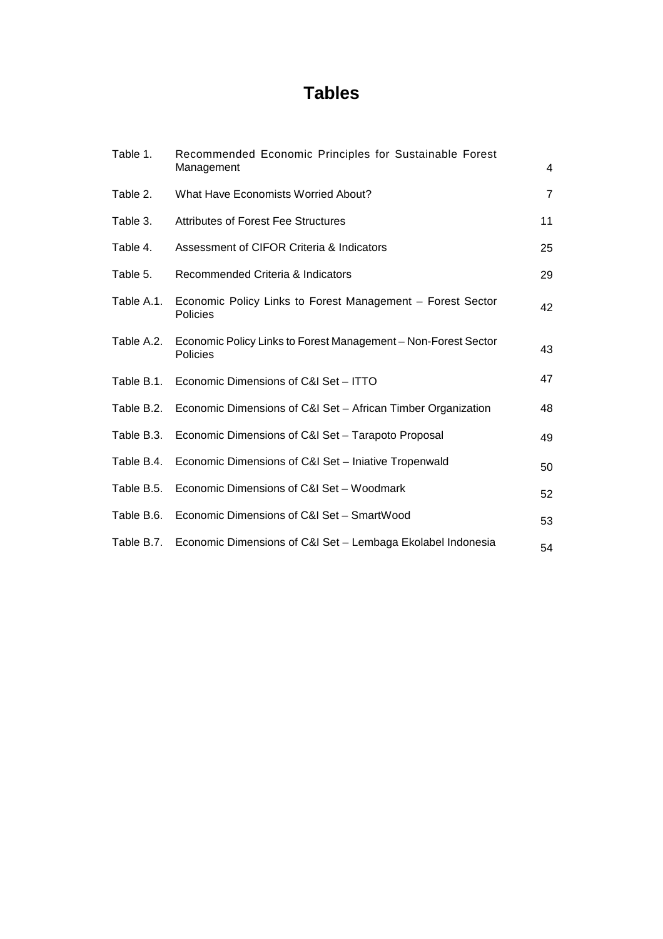# **Tables**

| Table 1.   | Recommended Economic Principles for Sustainable Forest                     |                |
|------------|----------------------------------------------------------------------------|----------------|
|            | Management                                                                 | 4              |
| Table 2.   | What Have Economists Worried About?                                        | $\overline{7}$ |
| Table 3.   | <b>Attributes of Forest Fee Structures</b>                                 | 11             |
| Table 4.   | Assessment of CIFOR Criteria & Indicators                                  | 25             |
| Table 5.   | Recommended Criteria & Indicators                                          | 29             |
| Table A.1. | Economic Policy Links to Forest Management - Forest Sector<br>Policies     | 42             |
| Table A.2. | Economic Policy Links to Forest Management - Non-Forest Sector<br>Policies | 43             |
| Table B.1. | Economic Dimensions of C&I Set - ITTO                                      | 47             |
| Table B.2. | Economic Dimensions of C&I Set - African Timber Organization               | 48             |
| Table B.3. | Economic Dimensions of C&I Set - Tarapoto Proposal                         | 49             |
| Table B.4. | Economic Dimensions of C&I Set - Iniative Tropenwald                       | 50             |
| Table B.5. | Economic Dimensions of C&I Set - Woodmark                                  | 52             |
| Table B.6. | Economic Dimensions of C&I Set - SmartWood                                 | 53             |
| Table B.7. | Economic Dimensions of C&I Set - Lembaga Ekolabel Indonesia                | 54             |
|            |                                                                            |                |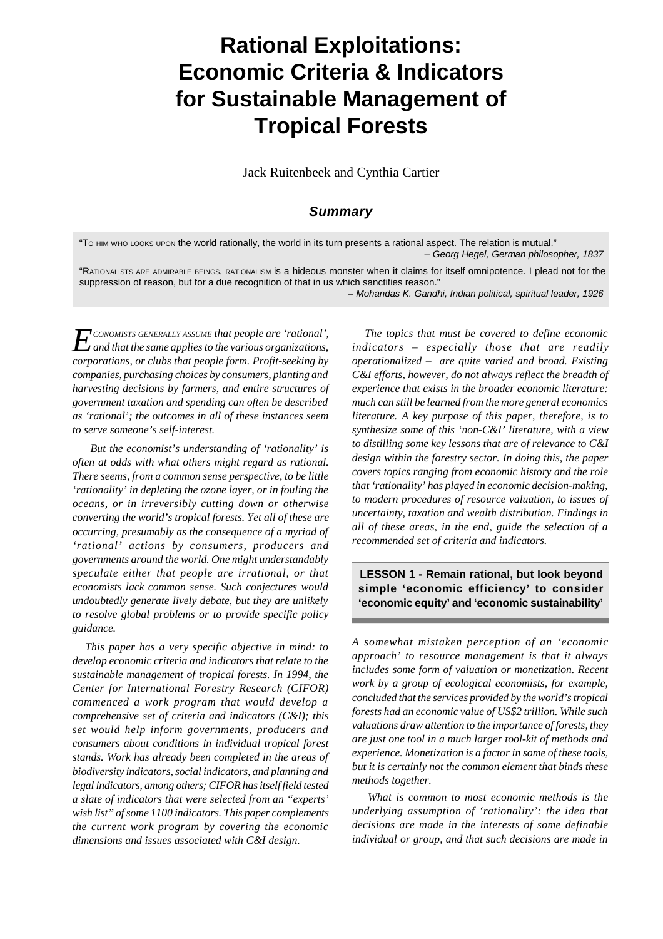# **Rational Exploitations: Economic Criteria & Indicators for Sustainable Management of Tropical Forests**

Jack Ruitenbeek and Cynthia Cartier

## *Summary*

"TO HIM WHO LOOKS UPON the world rationally, the world in its turn presents a rational aspect. The relation is mutual." *– Georg Hegel, German philosopher, 1837*

"RATIONALISTS ARE ADMIRABLE BEINGS, RATIONALISM is a hideous monster when it claims for itself omnipotence. I plead not for the suppression of reason, but for a due recognition of that in us which sanctifies reason."

– *Mohandas K. Gandhi, Indian political, spiritual leader, 1926*

*E and that the same applies to the various organizations, CONOMISTS GENERALLY ASSUME that people are 'rational', corporations, or clubs that people form. Profit-seeking by companies, purchasing choices by consumers, planting and harvesting decisions by farmers, and entire structures of government taxation and spending can often be described as 'rational'; the outcomes in all of these instances seem to serve someone's self-interest.*

 *But the economist's understanding of 'rationality' is often at odds with what others might regard as rational. There seems, from a common sense perspective, to be little 'rationality' in depleting the ozone layer, or in fouling the oceans, or in irreversibly cutting down or otherwise converting the world's tropical forests. Yet all of these are occurring, presumably as the consequence of a myriad of 'rational' actions by consumers, producers and governments around the world. One might understandably speculate either that people are irrational, or that economists lack common sense. Such conjectures would undoubtedly generate lively debate, but they are unlikely to resolve global problems or to provide specific policy guidance.*

 *This paper has a very specific objective in mind: to develop economic criteria and indicators that relate to the sustainable management of tropical forests. In 1994, the Center for International Forestry Research (CIFOR) commenced a work program that would develop a comprehensive set of criteria and indicators (C&I); this set would help inform governments, producers and consumers about conditions in individual tropical forest stands. Work has already been completed in the areas of biodiversity indicators, social indicators, and planning and legal indicators, among others; CIFOR has itself field tested a slate of indicators that were selected from an "experts' wish list" of some 1100 indicators. This paper complements the current work program by covering the economic dimensions and issues associated with C&I design.*

 *The topics that must be covered to define economic indicators – especially those that are readily operationalized – are quite varied and broad. Existing C&I efforts, however, do not always reflect the breadth of experience that exists in the broader economic literature: much can still be learned from the more general economics literature. A key purpose of this paper, therefore, is to synthesize some of this 'non-C&I' literature, with a view to distilling some key lessons that are of relevance to C&I design within the forestry sector. In doing this, the paper covers topics ranging from economic history and the role that 'rationality' has played in economic decision-making, to modern procedures of resource valuation, to issues of uncertainty, taxation and wealth distribution. Findings in all of these areas, in the end, guide the selection of a recommended set of criteria and indicators.*

**LESSON 1 - Remain rational, but look beyond simple 'economic efficiency' to consider 'economic equity' and 'economic sustainability'**

*A somewhat mistaken perception of an 'economic approach' to resource management is that it always includes some form of valuation or monetization. Recent work by a group of ecological economists, for example, concluded that the services provided by the world's tropical forests had an economic value of US\$2 trillion. While such valuations draw attention to the importance of forests, they are just one tool in a much larger tool-kit of methods and experience. Monetization is a factor in some of these tools, but it is certainly not the common element that binds these methods together.*

*What is common to most economic methods is the underlying assumption of 'rationality': the idea that decisions are made in the interests of some definable individual or group, and that such decisions are made in*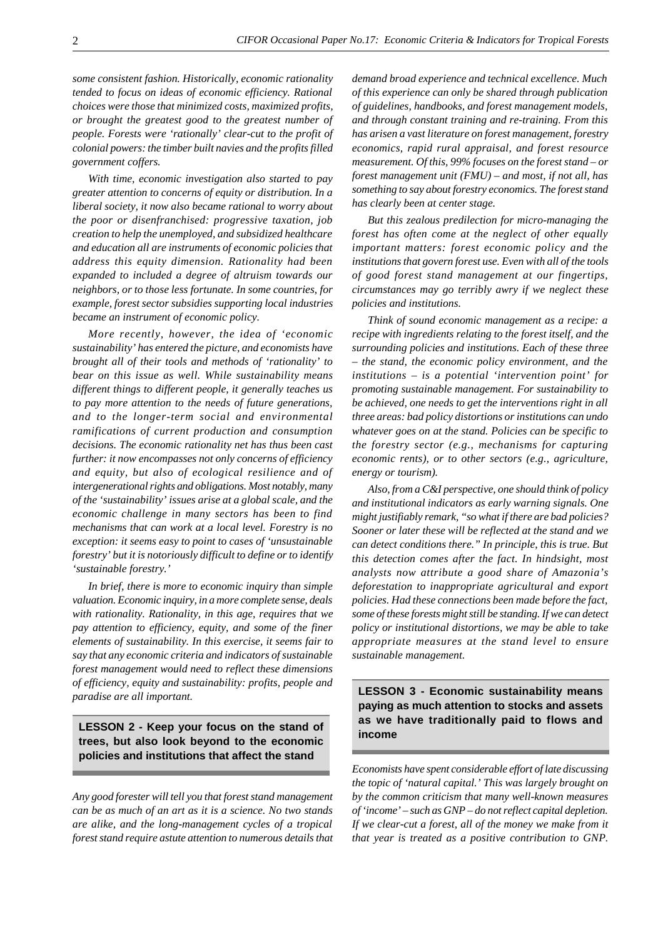*some consistent fashion. Historically, economic rationality tended to focus on ideas of economic efficiency. Rational choices were those that minimized costs, maximized profits, or brought the greatest good to the greatest number of people. Forests were 'rationally' clear-cut to the profit of colonial powers: the timber built navies and the profits filled government coffers.*

*With time, economic investigation also started to pay greater attention to concerns of equity or distribution. In a liberal society, it now also became rational to worry about the poor or disenfranchised: progressive taxation, job creation to help the unemployed, and subsidized healthcare and education all are instruments of economic policies that address this equity dimension. Rationality had been expanded to included a degree of altruism towards our neighbors, or to those less fortunate. In some countries, for example, forest sector subsidies supporting local industries became an instrument of economic policy.*

*More recently, however, the idea of 'economic sustainability' has entered the picture, and economists have brought all of their tools and methods of 'rationality' to bear on this issue as well. While sustainability means different things to different people, it generally teaches us to pay more attention to the needs of future generations, and to the longer-term social and environmental ramifications of current production and consumption decisions. The economic rationality net has thus been cast further: it now encompasses not only concerns of efficiency and equity, but also of ecological resilience and of intergenerational rights and obligations. Most notably, many of the 'sustainability' issues arise at a global scale, and the economic challenge in many sectors has been to find mechanisms that can work at a local level. Forestry is no exception: it seems easy to point to cases of 'unsustainable forestry' but it is notoriously difficult to define or to identify 'sustainable forestry.'*

*In brief, there is more to economic inquiry than simple valuation. Economic inquiry, in a more complete sense, deals with rationality. Rationality, in this age, requires that we pay attention to efficiency, equity, and some of the finer elements of sustainability. In this exercise, it seems fair to say that any economic criteria and indicators of sustainable forest management would need to reflect these dimensions of efficiency, equity and sustainability: profits, people and paradise are all important.*

**LESSON 2 - Keep your focus on the stand of trees, but also look beyond to the economic policies and institutions that affect the stand**

*Any good forester will tell you that forest stand management can be as much of an art as it is a science. No two stands are alike, and the long-management cycles of a tropical forest stand require astute attention to numerous details that*

*demand broad experience and technical excellence. Much of this experience can only be shared through publication of guidelines, handbooks, and forest management models, and through constant training and re-training. From this has arisen a vast literature on forest management, forestry economics, rapid rural appraisal, and forest resource measurement. Of this, 99% focuses on the forest stand – or forest management unit (FMU) – and most, if not all, has something to say about forestry economics. The forest stand has clearly been at center stage.*

*But this zealous predilection for micro-managing the forest has often come at the neglect of other equally important matters: forest economic policy and the institutions that govern forest use. Even with all of the tools of good forest stand management at our fingertips, circumstances may go terribly awry if we neglect these policies and institutions.*

*Think of sound economic management as a recipe: a recipe with ingredients relating to the forest itself, and the surrounding policies and institutions. Each of these three – the stand, the economic policy environment, and the institutions – is a potential 'intervention point' for promoting sustainable management. For sustainability to be achieved, one needs to get the interventions right in all three areas: bad policy distortions or institutions can undo whatever goes on at the stand. Policies can be specific to the forestry sector (e.g., mechanisms for capturing economic rents), or to other sectors (e.g., agriculture, energy or tourism).*

*Also, from a C&I perspective, one should think of policy and institutional indicators as early warning signals. One might justifiably remark, "so what if there are bad policies? Sooner or later these will be reflected at the stand and we can detect conditions there." In principle, this is true. But this detection comes after the fact. In hindsight, most analysts now attribute a good share of Amazonia's deforestation to inappropriate agricultural and export policies. Had these connections been made before the fact, some of these forests might still be standing. If we can detect policy or institutional distortions, we may be able to take appropriate measures at the stand level to ensure sustainable management.*

**LESSON 3 - Economic sustainability means paying as much attention to stocks and assets as we have traditionally paid to flows and income**

*Economists have spent considerable effort of late discussing the topic of 'natural capital.' This was largely brought on by the common criticism that many well-known measures of 'income' – such as GNP – do not reflect capital depletion. If we clear-cut a forest, all of the money we make from it that year is treated as a positive contribution to GNP.*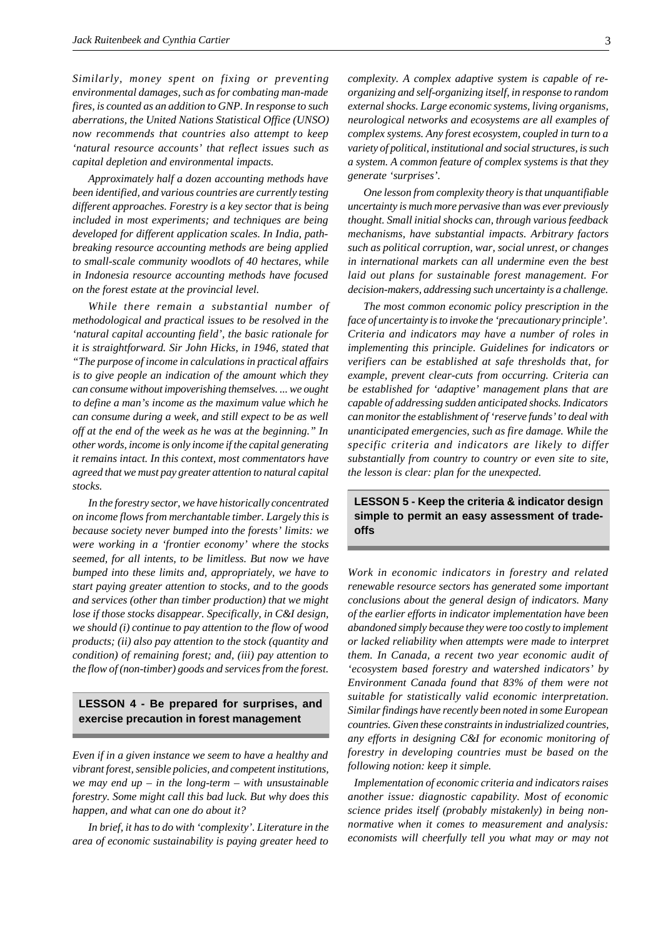*Similarly, money spent on fixing or preventing environmental damages, such as for combating man-made fires, is counted as an addition to GNP. In response to such aberrations, the United Nations Statistical Office (UNSO) now recommends that countries also attempt to keep 'natural resource accounts' that reflect issues such as capital depletion and environmental impacts.*

*Approximately half a dozen accounting methods have been identified, and various countries are currently testing different approaches. Forestry is a key sector that is being included in most experiments; and techniques are being developed for different application scales. In India, pathbreaking resource accounting methods are being applied to small-scale community woodlots of 40 hectares, while in Indonesia resource accounting methods have focused on the forest estate at the provincial level.*

*While there remain a substantial number of methodological and practical issues to be resolved in the 'natural capital accounting field', the basic rationale for it is straightforward. Sir John Hicks, in 1946, stated that "The purpose of income in calculations in practical affairs is to give people an indication of the amount which they can consume without impoverishing themselves. ... we ought to define a man's income as the maximum value which he can consume during a week, and still expect to be as well off at the end of the week as he was at the beginning." In other words, income is only income if the capital generating it remains intact. In this context, most commentators have agreed that we must pay greater attention to natural capital stocks.*

*In the forestry sector, we have historically concentrated on income flows from merchantable timber. Largely this is because society never bumped into the forests' limits: we were working in a 'frontier economy' where the stocks seemed, for all intents, to be limitless. But now we have bumped into these limits and, appropriately, we have to start paying greater attention to stocks, and to the goods and services (other than timber production) that we might lose if those stocks disappear. Specifically, in C&I design, we should (i) continue to pay attention to the flow of wood products; (ii) also pay attention to the stock (quantity and condition) of remaining forest; and, (iii) pay attention to the flow of (non-timber) goods and services from the forest.*

## **LESSON 4 - Be prepared for surprises, and exercise precaution in forest management**

*Even if in a given instance we seem to have a healthy and vibrant forest, sensible policies, and competent institutions, we may end up – in the long-term – with unsustainable forestry. Some might call this bad luck. But why does this happen, and what can one do about it?*

*In brief, it has to do with 'complexity'. Literature in the area of economic sustainability is paying greater heed to* *complexity. A complex adaptive system is capable of reorganizing and self-organizing itself, in response to random external shocks. Large economic systems, living organisms, neurological networks and ecosystems are all examples of complex systems. Any forest ecosystem, coupled in turn to a variety of political, institutional and social structures, is such a system. A common feature of complex systems is that they generate 'surprises'.*

*One lesson from complexity theory is that unquantifiable uncertainty is much more pervasive than was ever previously thought. Small initial shocks can, through various feedback mechanisms, have substantial impacts. Arbitrary factors such as political corruption, war, social unrest, or changes in international markets can all undermine even the best laid out plans for sustainable forest management. For decision-makers, addressing such uncertainty is a challenge.*

*The most common economic policy prescription in the face of uncertainty is to invoke the 'precautionary principle'. Criteria and indicators may have a number of roles in implementing this principle. Guidelines for indicators or verifiers can be established at safe thresholds that, for example, prevent clear-cuts from occurring. Criteria can be established for 'adaptive' management plans that are capable of addressing sudden anticipated shocks. Indicators can monitor the establishment of 'reserve funds' to deal with unanticipated emergencies, such as fire damage. While the specific criteria and indicators are likely to differ substantially from country to country or even site to site, the lesson is clear: plan for the unexpected.*

**LESSON 5 - Keep the criteria & indicator design simple to permit an easy assessment of tradeoffs**

*Work in economic indicators in forestry and related renewable resource sectors has generated some important conclusions about the general design of indicators. Many of the earlier efforts in indicator implementation have been abandoned simply because they were too costly to implement or lacked reliability when attempts were made to interpret them. In Canada, a recent two year economic audit of 'ecosystem based forestry and watershed indicators' by Environment Canada found that 83% of them were not suitable for statistically valid economic interpretation. Similar findings have recently been noted in some European countries. Given these constraints in industrialized countries, any efforts in designing C&I for economic monitoring of forestry in developing countries must be based on the following notion: keep it simple.*

 *Implementation of economic criteria and indicators raises another issue: diagnostic capability. Most of economic science prides itself (probably mistakenly) in being nonnormative when it comes to measurement and analysis: economists will cheerfully tell you what may or may not*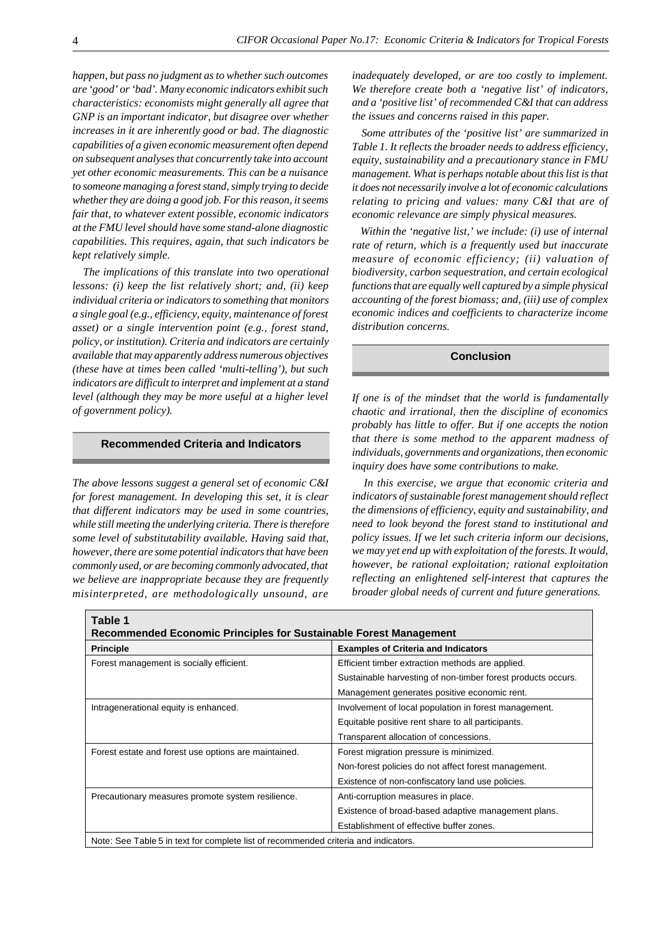*happen, but pass no judgment as to whether such outcomes are 'good' or 'bad'. Many economic indicators exhibit such characteristics: economists might generally all agree that GNP is an important indicator, but disagree over whether increases in it are inherently good or bad. The diagnostic capabilities of a given economic measurement often depend on subsequent analyses that concurrently take into account yet other economic measurements. This can be a nuisance to someone managing a forest stand, simply trying to decide whether they are doing a good job. For this reason, it seems fair that, to whatever extent possible, economic indicators at the FMU level should have some stand-alone diagnostic capabilities. This requires, again, that such indicators be kept relatively simple.*

 *The implications of this translate into two operational lessons: (i) keep the list relatively short; and, (ii) keep individual criteria or indicators to something that monitors a single goal (e.g., efficiency, equity, maintenance of forest asset) or a single intervention point (e.g., forest stand, policy, or institution). Criteria and indicators are certainly available that may apparently address numerous objectives (these have at times been called 'multi-telling'), but such indicators are difficult to interpret and implement at a stand level (although they may be more useful at a higher level of government policy).*

#### **Recommended Criteria and Indicators**

*The above lessons suggest a general set of economic C&I for forest management. In developing this set, it is clear that different indicators may be used in some countries, while still meeting the underlying criteria. There is therefore some level of substitutability available. Having said that, however, there are some potential indicators that have been commonly used, or are becoming commonly advocated, that we believe are inappropriate because they are frequently misinterpreted, are methodologically unsound, are* *inadequately developed, or are too costly to implement. We therefore create both a 'negative list' of indicators, and a 'positive list' of recommended C&I that can address the issues and concerns raised in this paper.*

 *Some attributes of the 'positive list' are summarized in Table 1. It reflects the broader needs to address efficiency, equity, sustainability and a precautionary stance in FMU management. What is perhaps notable about this list is that it does not necessarily involve a lot of economic calculations relating to pricing and values: many C&I that are of economic relevance are simply physical measures.*

 *Within the 'negative list,' we include: (i) use of internal rate of return, which is a frequently used but inaccurate measure of economic efficiency; (ii) valuation of biodiversity, carbon sequestration, and certain ecological functions that are equally well captured by a simple physical accounting of the forest biomass; and, (iii) use of complex economic indices and coefficients to characterize income distribution concerns.*

#### **Conclusion**

*If one is of the mindset that the world is fundamentally chaotic and irrational, then the discipline of economics probably has little to offer. But if one accepts the notion that there is some method to the apparent madness of individuals, governments and organizations, then economic inquiry does have some contributions to make.*

 *In this exercise, we argue that economic criteria and indicators of sustainable forest management should reflect the dimensions of efficiency, equity and sustainability, and need to look beyond the forest stand to institutional and policy issues. If we let such criteria inform our decisions, we may yet end up with exploitation of the forests. It would, however, be rational exploitation; rational exploitation reflecting an enlightened self-interest that captures the broader global needs of current and future generations.*

| Table 1<br><b>Recommended Economic Principles for Sustainable Forest Management</b> |                                                              |
|-------------------------------------------------------------------------------------|--------------------------------------------------------------|
| <b>Principle</b>                                                                    | <b>Examples of Criteria and Indicators</b>                   |
| Forest management is socially efficient.                                            | Efficient timber extraction methods are applied.             |
|                                                                                     | Sustainable harvesting of non-timber forest products occurs. |
|                                                                                     | Management generates positive economic rent.                 |
| Intragenerational equity is enhanced.                                               | Involvement of local population in forest management.        |
|                                                                                     | Equitable positive rent share to all participants.           |
|                                                                                     | Transparent allocation of concessions.                       |
| Forest estate and forest use options are maintained.                                | Forest migration pressure is minimized.                      |
|                                                                                     | Non-forest policies do not affect forest management.         |
|                                                                                     | Existence of non-confiscatory land use policies.             |
| Precautionary measures promote system resilience.                                   | Anti-corruption measures in place.                           |
|                                                                                     | Existence of broad-based adaptive management plans.          |
|                                                                                     | Establishment of effective buffer zones.                     |
| Note: See Table 5 in text for complete list of recommended criteria and indicators. |                                                              |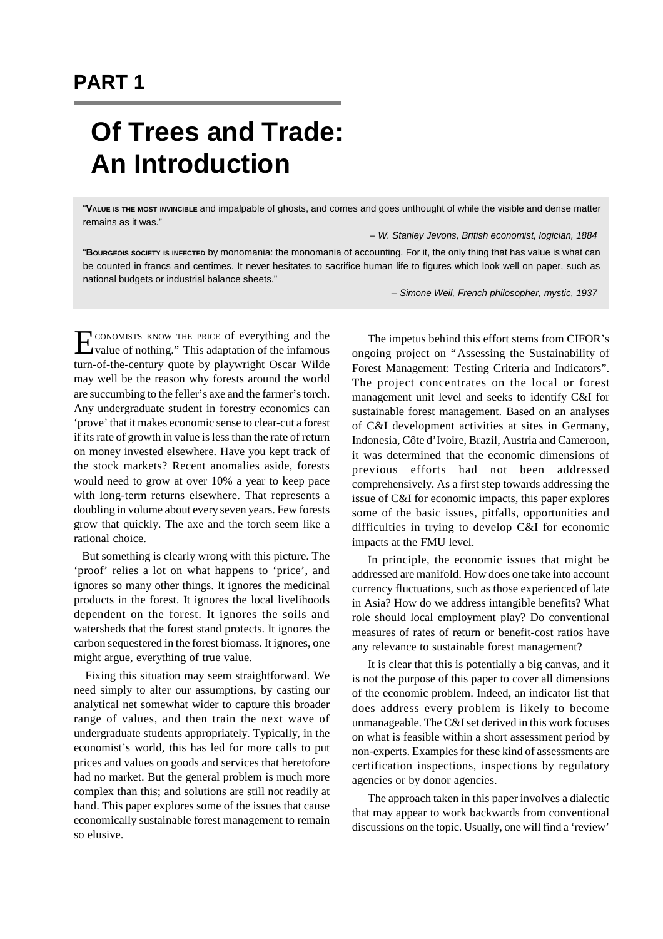# **PART 1**

# **Of Trees and Trade: An Introduction**

"**VALUE IS THE MOST INVINCIBLE** and impalpable of ghosts, and comes and goes unthought of while the visible and dense matter remains as it was."

*– W. Stanley Jevons, British economist, logician, 1884*

"**BOURGEOIS SOCIETY IS INFECTED** by monomania: the monomania of accounting. For it, the only thing that has value is what can be counted in francs and centimes. It never hesitates to sacrifice human life to figures which look well on paper, such as national budgets or industrial balance sheets."

*– Simone Weil, French philosopher, mystic, 1937*

E CONOMISTS KNOW THE PRICE of everything and the value of nothing." This adaptation of the infamous value of nothing." This adaptation of the infamous turn-of-the-century quote by playwright Oscar Wilde may well be the reason why forests around the world are succumbing to the feller's axe and the farmer's torch. Any undergraduate student in forestry economics can 'prove' that it makes economic sense to clear-cut a forest if its rate of growth in value is less than the rate of return on money invested elsewhere. Have you kept track of the stock markets? Recent anomalies aside, forests would need to grow at over 10% a year to keep pace with long-term returns elsewhere. That represents a doubling in volume about every seven years. Few forests grow that quickly. The axe and the torch seem like a rational choice.

 But something is clearly wrong with this picture. The 'proof' relies a lot on what happens to 'price', and ignores so many other things. It ignores the medicinal products in the forest. It ignores the local livelihoods dependent on the forest. It ignores the soils and watersheds that the forest stand protects. It ignores the carbon sequestered in the forest biomass. It ignores, one might argue, everything of true value.

 Fixing this situation may seem straightforward. We need simply to alter our assumptions, by casting our analytical net somewhat wider to capture this broader range of values, and then train the next wave of undergraduate students appropriately. Typically, in the economist's world, this has led for more calls to put prices and values on goods and services that heretofore had no market. But the general problem is much more complex than this; and solutions are still not readily at hand. This paper explores some of the issues that cause economically sustainable forest management to remain so elusive.

The impetus behind this effort stems from CIFOR's ongoing project on "Assessing the Sustainability of Forest Management: Testing Criteria and Indicators". The project concentrates on the local or forest management unit level and seeks to identify C&I for sustainable forest management. Based on an analyses of C&I development activities at sites in Germany, Indonesia, Côte d'Ivoire, Brazil, Austria and Cameroon, it was determined that the economic dimensions of previous efforts had not been addressed comprehensively. As a first step towards addressing the issue of C&I for economic impacts, this paper explores some of the basic issues, pitfalls, opportunities and difficulties in trying to develop C&I for economic impacts at the FMU level.

In principle, the economic issues that might be addressed are manifold. How does one take into account currency fluctuations, such as those experienced of late in Asia? How do we address intangible benefits? What role should local employment play? Do conventional measures of rates of return or benefit-cost ratios have any relevance to sustainable forest management?

It is clear that this is potentially a big canvas, and it is not the purpose of this paper to cover all dimensions of the economic problem. Indeed, an indicator list that does address every problem is likely to become unmanageable. The C&I set derived in this work focuses on what is feasible within a short assessment period by non-experts. Examples for these kind of assessments are certification inspections, inspections by regulatory agencies or by donor agencies.

The approach taken in this paper involves a dialectic that may appear to work backwards from conventional discussions on the topic. Usually, one will find a 'review'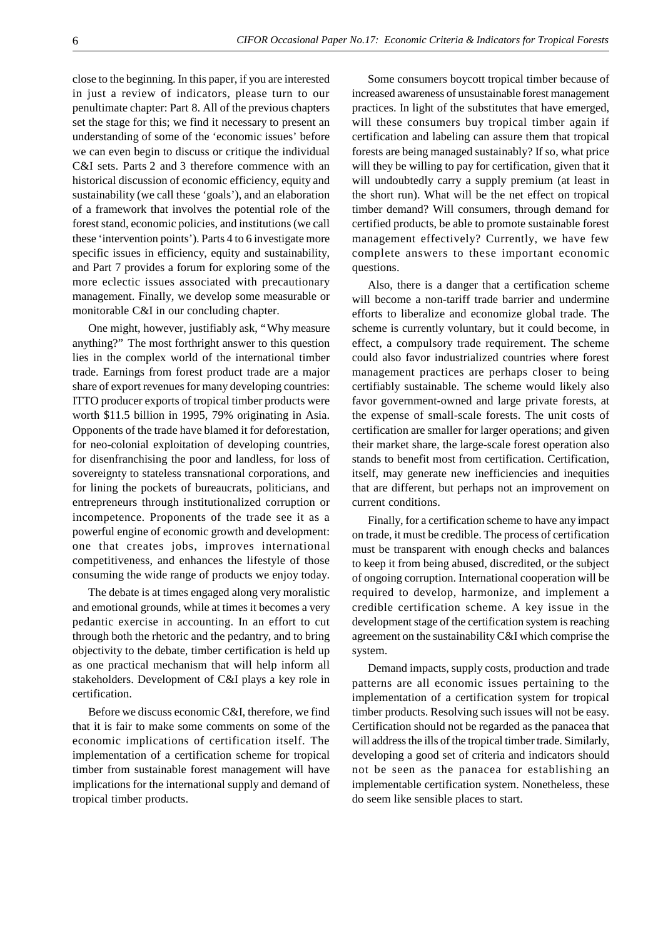close to the beginning. In this paper, if you are interested in just a review of indicators, please turn to our penultimate chapter: Part 8. All of the previous chapters set the stage for this; we find it necessary to present an understanding of some of the 'economic issues' before we can even begin to discuss or critique the individual C&I sets. Parts 2 and 3 therefore commence with an historical discussion of economic efficiency, equity and sustainability (we call these 'goals'), and an elaboration of a framework that involves the potential role of the forest stand, economic policies, and institutions (we call these 'intervention points'). Parts 4 to 6 investigate more specific issues in efficiency, equity and sustainability, and Part 7 provides a forum for exploring some of the more eclectic issues associated with precautionary management. Finally, we develop some measurable or monitorable C&I in our concluding chapter.

One might, however, justifiably ask, "Why measure anything?" The most forthright answer to this question lies in the complex world of the international timber trade. Earnings from forest product trade are a major share of export revenues for many developing countries: ITTO producer exports of tropical timber products were worth \$11.5 billion in 1995, 79% originating in Asia. Opponents of the trade have blamed it for deforestation, for neo-colonial exploitation of developing countries, for disenfranchising the poor and landless, for loss of sovereignty to stateless transnational corporations, and for lining the pockets of bureaucrats, politicians, and entrepreneurs through institutionalized corruption or incompetence. Proponents of the trade see it as a powerful engine of economic growth and development: one that creates jobs, improves international competitiveness, and enhances the lifestyle of those consuming the wide range of products we enjoy today.

The debate is at times engaged along very moralistic and emotional grounds, while at times it becomes a very pedantic exercise in accounting. In an effort to cut through both the rhetoric and the pedantry, and to bring objectivity to the debate, timber certification is held up as one practical mechanism that will help inform all stakeholders. Development of C&I plays a key role in certification.

Before we discuss economic C&I, therefore, we find that it is fair to make some comments on some of the economic implications of certification itself. The implementation of a certification scheme for tropical timber from sustainable forest management will have implications for the international supply and demand of tropical timber products.

Some consumers boycott tropical timber because of increased awareness of unsustainable forest management practices. In light of the substitutes that have emerged, will these consumers buy tropical timber again if certification and labeling can assure them that tropical forests are being managed sustainably? If so, what price will they be willing to pay for certification, given that it will undoubtedly carry a supply premium (at least in the short run). What will be the net effect on tropical timber demand? Will consumers, through demand for certified products, be able to promote sustainable forest management effectively? Currently, we have few complete answers to these important economic questions.

Also, there is a danger that a certification scheme will become a non-tariff trade barrier and undermine efforts to liberalize and economize global trade. The scheme is currently voluntary, but it could become, in effect, a compulsory trade requirement. The scheme could also favor industrialized countries where forest management practices are perhaps closer to being certifiably sustainable. The scheme would likely also favor government-owned and large private forests, at the expense of small-scale forests. The unit costs of certification are smaller for larger operations; and given their market share, the large-scale forest operation also stands to benefit most from certification. Certification, itself, may generate new inefficiencies and inequities that are different, but perhaps not an improvement on current conditions.

Finally, for a certification scheme to have any impact on trade, it must be credible. The process of certification must be transparent with enough checks and balances to keep it from being abused, discredited, or the subject of ongoing corruption. International cooperation will be required to develop, harmonize, and implement a credible certification scheme. A key issue in the development stage of the certification system is reaching agreement on the sustainability C&I which comprise the system.

Demand impacts, supply costs, production and trade patterns are all economic issues pertaining to the implementation of a certification system for tropical timber products. Resolving such issues will not be easy. Certification should not be regarded as the panacea that will address the ills of the tropical timber trade. Similarly, developing a good set of criteria and indicators should not be seen as the panacea for establishing an implementable certification system. Nonetheless, these do seem like sensible places to start.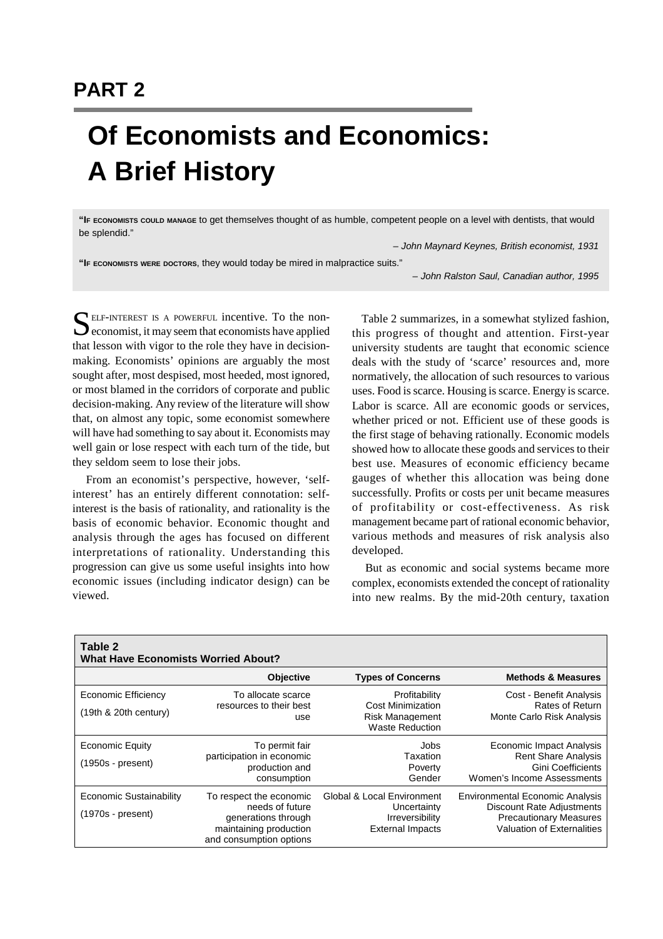# **PART 2**

# **Of Economists and Economics: A Brief History**

**"IF ECONOMISTS COULD MANAGE** to get themselves thought of as humble, competent people on a level with dentists, that would be splendid."

*– John Maynard Keynes, British economist, 1931*

**"IF ECONOMISTS WERE DOCTORS**, they would today be mired in malpractice suits."

*– John Ralston Saul, Canadian author, 1995*

SELF-INTEREST IS A POWERFUL incentive. To the non-<br>economist, it may seem that economists have applied economist, it may seem that economists have applied that lesson with vigor to the role they have in decisionmaking. Economists' opinions are arguably the most sought after, most despised, most heeded, most ignored, or most blamed in the corridors of corporate and public decision-making. Any review of the literature will show that, on almost any topic, some economist somewhere will have had something to say about it. Economists may well gain or lose respect with each turn of the tide, but they seldom seem to lose their jobs.

 From an economist's perspective, however, 'selfinterest' has an entirely different connotation: selfinterest is the basis of rationality, and rationality is the basis of economic behavior. Economic thought and analysis through the ages has focused on different interpretations of rationality. Understanding this progression can give us some useful insights into how economic issues (including indicator design) can be viewed.

 Table 2 summarizes, in a somewhat stylized fashion, this progress of thought and attention. First-year university students are taught that economic science deals with the study of 'scarce' resources and, more normatively, the allocation of such resources to various uses. Food is scarce. Housing is scarce. Energy is scarce. Labor is scarce. All are economic goods or services, whether priced or not. Efficient use of these goods is the first stage of behaving rationally. Economic models showed how to allocate these goods and services to their best use. Measures of economic efficiency became gauges of whether this allocation was being done successfully. Profits or costs per unit became measures of profitability or cost-effectiveness. As risk management became part of rational economic behavior, various methods and measures of risk analysis also developed.

 But as economic and social systems became more complex, economists extended the concept of rationality into new realms. By the mid-20th century, taxation

| Table 2<br><b>What Have Economists Worried About?</b> |                                                                                                                        |                                                                                                |                                                                                                                                           |
|-------------------------------------------------------|------------------------------------------------------------------------------------------------------------------------|------------------------------------------------------------------------------------------------|-------------------------------------------------------------------------------------------------------------------------------------------|
|                                                       | Objective                                                                                                              | <b>Types of Concerns</b>                                                                       | <b>Methods &amp; Measures</b>                                                                                                             |
| <b>Economic Efficiency</b><br>(19th & 20th century)   | To allocate scarce<br>resources to their best<br>use                                                                   | Profitability<br><b>Cost Minimization</b><br><b>Risk Management</b><br><b>Waste Reduction</b>  | Cost - Benefit Analysis<br>Rates of Return<br>Monte Carlo Risk Analysis                                                                   |
| <b>Economic Equity</b><br>$(1950s - present)$         | To permit fair<br>participation in economic<br>production and<br>consumption                                           | Jobs<br>Taxation<br>Poverty<br>Gender                                                          | Economic Impact Analysis<br><b>Rent Share Analysis</b><br>Gini Coefficients<br>Women's Income Assessments                                 |
| Economic Sustainability<br>$(1970s - present)$        | To respect the economic<br>needs of future<br>generations through<br>maintaining production<br>and consumption options | Global & Local Environment<br>Uncertainty<br><b>Irreversibility</b><br><b>External Impacts</b> | <b>Environmental Economic Analysis</b><br><b>Discount Rate Adjustments</b><br><b>Precautionary Measures</b><br>Valuation of Externalities |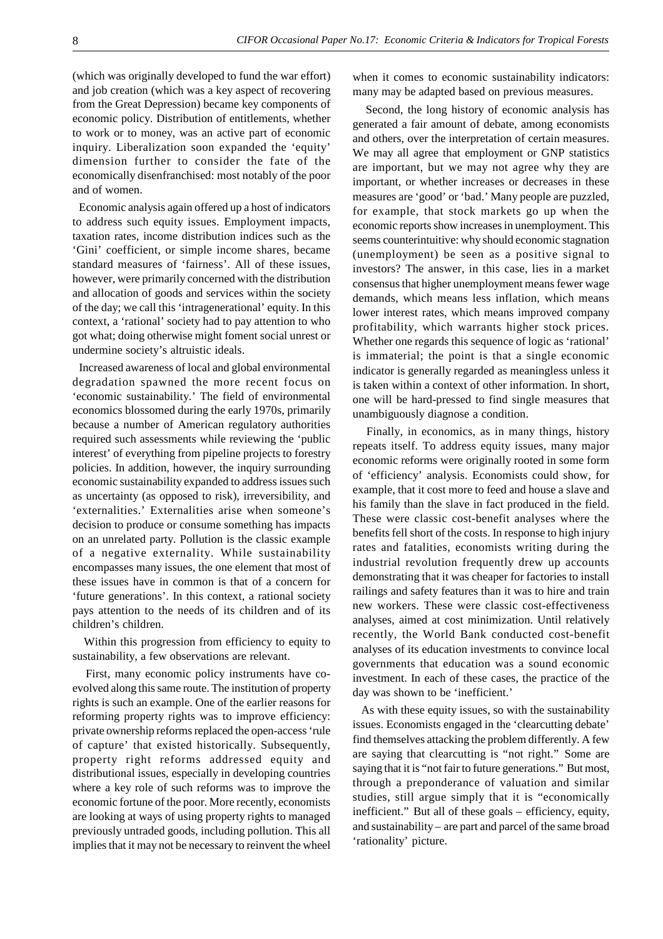(which was originally developed to fund the war effort) and job creation (which was a key aspect of recovering from the Great Depression) became key components of economic policy. Distribution of entitlements, whether to work or to money, was an active part of economic inquiry. Liberalization soon expanded the 'equity' dimension further to consider the fate of the economically disenfranchised: most notably of the poor and of women.

 Economic analysis again offered up a host of indicators to address such equity issues. Employment impacts, taxation rates, income distribution indices such as the 'Gini' coefficient, or simple income shares, became standard measures of 'fairness'. All of these issues, however, were primarily concerned with the distribution and allocation of goods and services within the society of the day; we call this 'intragenerational' equity. In this context, a 'rational' society had to pay attention to who got what; doing otherwise might foment social unrest or undermine society's altruistic ideals.

 Increased awareness of local and global environmental degradation spawned the more recent focus on 'economic sustainability.' The field of environmental economics blossomed during the early 1970s, primarily because a number of American regulatory authorities required such assessments while reviewing the 'public interest' of everything from pipeline projects to forestry policies. In addition, however, the inquiry surrounding economic sustainability expanded to address issues such as uncertainty (as opposed to risk), irreversibility, and 'externalities.' Externalities arise when someone's decision to produce or consume something has impacts on an unrelated party. Pollution is the classic example of a negative externality. While sustainability encompasses many issues, the one element that most of these issues have in common is that of a concern for 'future generations'. In this context, a rational society pays attention to the needs of its children and of its children's children.

Within this progression from efficiency to equity to sustainability, a few observations are relevant.

 First, many economic policy instruments have coevolved along this same route. The institution of property rights is such an example. One of the earlier reasons for reforming property rights was to improve efficiency: private ownership reforms replaced the open-access 'rule of capture' that existed historically. Subsequently, property right reforms addressed equity and distributional issues, especially in developing countries where a key role of such reforms was to improve the economic fortune of the poor. More recently, economists are looking at ways of using property rights to managed previously untraded goods, including pollution. This all implies that it may not be necessary to reinvent the wheel when it comes to economic sustainability indicators: many may be adapted based on previous measures.

 Second, the long history of economic analysis has generated a fair amount of debate, among economists and others, over the interpretation of certain measures. We may all agree that employment or GNP statistics are important, but we may not agree why they are important, or whether increases or decreases in these measures are 'good' or 'bad.' Many people are puzzled, for example, that stock markets go up when the economic reports show increases in unemployment. This seems counterintuitive: why should economic stagnation (unemployment) be seen as a positive signal to investors? The answer, in this case, lies in a market consensus that higher unemployment means fewer wage demands, which means less inflation, which means lower interest rates, which means improved company profitability, which warrants higher stock prices. Whether one regards this sequence of logic as 'rational' is immaterial; the point is that a single economic indicator is generally regarded as meaningless unless it is taken within a context of other information. In short, one will be hard-pressed to find single measures that unambiguously diagnose a condition.

 Finally, in economics, as in many things, history repeats itself. To address equity issues, many major economic reforms were originally rooted in some form of 'efficiency' analysis. Economists could show, for example, that it cost more to feed and house a slave and his family than the slave in fact produced in the field. These were classic cost-benefit analyses where the benefits fell short of the costs. In response to high injury rates and fatalities, economists writing during the industrial revolution frequently drew up accounts demonstrating that it was cheaper for factories to install railings and safety features than it was to hire and train new workers. These were classic cost-effectiveness analyses, aimed at cost minimization. Until relatively recently, the World Bank conducted cost-benefit analyses of its education investments to convince local governments that education was a sound economic investment. In each of these cases, the practice of the day was shown to be 'inefficient.'

 As with these equity issues, so with the sustainability issues. Economists engaged in the 'clearcutting debate' find themselves attacking the problem differently. A few are saying that clearcutting is "not right." Some are saying that it is "not fair to future generations." But most, through a preponderance of valuation and similar studies, still argue simply that it is "economically inefficient." But all of these goals – efficiency, equity, and sustainability – are part and parcel of the same broad 'rationality' picture.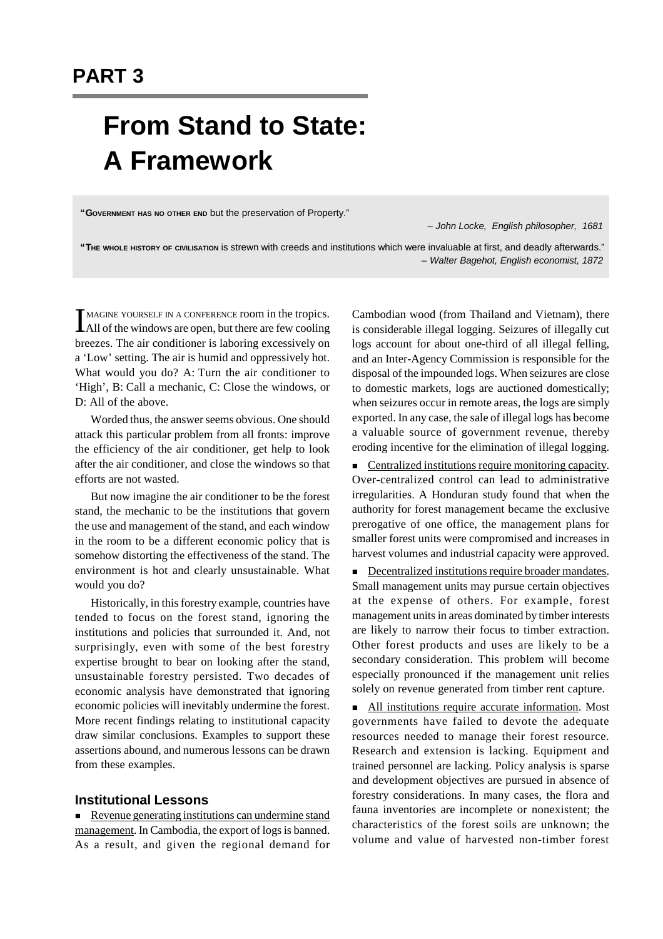# **From Stand to State: A Framework**

**"GOVERNMENT HAS NO OTHER END** but the preservation of Property."

*– John Locke, English philosopher, 1681*

**"THE WHOLE HISTORY OF CIVILISATION** is strewn with creeds and institutions which were invaluable at first, and deadly afterwards." *– Walter Bagehot, English economist, 1872*

IMAGINE YOURSELF IN A CONFERENCE room in the tropics.<br>All of the windows are open, but there are few cooling MAGINE YOURSELF IN A CONFERENCE room in the tropics. breezes. The air conditioner is laboring excessively on a 'Low' setting. The air is humid and oppressively hot. What would you do? A: Turn the air conditioner to 'High', B: Call a mechanic, C: Close the windows, or D: All of the above.

Worded thus, the answer seems obvious. One should attack this particular problem from all fronts: improve the efficiency of the air conditioner, get help to look after the air conditioner, and close the windows so that efforts are not wasted.

But now imagine the air conditioner to be the forest stand, the mechanic to be the institutions that govern the use and management of the stand, and each window in the room to be a different economic policy that is somehow distorting the effectiveness of the stand. The environment is hot and clearly unsustainable. What would you do?

Historically, in this forestry example, countries have tended to focus on the forest stand, ignoring the institutions and policies that surrounded it. And, not surprisingly, even with some of the best forestry expertise brought to bear on looking after the stand, unsustainable forestry persisted. Two decades of economic analysis have demonstrated that ignoring economic policies will inevitably undermine the forest. More recent findings relating to institutional capacity draw similar conclusions. Examples to support these assertions abound, and numerous lessons can be drawn from these examples.

# **Institutional Lessons**

 $\blacksquare$  Revenue generating institutions can undermine stand management. In Cambodia, the export of logs is banned. As a result, and given the regional demand for Cambodian wood (from Thailand and Vietnam), there is considerable illegal logging. Seizures of illegally cut logs account for about one-third of all illegal felling, and an Inter-Agency Commission is responsible for the disposal of the impounded logs. When seizures are close to domestic markets, logs are auctioned domestically; when seizures occur in remote areas, the logs are simply exported. In any case, the sale of illegal logs has become a valuable source of government revenue, thereby eroding incentive for the elimination of illegal logging.

 $\blacksquare$  Centralized institutions require monitoring capacity. Over-centralized control can lead to administrative irregularities. A Honduran study found that when the authority for forest management became the exclusive prerogative of one office, the management plans for smaller forest units were compromised and increases in harvest volumes and industrial capacity were approved.

**n** Decentralized institutions require broader mandates. Small management units may pursue certain objectives at the expense of others. For example, forest management units in areas dominated by timber interests are likely to narrow their focus to timber extraction. Other forest products and uses are likely to be a secondary consideration. This problem will become especially pronounced if the management unit relies solely on revenue generated from timber rent capture.

<sup>n</sup> All institutions require accurate information. Most governments have failed to devote the adequate resources needed to manage their forest resource. Research and extension is lacking. Equipment and trained personnel are lacking. Policy analysis is sparse and development objectives are pursued in absence of forestry considerations. In many cases, the flora and fauna inventories are incomplete or nonexistent; the characteristics of the forest soils are unknown; the volume and value of harvested non-timber forest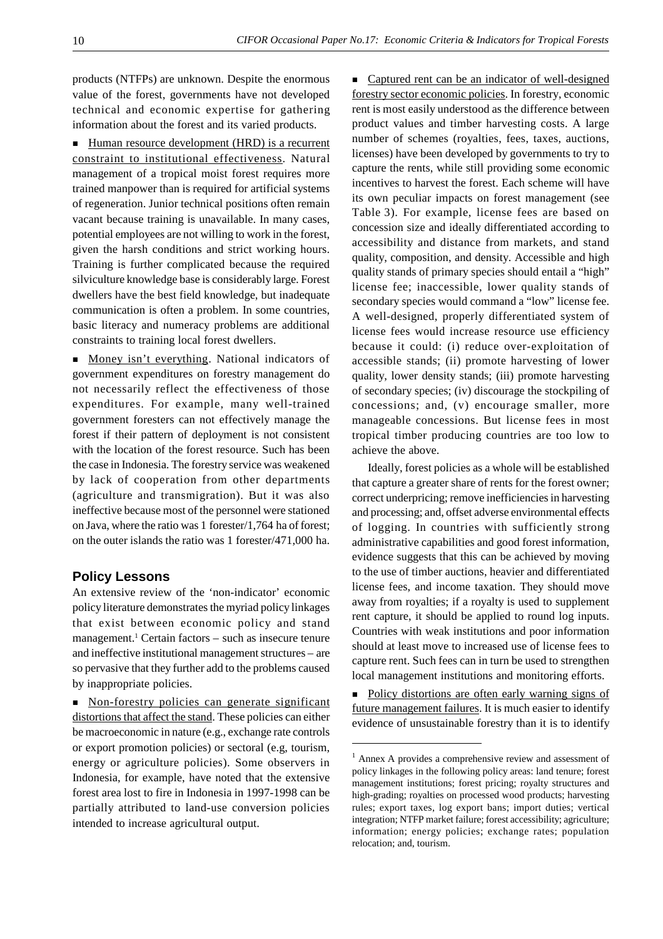products (NTFPs) are unknown. Despite the enormous value of the forest, governments have not developed technical and economic expertise for gathering information about the forest and its varied products.

■ Human resource development (HRD) is a recurrent constraint to institutional effectiveness. Natural management of a tropical moist forest requires more trained manpower than is required for artificial systems of regeneration. Junior technical positions often remain vacant because training is unavailable. In many cases, potential employees are not willing to work in the forest, given the harsh conditions and strict working hours. Training is further complicated because the required silviculture knowledge base is considerably large. Forest dwellers have the best field knowledge, but inadequate communication is often a problem. In some countries, basic literacy and numeracy problems are additional constraints to training local forest dwellers.

**Money isn't everything.** National indicators of government expenditures on forestry management do not necessarily reflect the effectiveness of those expenditures. For example, many well-trained government foresters can not effectively manage the forest if their pattern of deployment is not consistent with the location of the forest resource. Such has been the case in Indonesia. The forestry service was weakened by lack of cooperation from other departments (agriculture and transmigration). But it was also ineffective because most of the personnel were stationed on Java, where the ratio was 1 forester/1,764 ha of forest; on the outer islands the ratio was 1 forester/471,000 ha.

#### **Policy Lessons**

An extensive review of the 'non-indicator' economic policy literature demonstrates the myriad policy linkages that exist between economic policy and stand management.<sup>1</sup> Certain factors - such as insecure tenure and ineffective institutional management structures – are so pervasive that they further add to the problems caused by inappropriate policies.

n Non-forestry policies can generate significant distortions that affect the stand. These policies can either be macroeconomic in nature (e.g., exchange rate controls or export promotion policies) or sectoral (e.g, tourism, energy or agriculture policies). Some observers in Indonesia, for example, have noted that the extensive forest area lost to fire in Indonesia in 1997-1998 can be partially attributed to land-use conversion policies intended to increase agricultural output.

n Captured rent can be an indicator of well-designed forestry sector economic policies. In forestry, economic rent is most easily understood as the difference between product values and timber harvesting costs. A large number of schemes (royalties, fees, taxes, auctions, licenses) have been developed by governments to try to capture the rents, while still providing some economic incentives to harvest the forest. Each scheme will have its own peculiar impacts on forest management (see Table 3). For example, license fees are based on concession size and ideally differentiated according to accessibility and distance from markets, and stand quality, composition, and density. Accessible and high quality stands of primary species should entail a "high" license fee; inaccessible, lower quality stands of secondary species would command a "low" license fee. A well-designed, properly differentiated system of license fees would increase resource use efficiency because it could: (i) reduce over-exploitation of accessible stands; (ii) promote harvesting of lower quality, lower density stands; (iii) promote harvesting of secondary species; (iv) discourage the stockpiling of concessions; and, (v) encourage smaller, more manageable concessions. But license fees in most tropical timber producing countries are too low to achieve the above.

Ideally, forest policies as a whole will be established that capture a greater share of rents for the forest owner; correct underpricing; remove inefficiencies in harvesting and processing; and, offset adverse environmental effects of logging. In countries with sufficiently strong administrative capabilities and good forest information, evidence suggests that this can be achieved by moving to the use of timber auctions, heavier and differentiated license fees, and income taxation. They should move away from royalties; if a royalty is used to supplement rent capture, it should be applied to round log inputs. Countries with weak institutions and poor information should at least move to increased use of license fees to capture rent. Such fees can in turn be used to strengthen local management institutions and monitoring efforts.

n Policy distortions are often early warning signs of future management failures. It is much easier to identify evidence of unsustainable forestry than it is to identify

<sup>&</sup>lt;sup>1</sup> Annex A provides a comprehensive review and assessment of policy linkages in the following policy areas: land tenure; forest management institutions; forest pricing; royalty structures and high-grading; royalties on processed wood products; harvesting rules; export taxes, log export bans; import duties; vertical integration; NTFP market failure; forest accessibility; agriculture; information; energy policies; exchange rates; population relocation; and, tourism.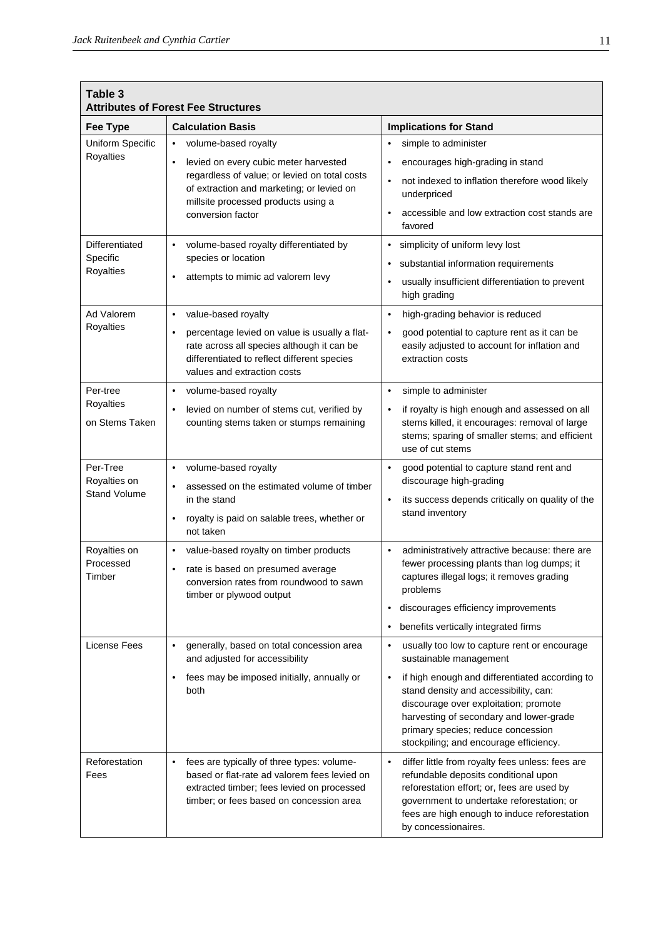| Table 3                                                                          | <b>Attributes of Forest Fee Structures</b>                                                                                                                                                                                                                                                                                                                 |                                                                                                                                                                                                                                                                                                                                                         |
|----------------------------------------------------------------------------------|------------------------------------------------------------------------------------------------------------------------------------------------------------------------------------------------------------------------------------------------------------------------------------------------------------------------------------------------------------|---------------------------------------------------------------------------------------------------------------------------------------------------------------------------------------------------------------------------------------------------------------------------------------------------------------------------------------------------------|
| <b>Fee Type</b>                                                                  | <b>Calculation Basis</b>                                                                                                                                                                                                                                                                                                                                   | <b>Implications for Stand</b>                                                                                                                                                                                                                                                                                                                           |
| Uniform Specific<br><b>Royalties</b>                                             | volume-based royalty<br>$\bullet$<br>levied on every cubic meter harvested<br>$\bullet$<br>regardless of value; or levied on total costs<br>of extraction and marketing; or levied on<br>millsite processed products using a<br>conversion factor                                                                                                          | simple to administer<br>$\bullet$<br>encourages high-grading in stand<br>٠<br>not indexed to inflation therefore wood likely<br>٠<br>underpriced<br>accessible and low extraction cost stands are<br>٠<br>favored                                                                                                                                       |
| <b>Differentiated</b><br>Specific<br>Royalties<br>Ad Valorem<br><b>Royalties</b> | volume-based royalty differentiated by<br>$\bullet$<br>species or location<br>attempts to mimic ad valorem levy<br>$\bullet$<br>value-based royalty<br>$\bullet$<br>percentage levied on value is usually a flat-<br>$\bullet$<br>rate across all species although it can be<br>differentiated to reflect different species<br>values and extraction costs | simplicity of uniform levy lost<br>٠<br>substantial information requirements<br>usually insufficient differentiation to prevent<br>٠<br>high grading<br>high-grading behavior is reduced<br>$\bullet$<br>good potential to capture rent as it can be<br>٠<br>easily adjusted to account for inflation and<br>extraction costs                           |
| Per-tree<br><b>Royalties</b><br>on Stems Taken                                   | volume-based royalty<br>$\bullet$<br>levied on number of stems cut, verified by<br>$\bullet$<br>counting stems taken or stumps remaining                                                                                                                                                                                                                   | simple to administer<br>$\bullet$<br>if royalty is high enough and assessed on all<br>$\bullet$<br>stems killed, it encourages: removal of large<br>stems; sparing of smaller stems; and efficient<br>use of cut stems                                                                                                                                  |
| Per-Tree<br>Royalties on<br><b>Stand Volume</b>                                  | volume-based royalty<br>$\bullet$<br>assessed on the estimated volume of timber<br>in the stand<br>royalty is paid on salable trees, whether or<br>$\bullet$<br>not taken                                                                                                                                                                                  | good potential to capture stand rent and<br>$\bullet$<br>discourage high-grading<br>its success depends critically on quality of the<br>$\bullet$<br>stand inventory                                                                                                                                                                                    |
| Royalties on<br>Processed<br>Timber                                              | value-based royalty on timber products<br>$\bullet$<br>rate is based on presumed average<br>$\bullet$<br>conversion rates from roundwood to sawn<br>timber or plywood output                                                                                                                                                                               | administratively attractive because: there are<br>$\bullet$<br>fewer processing plants than log dumps; it<br>captures illegal logs; it removes grading<br>problems<br>discourages efficiency improvements<br>٠<br>benefits vertically integrated firms<br>٠                                                                                             |
| <b>License Fees</b>                                                              | generally, based on total concession area<br>$\bullet$<br>and adjusted for accessibility<br>fees may be imposed initially, annually or<br>$\bullet$<br>both                                                                                                                                                                                                | usually too low to capture rent or encourage<br>٠<br>sustainable management<br>if high enough and differentiated according to<br>$\bullet$<br>stand density and accessibility, can:<br>discourage over exploitation; promote<br>harvesting of secondary and lower-grade<br>primary species; reduce concession<br>stockpiling; and encourage efficiency. |
| Reforestation<br>Fees                                                            | fees are typically of three types: volume-<br>$\bullet$<br>based or flat-rate ad valorem fees levied on<br>extracted timber; fees levied on processed<br>timber; or fees based on concession area                                                                                                                                                          | differ little from royalty fees unless: fees are<br>$\bullet$<br>refundable deposits conditional upon<br>reforestation effort; or, fees are used by<br>government to undertake reforestation; or<br>fees are high enough to induce reforestation<br>by concessionaires.                                                                                 |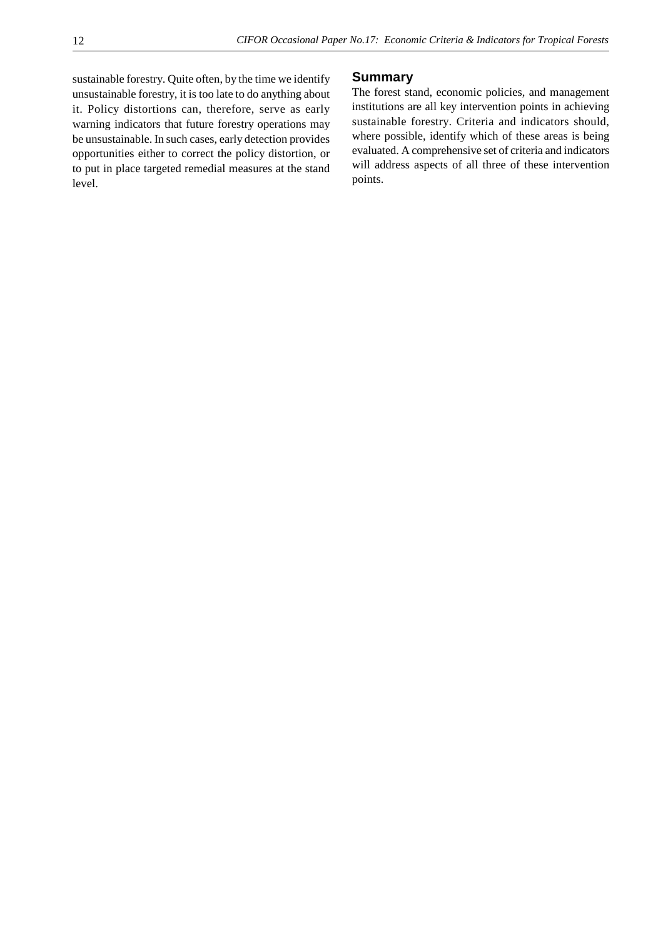sustainable forestry. Quite often, by the time we identify unsustainable forestry, it is too late to do anything about it. Policy distortions can, therefore, serve as early warning indicators that future forestry operations may be unsustainable. In such cases, early detection provides opportunities either to correct the policy distortion, or to put in place targeted remedial measures at the stand level.

#### **Summary**

The forest stand, economic policies, and management institutions are all key intervention points in achieving sustainable forestry. Criteria and indicators should, where possible, identify which of these areas is being evaluated. A comprehensive set of criteria and indicators will address aspects of all three of these intervention points.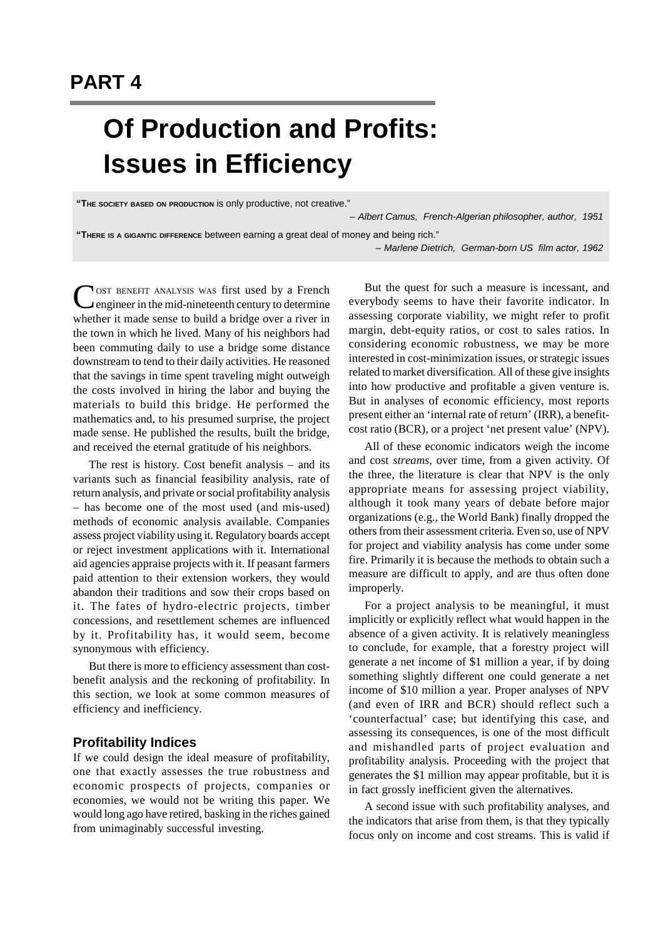# **Of Production and Profits: Issues in Efficiency**

**"THE SOCIETY BASED ON PRODUCTION** is only productive, not creative."

*– Albert Camus, French-Algerian philosopher, author, 1951*

**"THERE IS A GIGANTIC DIFFERENCE** between earning a great deal of money and being rich."

*– Marlene Dietrich, German-born US film actor, 1962*

COST BENEFIT ANALYSIS WAS first used by a French<br>
engineer in the mid-nineteenth century to determine **NOST BENEFIT ANALYSIS WAS first used by a French** whether it made sense to build a bridge over a river in the town in which he lived. Many of his neighbors had been commuting daily to use a bridge some distance downstream to tend to their daily activities. He reasoned that the savings in time spent traveling might outweigh the costs involved in hiring the labor and buying the materials to build this bridge. He performed the mathematics and, to his presumed surprise, the project made sense. He published the results, built the bridge, and received the eternal gratitude of his neighbors.

The rest is history. Cost benefit analysis – and its variants such as financial feasibility analysis, rate of return analysis, and private or social profitability analysis – has become one of the most used (and mis-used) methods of economic analysis available. Companies assess project viability using it. Regulatory boards accept or reject investment applications with it. International aid agencies appraise projects with it. If peasant farmers paid attention to their extension workers, they would abandon their traditions and sow their crops based on it. The fates of hydro-electric projects, timber concessions, and resettlement schemes are influenced by it. Profitability has, it would seem, become synonymous with efficiency.

But there is more to efficiency assessment than costbenefit analysis and the reckoning of profitability. In this section, we look at some common measures of efficiency and inefficiency.

## **Profitability Indices**

If we could design the ideal measure of profitability, one that exactly assesses the true robustness and economic prospects of projects, companies or economies, we would not be writing this paper. We would long ago have retired, basking in the riches gained from unimaginably successful investing.

But the quest for such a measure is incessant, and everybody seems to have their favorite indicator. In assessing corporate viability, we might refer to profit margin, debt-equity ratios, or cost to sales ratios. In considering economic robustness, we may be more interested in cost-minimization issues, or strategic issues related to market diversification. All of these give insights into how productive and profitable a given venture is. But in analyses of economic efficiency, most reports present either an 'internal rate of return' (IRR), a benefitcost ratio (BCR), or a project 'net present value' (NPV).

All of these economic indicators weigh the income and cost *streams*, over time, from a given activity. Of the three, the literature is clear that NPV is the only appropriate means for assessing project viability, although it took many years of debate before major organizations (e.g., the World Bank) finally dropped the others from their assessment criteria. Even so, use of NPV for project and viability analysis has come under some fire. Primarily it is because the methods to obtain such a measure are difficult to apply, and are thus often done improperly.

For a project analysis to be meaningful, it must implicitly or explicitly reflect what would happen in the absence of a given activity. It is relatively meaningless to conclude, for example, that a forestry project will generate a net income of \$1 million a year, if by doing something slightly different one could generate a net income of \$10 million a year. Proper analyses of NPV (and even of IRR and BCR) should reflect such a 'counterfactual' case; but identifying this case, and assessing its consequences, is one of the most difficult and mishandled parts of project evaluation and profitability analysis. Proceeding with the project that generates the \$1 million may appear profitable, but it is in fact grossly inefficient given the alternatives.

A second issue with such profitability analyses, and the indicators that arise from them, is that they typically focus only on income and cost streams. This is valid if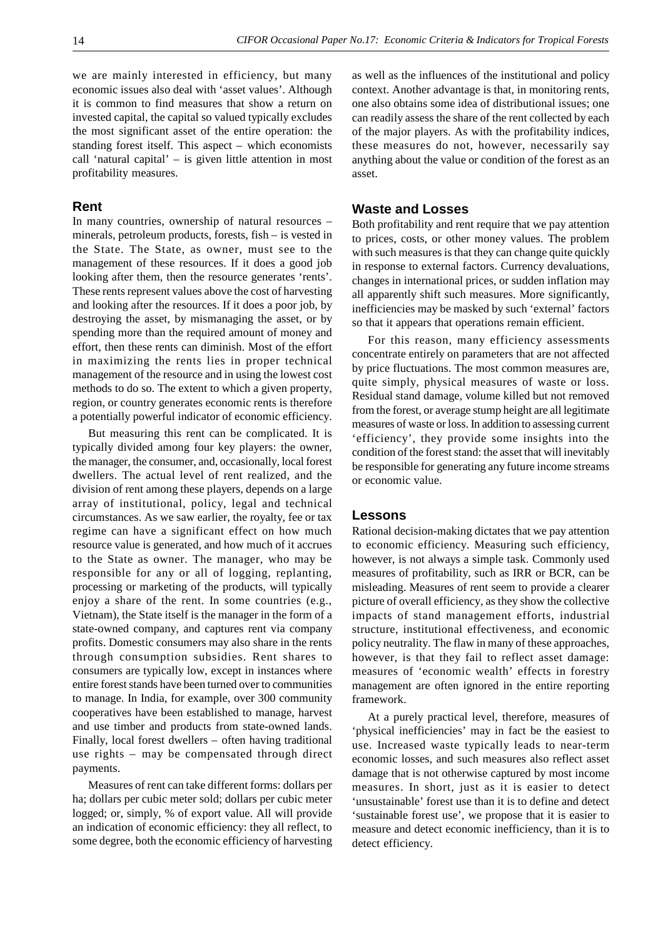we are mainly interested in efficiency, but many economic issues also deal with 'asset values'. Although it is common to find measures that show a return on invested capital, the capital so valued typically excludes the most significant asset of the entire operation: the standing forest itself. This aspect – which economists call 'natural capital' – is given little attention in most profitability measures.

#### **Rent**

In many countries, ownership of natural resources – minerals, petroleum products, forests, fish – is vested in the State. The State, as owner, must see to the management of these resources. If it does a good job looking after them, then the resource generates 'rents'. These rents represent values above the cost of harvesting and looking after the resources. If it does a poor job, by destroying the asset, by mismanaging the asset, or by spending more than the required amount of money and effort, then these rents can diminish. Most of the effort in maximizing the rents lies in proper technical management of the resource and in using the lowest cost methods to do so. The extent to which a given property, region, or country generates economic rents is therefore a potentially powerful indicator of economic efficiency.

But measuring this rent can be complicated. It is typically divided among four key players: the owner, the manager, the consumer, and, occasionally, local forest dwellers. The actual level of rent realized, and the division of rent among these players, depends on a large array of institutional, policy, legal and technical circumstances. As we saw earlier, the royalty, fee or tax regime can have a significant effect on how much resource value is generated, and how much of it accrues to the State as owner. The manager, who may be responsible for any or all of logging, replanting, processing or marketing of the products, will typically enjoy a share of the rent. In some countries (e.g., Vietnam), the State itself is the manager in the form of a state-owned company, and captures rent via company profits. Domestic consumers may also share in the rents through consumption subsidies. Rent shares to consumers are typically low, except in instances where entire forest stands have been turned over to communities to manage. In India, for example, over 300 community cooperatives have been established to manage, harvest and use timber and products from state-owned lands. Finally, local forest dwellers – often having traditional use rights – may be compensated through direct payments.

Measures of rent can take different forms: dollars per ha; dollars per cubic meter sold; dollars per cubic meter logged; or, simply, % of export value. All will provide an indication of economic efficiency: they all reflect, to some degree, both the economic efficiency of harvesting as well as the influences of the institutional and policy context. Another advantage is that, in monitoring rents, one also obtains some idea of distributional issues; one can readily assess the share of the rent collected by each of the major players. As with the profitability indices, these measures do not, however, necessarily say anything about the value or condition of the forest as an asset.

### **Waste and Losses**

Both profitability and rent require that we pay attention to prices, costs, or other money values. The problem with such measures is that they can change quite quickly in response to external factors. Currency devaluations, changes in international prices, or sudden inflation may all apparently shift such measures. More significantly, inefficiencies may be masked by such 'external' factors so that it appears that operations remain efficient.

For this reason, many efficiency assessments concentrate entirely on parameters that are not affected by price fluctuations. The most common measures are, quite simply, physical measures of waste or loss. Residual stand damage, volume killed but not removed from the forest, or average stump height are all legitimate measures of waste or loss. In addition to assessing current 'efficiency', they provide some insights into the condition of the forest stand: the asset that will inevitably be responsible for generating any future income streams or economic value.

#### **Lessons**

Rational decision-making dictates that we pay attention to economic efficiency. Measuring such efficiency, however, is not always a simple task. Commonly used measures of profitability, such as IRR or BCR, can be misleading. Measures of rent seem to provide a clearer picture of overall efficiency, as they show the collective impacts of stand management efforts, industrial structure, institutional effectiveness, and economic policy neutrality. The flaw in many of these approaches, however, is that they fail to reflect asset damage: measures of 'economic wealth' effects in forestry management are often ignored in the entire reporting framework.

At a purely practical level, therefore, measures of 'physical inefficiencies' may in fact be the easiest to use. Increased waste typically leads to near-term economic losses, and such measures also reflect asset damage that is not otherwise captured by most income measures. In short, just as it is easier to detect 'unsustainable' forest use than it is to define and detect 'sustainable forest use', we propose that it is easier to measure and detect economic inefficiency, than it is to detect efficiency.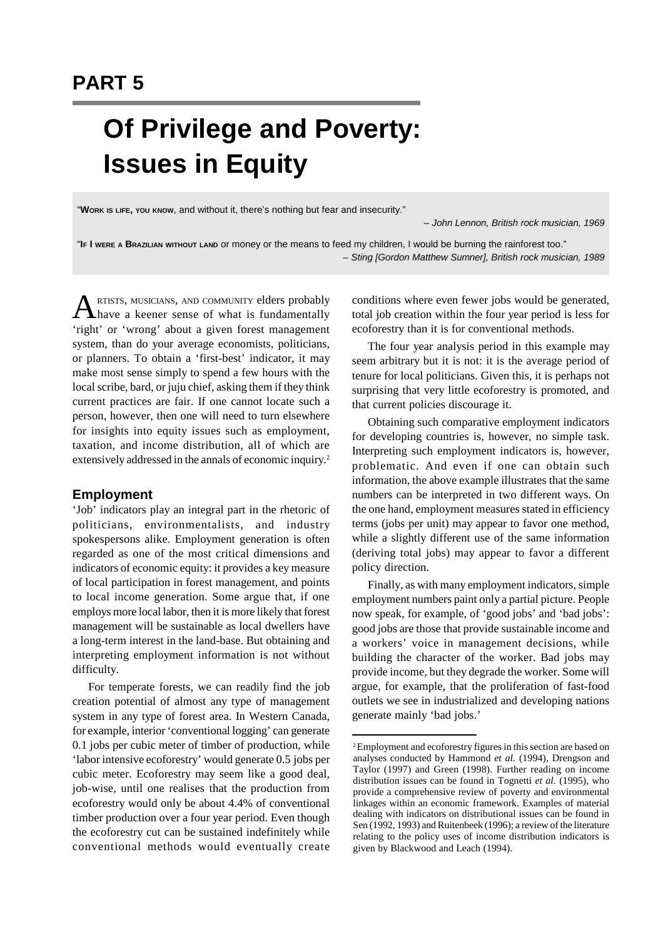# **Of Privilege and Poverty: Issues in Equity**

"**WORK IS LIFE, YOU KNOW**, and without it, there's nothing but fear and insecurity."

*– John Lennon, British rock musician, 1969*

"**IF I WERE A BRAZILIAN WITHOUT LAND** or money or the means to feed my children, I would be burning the rainforest too." *– Sting [Gordon Matthew Sumner], British rock musician, 1989*

**ARTISTS, MUSICIANS, AND COMMUNITY elders probably**<br>A have a keener sense of what is fundamentally RTISTS, MUSICIANS, AND COMMUNITY elders probably 'right' or 'wrong' about a given forest management system, than do your average economists, politicians, or planners. To obtain a 'first-best' indicator, it may make most sense simply to spend a few hours with the local scribe, bard, or juju chief, asking them if they think current practices are fair. If one cannot locate such a person, however, then one will need to turn elsewhere for insights into equity issues such as employment, taxation, and income distribution, all of which are extensively addressed in the annals of economic inquiry.<sup>2</sup>

#### **Employment**

'Job' indicators play an integral part in the rhetoric of politicians, environmentalists, and industry spokespersons alike. Employment generation is often regarded as one of the most critical dimensions and indicators of economic equity: it provides a key measure of local participation in forest management, and points to local income generation. Some argue that, if one employs more local labor, then it is more likely that forest management will be sustainable as local dwellers have a long-term interest in the land-base. But obtaining and interpreting employment information is not without difficulty.

For temperate forests, we can readily find the job creation potential of almost any type of management system in any type of forest area. In Western Canada, for example, interior 'conventional logging' can generate 0.1 jobs per cubic meter of timber of production, while 'labor intensive ecoforestry' would generate 0.5 jobs per cubic meter. Ecoforestry may seem like a good deal, job-wise, until one realises that the production from ecoforestry would only be about 4.4% of conventional timber production over a four year period. Even though the ecoforestry cut can be sustained indefinitely while conventional methods would eventually create conditions where even fewer jobs would be generated, total job creation within the four year period is less for ecoforestry than it is for conventional methods.

The four year analysis period in this example may seem arbitrary but it is not: it is the average period of tenure for local politicians. Given this, it is perhaps not surprising that very little ecoforestry is promoted, and that current policies discourage it.

Obtaining such comparative employment indicators for developing countries is, however, no simple task. Interpreting such employment indicators is, however, problematic. And even if one can obtain such information, the above example illustrates that the same numbers can be interpreted in two different ways. On the one hand, employment measures stated in efficiency terms (jobs per unit) may appear to favor one method, while a slightly different use of the same information (deriving total jobs) may appear to favor a different policy direction.

Finally, as with many employment indicators, simple employment numbers paint only a partial picture. People now speak, for example, of 'good jobs' and 'bad jobs': good jobs are those that provide sustainable income and a workers' voice in management decisions, while building the character of the worker. Bad jobs may provide income, but they degrade the worker. Some will argue, for example, that the proliferation of fast-food outlets we see in industrialized and developing nations generate mainly 'bad jobs.'

<sup>2</sup>Employment and ecoforestry figures in this section are based on analyses conducted by Hammond *et al.* (1994), Drengson and Taylor (1997) and Green (1998). Further reading on income distribution issues can be found in Tognetti *et al.* (1995), who provide a comprehensive review of poverty and environmental linkages within an economic framework. Examples of material dealing with indicators on distributional issues can be found in Sen (1992, 1993) and Ruitenbeek (1996); a review of the literature relating to the policy uses of income distribution indicators is given by Blackwood and Leach (1994).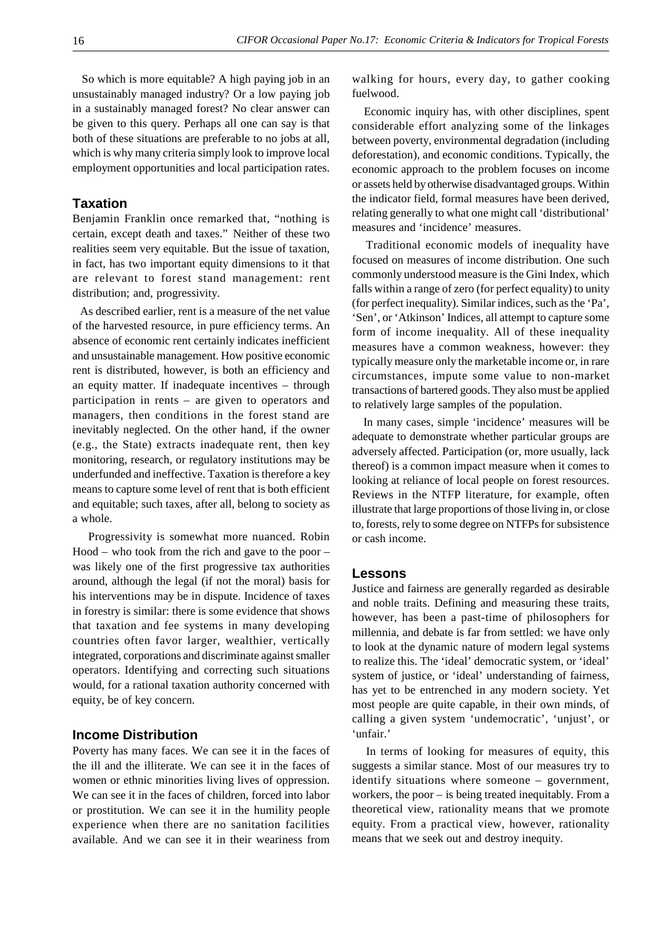So which is more equitable? A high paying job in an unsustainably managed industry? Or a low paying job in a sustainably managed forest? No clear answer can be given to this query. Perhaps all one can say is that both of these situations are preferable to no jobs at all, which is why many criteria simply look to improve local employment opportunities and local participation rates.

#### **Taxation**

Benjamin Franklin once remarked that, "nothing is certain, except death and taxes." Neither of these two realities seem very equitable. But the issue of taxation, in fact, has two important equity dimensions to it that are relevant to forest stand management: rent distribution; and, progressivity.

 As described earlier, rent is a measure of the net value of the harvested resource, in pure efficiency terms. An absence of economic rent certainly indicates inefficient and unsustainable management. How positive economic rent is distributed, however, is both an efficiency and an equity matter. If inadequate incentives – through participation in rents – are given to operators and managers, then conditions in the forest stand are inevitably neglected. On the other hand, if the owner (e.g., the State) extracts inadequate rent, then key monitoring, research, or regulatory institutions may be underfunded and ineffective. Taxation is therefore a key means to capture some level of rent that is both efficient and equitable; such taxes, after all, belong to society as a whole.

Progressivity is somewhat more nuanced. Robin Hood – who took from the rich and gave to the poor – was likely one of the first progressive tax authorities around, although the legal (if not the moral) basis for his interventions may be in dispute. Incidence of taxes in forestry is similar: there is some evidence that shows that taxation and fee systems in many developing countries often favor larger, wealthier, vertically integrated, corporations and discriminate against smaller operators. Identifying and correcting such situations would, for a rational taxation authority concerned with equity, be of key concern.

#### **Income Distribution**

Poverty has many faces. We can see it in the faces of the ill and the illiterate. We can see it in the faces of women or ethnic minorities living lives of oppression. We can see it in the faces of children, forced into labor or prostitution. We can see it in the humility people experience when there are no sanitation facilities available. And we can see it in their weariness from walking for hours, every day, to gather cooking fuelwood.

 Economic inquiry has, with other disciplines, spent considerable effort analyzing some of the linkages between poverty, environmental degradation (including deforestation), and economic conditions. Typically, the economic approach to the problem focuses on income or assets held by otherwise disadvantaged groups. Within the indicator field, formal measures have been derived, relating generally to what one might call 'distributional' measures and 'incidence' measures.

 Traditional economic models of inequality have focused on measures of income distribution. One such commonly understood measure is the Gini Index, which falls within a range of zero (for perfect equality) to unity (for perfect inequality). Similar indices, such as the 'Pa', 'Sen', or 'Atkinson' Indices, all attempt to capture some form of income inequality. All of these inequality measures have a common weakness, however: they typically measure only the marketable income or, in rare circumstances, impute some value to non-market transactions of bartered goods. They also must be applied to relatively large samples of the population.

 In many cases, simple 'incidence' measures will be adequate to demonstrate whether particular groups are adversely affected. Participation (or, more usually, lack thereof) is a common impact measure when it comes to looking at reliance of local people on forest resources. Reviews in the NTFP literature, for example, often illustrate that large proportions of those living in, or close to, forests, rely to some degree on NTFPs for subsistence or cash income.

#### **Lessons**

Justice and fairness are generally regarded as desirable and noble traits. Defining and measuring these traits, however, has been a past-time of philosophers for millennia, and debate is far from settled: we have only to look at the dynamic nature of modern legal systems to realize this. The 'ideal' democratic system, or 'ideal' system of justice, or 'ideal' understanding of fairness, has yet to be entrenched in any modern society. Yet most people are quite capable, in their own minds, of calling a given system 'undemocratic', 'unjust', or 'unfair.'

 In terms of looking for measures of equity, this suggests a similar stance. Most of our measures try to identify situations where someone – government, workers, the poor – is being treated inequitably. From a theoretical view, rationality means that we promote equity. From a practical view, however, rationality means that we seek out and destroy inequity.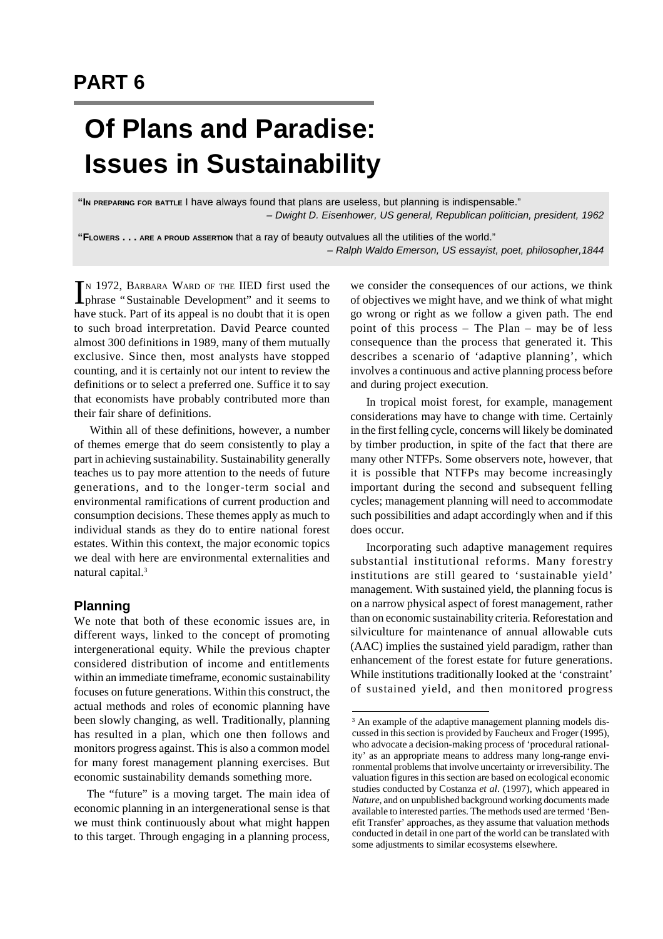# **PART 6**

# **Of Plans and Paradise: Issues in Sustainability**

**"I<sup>N</sup> PREPARING FOR BATTLE** I have always found that plans are useless, but planning is indispensable." *– Dwight D. Eisenhower, US general, Republican politician, president, 1962*

**"FLOWERS . . . ARE <sup>A</sup> PROUD ASSERTION** that a ray of beauty outvalues all the utilities of the world." *– Ralph Waldo Emerson, US essayist, poet, philosopher,1844*

IN 1972, BARBARA WARD OF THE IIED first used the phrase "Sustainable Development" and it seems to phrase "Sustainable Development" and it seems to have stuck. Part of its appeal is no doubt that it is open to such broad interpretation. David Pearce counted almost 300 definitions in 1989, many of them mutually exclusive. Since then, most analysts have stopped counting, and it is certainly not our intent to review the definitions or to select a preferred one. Suffice it to say that economists have probably contributed more than their fair share of definitions.

Within all of these definitions, however, a number of themes emerge that do seem consistently to play a part in achieving sustainability. Sustainability generally teaches us to pay more attention to the needs of future generations, and to the longer-term social and environmental ramifications of current production and consumption decisions. These themes apply as much to individual stands as they do to entire national forest estates. Within this context, the major economic topics we deal with here are environmental externalities and natural capital.<sup>3</sup>

### **Planning**

We note that both of these economic issues are, in different ways, linked to the concept of promoting intergenerational equity. While the previous chapter considered distribution of income and entitlements within an immediate timeframe, economic sustainability focuses on future generations. Within this construct, the actual methods and roles of economic planning have been slowly changing, as well. Traditionally, planning has resulted in a plan, which one then follows and monitors progress against. This is also a common model for many forest management planning exercises. But economic sustainability demands something more.

 The "future" is a moving target. The main idea of economic planning in an intergenerational sense is that we must think continuously about what might happen to this target. Through engaging in a planning process,

we consider the consequences of our actions, we think of objectives we might have, and we think of what might go wrong or right as we follow a given path. The end point of this process – The Plan – may be of less consequence than the process that generated it. This describes a scenario of 'adaptive planning', which involves a continuous and active planning process before and during project execution.

In tropical moist forest, for example, management considerations may have to change with time. Certainly in the first felling cycle, concerns will likely be dominated by timber production, in spite of the fact that there are many other NTFPs. Some observers note, however, that it is possible that NTFPs may become increasingly important during the second and subsequent felling cycles; management planning will need to accommodate such possibilities and adapt accordingly when and if this does occur.

Incorporating such adaptive management requires substantial institutional reforms. Many forestry institutions are still geared to 'sustainable yield' management. With sustained yield, the planning focus is on a narrow physical aspect of forest management, rather than on economic sustainability criteria. Reforestation and silviculture for maintenance of annual allowable cuts (AAC) implies the sustained yield paradigm, rather than enhancement of the forest estate for future generations. While institutions traditionally looked at the 'constraint' of sustained yield, and then monitored progress

<sup>&</sup>lt;sup>3</sup> An example of the adaptive management planning models discussed in this section is provided by Faucheux and Froger (1995), who advocate a decision-making process of 'procedural rationality' as an appropriate means to address many long-range environmental problems that involve uncertainty or irreversibility. The valuation figures in this section are based on ecological economic studies conducted by Costanza *et al*. (1997), which appeared in *Nature*, and on unpublished background working documents made available to interested parties. The methods used are termed 'Benefit Transfer' approaches, as they assume that valuation methods conducted in detail in one part of the world can be translated with some adjustments to similar ecosystems elsewhere.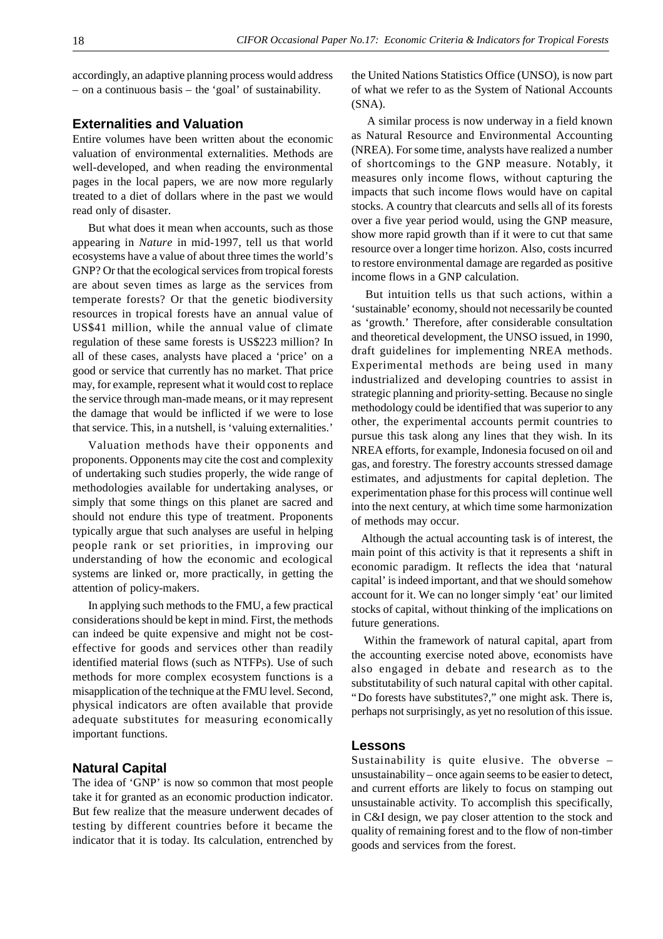accordingly, an adaptive planning process would address – on a continuous basis – the 'goal' of sustainability.

#### **Externalities and Valuation**

Entire volumes have been written about the economic valuation of environmental externalities. Methods are well-developed, and when reading the environmental pages in the local papers, we are now more regularly treated to a diet of dollars where in the past we would read only of disaster.

But what does it mean when accounts, such as those appearing in *Nature* in mid-1997, tell us that world ecosystems have a value of about three times the world's GNP? Or that the ecological services from tropical forests are about seven times as large as the services from temperate forests? Or that the genetic biodiversity resources in tropical forests have an annual value of US\$41 million, while the annual value of climate regulation of these same forests is US\$223 million? In all of these cases, analysts have placed a 'price' on a good or service that currently has no market. That price may, for example, represent what it would cost to replace the service through man-made means, or it may represent the damage that would be inflicted if we were to lose that service. This, in a nutshell, is 'valuing externalities.'

Valuation methods have their opponents and proponents. Opponents may cite the cost and complexity of undertaking such studies properly, the wide range of methodologies available for undertaking analyses, or simply that some things on this planet are sacred and should not endure this type of treatment. Proponents typically argue that such analyses are useful in helping people rank or set priorities, in improving our understanding of how the economic and ecological systems are linked or, more practically, in getting the attention of policy-makers.

In applying such methods to the FMU, a few practical considerations should be kept in mind. First, the methods can indeed be quite expensive and might not be costeffective for goods and services other than readily identified material flows (such as NTFPs). Use of such methods for more complex ecosystem functions is a misapplication of the technique at the FMU level. Second, physical indicators are often available that provide adequate substitutes for measuring economically important functions.

### **Natural Capital**

The idea of 'GNP' is now so common that most people take it for granted as an economic production indicator. But few realize that the measure underwent decades of testing by different countries before it became the indicator that it is today. Its calculation, entrenched by

the United Nations Statistics Office (UNSO), is now part of what we refer to as the System of National Accounts (SNA).

A similar process is now underway in a field known as Natural Resource and Environmental Accounting (NREA). For some time, analysts have realized a number of shortcomings to the GNP measure. Notably, it measures only income flows, without capturing the impacts that such income flows would have on capital stocks. A country that clearcuts and sells all of its forests over a five year period would, using the GNP measure, show more rapid growth than if it were to cut that same resource over a longer time horizon. Also, costs incurred to restore environmental damage are regarded as positive income flows in a GNP calculation.

 But intuition tells us that such actions, within a 'sustainable' economy, should not necessarily be counted as 'growth.' Therefore, after considerable consultation and theoretical development, the UNSO issued, in 1990, draft guidelines for implementing NREA methods. Experimental methods are being used in many industrialized and developing countries to assist in strategic planning and priority-setting. Because no single methodology could be identified that was superior to any other, the experimental accounts permit countries to pursue this task along any lines that they wish. In its NREA efforts, for example, Indonesia focused on oil and gas, and forestry. The forestry accounts stressed damage estimates, and adjustments for capital depletion. The experimentation phase for this process will continue well into the next century, at which time some harmonization of methods may occur.

 Although the actual accounting task is of interest, the main point of this activity is that it represents a shift in economic paradigm. It reflects the idea that 'natural capital' is indeed important, and that we should somehow account for it. We can no longer simply 'eat' our limited stocks of capital, without thinking of the implications on future generations.

 Within the framework of natural capital, apart from the accounting exercise noted above, economists have also engaged in debate and research as to the substitutability of such natural capital with other capital. "Do forests have substitutes?," one might ask. There is, perhaps not surprisingly, as yet no resolution of this issue.

#### **Lessons**

Sustainability is quite elusive. The obverse – unsustainability – once again seems to be easier to detect, and current efforts are likely to focus on stamping out unsustainable activity. To accomplish this specifically, in C&I design, we pay closer attention to the stock and quality of remaining forest and to the flow of non-timber goods and services from the forest.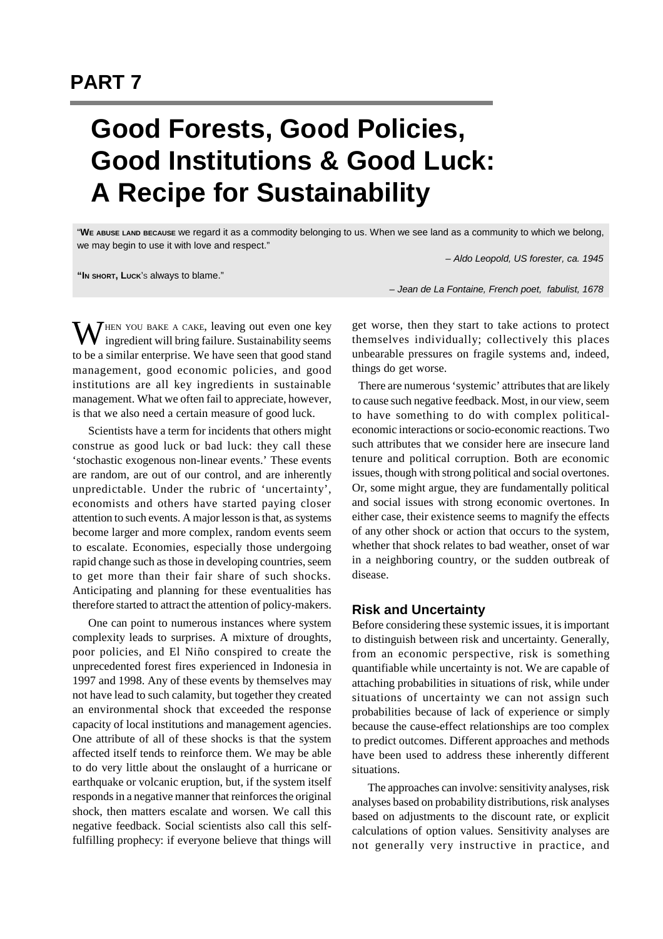# **Good Forests, Good Policies, Good Institutions & Good Luck: A Recipe for Sustainability**

"**WE ABUSE LAND BECAUSE** we regard it as a commodity belonging to us. When we see land as a community to which we belong, we may begin to use it with love and respect."

*– Aldo Leopold, US forester, ca. 1945*

**"IN SHORT, LUCK**'S always to blame."

*– Jean de La Fontaine, French poet, fabulist, 1678*

 $\mathbf{W}$ HEN YOU BAKE A CAKE, leaving out even one key ingredient will bring failure. Sustainability seems to be a similar enterprise. We have seen that good stand management, good economic policies, and good institutions are all key ingredients in sustainable management. What we often fail to appreciate, however, is that we also need a certain measure of good luck.

Scientists have a term for incidents that others might construe as good luck or bad luck: they call these 'stochastic exogenous non-linear events.' These events are random, are out of our control, and are inherently unpredictable. Under the rubric of 'uncertainty', economists and others have started paying closer attention to such events. A major lesson is that, as systems become larger and more complex, random events seem to escalate. Economies, especially those undergoing rapid change such as those in developing countries, seem to get more than their fair share of such shocks. Anticipating and planning for these eventualities has therefore started to attract the attention of policy-makers.

One can point to numerous instances where system complexity leads to surprises. A mixture of droughts, poor policies, and El Niño conspired to create the unprecedented forest fires experienced in Indonesia in 1997 and 1998. Any of these events by themselves may not have lead to such calamity, but together they created an environmental shock that exceeded the response capacity of local institutions and management agencies. One attribute of all of these shocks is that the system affected itself tends to reinforce them. We may be able to do very little about the onslaught of a hurricane or earthquake or volcanic eruption, but, if the system itself responds in a negative manner that reinforces the original shock, then matters escalate and worsen. We call this negative feedback. Social scientists also call this selffulfilling prophecy: if everyone believe that things will get worse, then they start to take actions to protect themselves individually; collectively this places unbearable pressures on fragile systems and, indeed, things do get worse.

 There are numerous 'systemic' attributes that are likely to cause such negative feedback. Most, in our view, seem to have something to do with complex politicaleconomic interactions or socio-economic reactions. Two such attributes that we consider here are insecure land tenure and political corruption. Both are economic issues, though with strong political and social overtones. Or, some might argue, they are fundamentally political and social issues with strong economic overtones. In either case, their existence seems to magnify the effects of any other shock or action that occurs to the system, whether that shock relates to bad weather, onset of war in a neighboring country, or the sudden outbreak of disease.

#### **Risk and Uncertainty**

Before considering these systemic issues, it is important to distinguish between risk and uncertainty. Generally, from an economic perspective, risk is something quantifiable while uncertainty is not. We are capable of attaching probabilities in situations of risk, while under situations of uncertainty we can not assign such probabilities because of lack of experience or simply because the cause-effect relationships are too complex to predict outcomes. Different approaches and methods have been used to address these inherently different situations.

The approaches can involve: sensitivity analyses, risk analyses based on probability distributions, risk analyses based on adjustments to the discount rate, or explicit calculations of option values. Sensitivity analyses are not generally very instructive in practice, and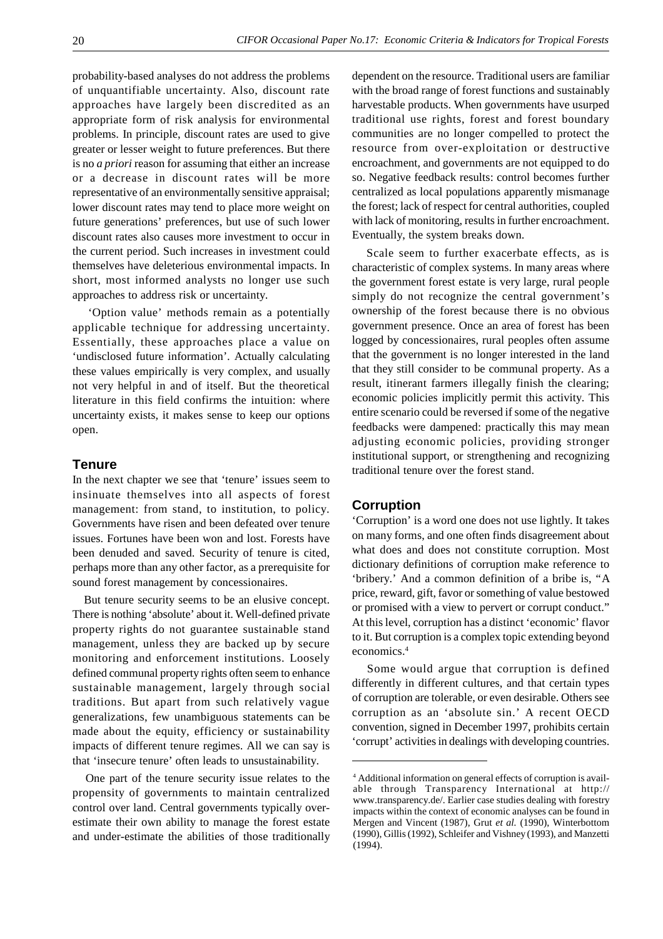probability-based analyses do not address the problems of unquantifiable uncertainty. Also, discount rate approaches have largely been discredited as an appropriate form of risk analysis for environmental problems. In principle, discount rates are used to give greater or lesser weight to future preferences. But there is no *a priori* reason for assuming that either an increase or a decrease in discount rates will be more representative of an environmentally sensitive appraisal; lower discount rates may tend to place more weight on future generations' preferences, but use of such lower discount rates also causes more investment to occur in the current period. Such increases in investment could themselves have deleterious environmental impacts. In short, most informed analysts no longer use such approaches to address risk or uncertainty.

'Option value' methods remain as a potentially applicable technique for addressing uncertainty. Essentially, these approaches place a value on 'undisclosed future information'. Actually calculating these values empirically is very complex, and usually not very helpful in and of itself. But the theoretical literature in this field confirms the intuition: where uncertainty exists, it makes sense to keep our options open.

### **Tenure**

In the next chapter we see that 'tenure' issues seem to insinuate themselves into all aspects of forest management: from stand, to institution, to policy. Governments have risen and been defeated over tenure issues. Fortunes have been won and lost. Forests have been denuded and saved. Security of tenure is cited, perhaps more than any other factor, as a prerequisite for sound forest management by concessionaires.

 But tenure security seems to be an elusive concept. There is nothing 'absolute' about it. Well-defined private property rights do not guarantee sustainable stand management, unless they are backed up by secure monitoring and enforcement institutions. Loosely defined communal property rights often seem to enhance sustainable management, largely through social traditions. But apart from such relatively vague generalizations, few unambiguous statements can be made about the equity, efficiency or sustainability impacts of different tenure regimes. All we can say is that 'insecure tenure' often leads to unsustainability.

 One part of the tenure security issue relates to the propensity of governments to maintain centralized control over land. Central governments typically overestimate their own ability to manage the forest estate and under-estimate the abilities of those traditionally dependent on the resource. Traditional users are familiar with the broad range of forest functions and sustainably harvestable products. When governments have usurped traditional use rights, forest and forest boundary communities are no longer compelled to protect the resource from over-exploitation or destructive encroachment, and governments are not equipped to do so. Negative feedback results: control becomes further centralized as local populations apparently mismanage the forest; lack of respect for central authorities, coupled with lack of monitoring, results in further encroachment. Eventually, the system breaks down.

 Scale seem to further exacerbate effects, as is characteristic of complex systems. In many areas where the government forest estate is very large, rural people simply do not recognize the central government's ownership of the forest because there is no obvious government presence. Once an area of forest has been logged by concessionaires, rural peoples often assume that the government is no longer interested in the land that they still consider to be communal property. As a result, itinerant farmers illegally finish the clearing; economic policies implicitly permit this activity. This entire scenario could be reversed if some of the negative feedbacks were dampened: practically this may mean adjusting economic policies, providing stronger institutional support, or strengthening and recognizing traditional tenure over the forest stand.

#### **Corruption**

'Corruption' is a word one does not use lightly. It takes on many forms, and one often finds disagreement about what does and does not constitute corruption. Most dictionary definitions of corruption make reference to 'bribery.' And a common definition of a bribe is, "A price, reward, gift, favor or something of value bestowed or promised with a view to pervert or corrupt conduct." At this level, corruption has a distinct 'economic' flavor to it. But corruption is a complex topic extending beyond economics.<sup>4</sup>

 Some would argue that corruption is defined differently in different cultures, and that certain types of corruption are tolerable, or even desirable. Others see corruption as an 'absolute sin.' A recent OECD convention, signed in December 1997, prohibits certain 'corrupt' activities in dealings with developing countries.

<sup>4</sup> Additional information on general effects of corruption is available through Transparency International at http:// www.transparency.de/. Earlier case studies dealing with forestry impacts within the context of economic analyses can be found in Mergen and Vincent (1987), Grut *et al.* (1990), Winterbottom (1990), Gillis (1992), Schleifer and Vishney (1993), and Manzetti (1994).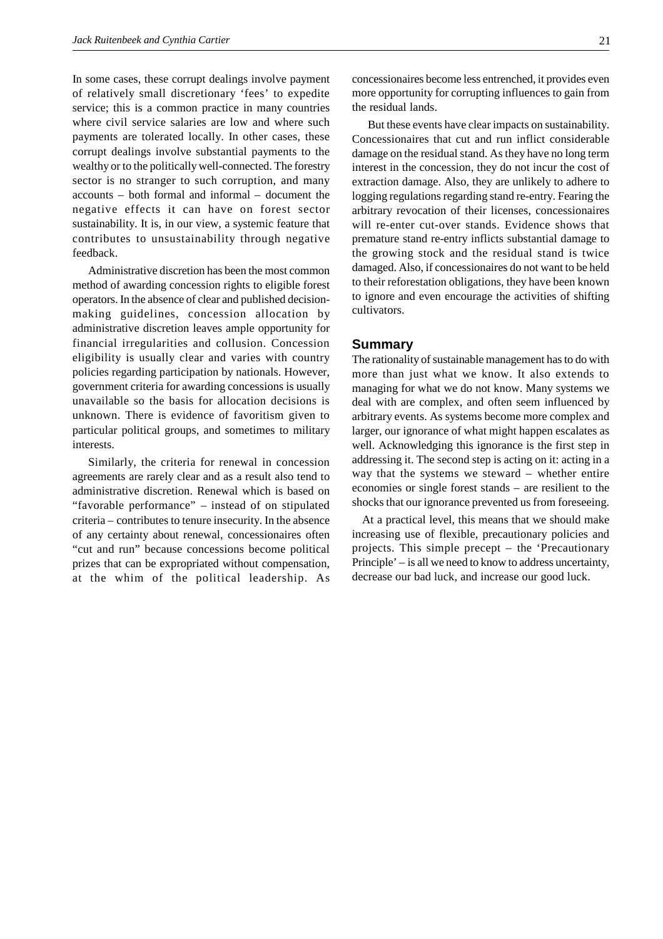In some cases, these corrupt dealings involve payment of relatively small discretionary 'fees' to expedite service; this is a common practice in many countries where civil service salaries are low and where such payments are tolerated locally. In other cases, these corrupt dealings involve substantial payments to the wealthy or to the politically well-connected. The forestry sector is no stranger to such corruption, and many accounts – both formal and informal – document the negative effects it can have on forest sector sustainability. It is, in our view, a systemic feature that contributes to unsustainability through negative feedback.

Administrative discretion has been the most common method of awarding concession rights to eligible forest operators. In the absence of clear and published decisionmaking guidelines, concession allocation by administrative discretion leaves ample opportunity for financial irregularities and collusion. Concession eligibility is usually clear and varies with country policies regarding participation by nationals. However, government criteria for awarding concessions is usually unavailable so the basis for allocation decisions is unknown. There is evidence of favoritism given to particular political groups, and sometimes to military interests.

Similarly, the criteria for renewal in concession agreements are rarely clear and as a result also tend to administrative discretion. Renewal which is based on "favorable performance" – instead of on stipulated criteria – contributes to tenure insecurity. In the absence of any certainty about renewal, concessionaires often "cut and run" because concessions become political prizes that can be expropriated without compensation, at the whim of the political leadership. As

But these events have clear impacts on sustainability. Concessionaires that cut and run inflict considerable damage on the residual stand. As they have no long term interest in the concession, they do not incur the cost of extraction damage. Also, they are unlikely to adhere to logging regulations regarding stand re-entry. Fearing the arbitrary revocation of their licenses, concessionaires will re-enter cut-over stands. Evidence shows that premature stand re-entry inflicts substantial damage to the growing stock and the residual stand is twice damaged. Also, if concessionaires do not want to be held to their reforestation obligations, they have been known to ignore and even encourage the activities of shifting cultivators.

#### **Summary**

The rationality of sustainable management has to do with more than just what we know. It also extends to managing for what we do not know. Many systems we deal with are complex, and often seem influenced by arbitrary events. As systems become more complex and larger, our ignorance of what might happen escalates as well. Acknowledging this ignorance is the first step in addressing it. The second step is acting on it: acting in a way that the systems we steward – whether entire economies or single forest stands – are resilient to the shocks that our ignorance prevented us from foreseeing.

 At a practical level, this means that we should make increasing use of flexible, precautionary policies and projects. This simple precept – the 'Precautionary Principle' – is all we need to know to address uncertainty, decrease our bad luck, and increase our good luck.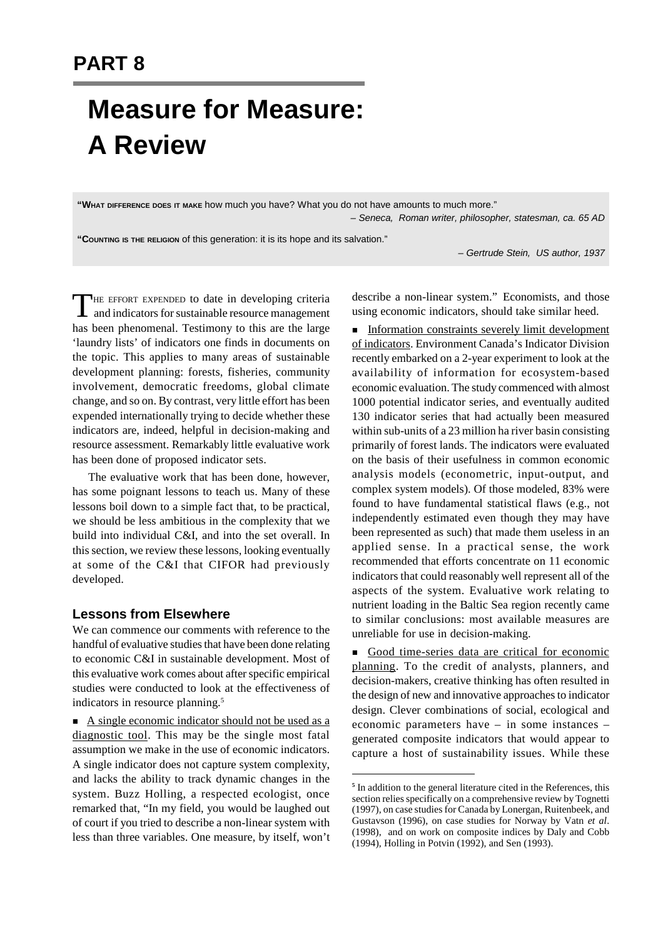# **Measure for Measure: A Review**

**"WHAT DIFFERENCE DOES IT MAKE** how much you have? What you do not have amounts to much more." *– Seneca, Roman writer, philosopher, statesman, ca. 65 AD*

**"COUNTING IS THE RELIGION** of this generation: it is its hope and its salvation."

*– Gertrude Stein, US author, 1937*

THE EFFORT EXPENDED to date in developing criteria<br>and indicators for sustainable resource management HE EFFORT EXPENDED to date in developing criteria has been phenomenal. Testimony to this are the large 'laundry lists' of indicators one finds in documents on the topic. This applies to many areas of sustainable development planning: forests, fisheries, community involvement, democratic freedoms, global climate change, and so on. By contrast, very little effort has been expended internationally trying to decide whether these indicators are, indeed, helpful in decision-making and resource assessment. Remarkably little evaluative work has been done of proposed indicator sets.

The evaluative work that has been done, however, has some poignant lessons to teach us. Many of these lessons boil down to a simple fact that, to be practical, we should be less ambitious in the complexity that we build into individual C&I, and into the set overall. In this section, we review these lessons, looking eventually at some of the C&I that CIFOR had previously developed.

#### **Lessons from Elsewhere**

We can commence our comments with reference to the handful of evaluative studies that have been done relating to economic C&I in sustainable development. Most of this evaluative work comes about after specific empirical studies were conducted to look at the effectiveness of indicators in resource planning.<sup>5</sup>

 $\blacksquare$  A single economic indicator should not be used as a diagnostic tool. This may be the single most fatal assumption we make in the use of economic indicators. A single indicator does not capture system complexity, and lacks the ability to track dynamic changes in the system. Buzz Holling, a respected ecologist, once remarked that, "In my field, you would be laughed out of court if you tried to describe a non-linear system with less than three variables. One measure, by itself, won't describe a non-linear system." Economists, and those using economic indicators, should take similar heed.

**n** Information constraints severely limit development of indicators. Environment Canada's Indicator Division recently embarked on a 2-year experiment to look at the availability of information for ecosystem-based economic evaluation. The study commenced with almost 1000 potential indicator series, and eventually audited 130 indicator series that had actually been measured within sub-units of a 23 million ha river basin consisting primarily of forest lands. The indicators were evaluated on the basis of their usefulness in common economic analysis models (econometric, input-output, and complex system models). Of those modeled, 83% were found to have fundamental statistical flaws (e.g., not independently estimated even though they may have been represented as such) that made them useless in an applied sense. In a practical sense, the work recommended that efforts concentrate on 11 economic indicators that could reasonably well represent all of the aspects of the system. Evaluative work relating to nutrient loading in the Baltic Sea region recently came to similar conclusions: most available measures are unreliable for use in decision-making.

Good time-series data are critical for economic planning. To the credit of analysts, planners, and decision-makers, creative thinking has often resulted in the design of new and innovative approaches to indicator design. Clever combinations of social, ecological and economic parameters have – in some instances – generated composite indicators that would appear to capture a host of sustainability issues. While these

<sup>&</sup>lt;sup>5</sup> In addition to the general literature cited in the References, this section relies specifically on a comprehensive review by Tognetti (1997), on case studies for Canada by Lonergan, Ruitenbeek, and Gustavson (1996), on case studies for Norway by Vatn *et al*. (1998), and on work on composite indices by Daly and Cobb (1994), Holling in Potvin (1992), and Sen (1993).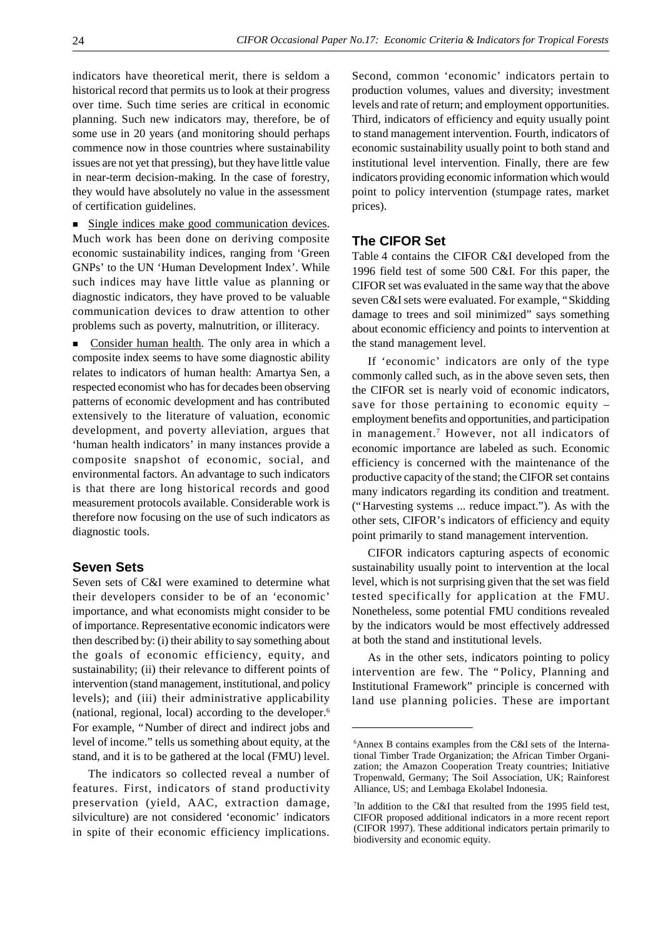indicators have theoretical merit, there is seldom a historical record that permits us to look at their progress over time. Such time series are critical in economic planning. Such new indicators may, therefore, be of some use in 20 years (and monitoring should perhaps commence now in those countries where sustainability issues are not yet that pressing), but they have little value in near-term decision-making. In the case of forestry, they would have absolutely no value in the assessment of certification guidelines.

Single indices make good communication devices. Much work has been done on deriving composite economic sustainability indices, ranging from 'Green GNPs' to the UN 'Human Development Index'. While such indices may have little value as planning or diagnostic indicators, they have proved to be valuable communication devices to draw attention to other problems such as poverty, malnutrition, or illiteracy.

Consider human health. The only area in which a composite index seems to have some diagnostic ability relates to indicators of human health: Amartya Sen, a respected economist who has for decades been observing patterns of economic development and has contributed extensively to the literature of valuation, economic development, and poverty alleviation, argues that 'human health indicators' in many instances provide a composite snapshot of economic, social, and environmental factors. An advantage to such indicators is that there are long historical records and good measurement protocols available. Considerable work is therefore now focusing on the use of such indicators as diagnostic tools.

### **Seven Sets**

Seven sets of C&I were examined to determine what their developers consider to be of an 'economic' importance, and what economists might consider to be of importance. Representative economic indicators were then described by: (i) their ability to say something about the goals of economic efficiency, equity, and sustainability; (ii) their relevance to different points of intervention (stand management, institutional, and policy levels); and (iii) their administrative applicability (national, regional, local) according to the developer.<sup>6</sup> For example, "Number of direct and indirect jobs and level of income." tells us something about equity, at the stand, and it is to be gathered at the local (FMU) level.

The indicators so collected reveal a number of features. First, indicators of stand productivity preservation (yield, AAC, extraction damage, silviculture) are not considered 'economic' indicators in spite of their economic efficiency implications.

Second, common 'economic' indicators pertain to production volumes, values and diversity; investment levels and rate of return; and employment opportunities. Third, indicators of efficiency and equity usually point to stand management intervention. Fourth, indicators of economic sustainability usually point to both stand and institutional level intervention. Finally, there are few indicators providing economic information which would point to policy intervention (stumpage rates, market prices).

#### **The CIFOR Set**

Table 4 contains the CIFOR C&I developed from the 1996 field test of some 500 C&I. For this paper, the CIFOR set was evaluated in the same way that the above seven C&I sets were evaluated. For example, "Skidding damage to trees and soil minimized" says something about economic efficiency and points to intervention at the stand management level.

If 'economic' indicators are only of the type commonly called such, as in the above seven sets, then the CIFOR set is nearly void of economic indicators, save for those pertaining to economic equity – employment benefits and opportunities, and participation in management. 7 However, not all indicators of economic importance are labeled as such. Economic efficiency is concerned with the maintenance of the productive capacity of the stand; the CIFOR set contains many indicators regarding its condition and treatment. ("Harvesting systems ... reduce impact."). As with the other sets, CIFOR's indicators of efficiency and equity point primarily to stand management intervention.

CIFOR indicators capturing aspects of economic sustainability usually point to intervention at the local level, which is not surprising given that the set was field tested specifically for application at the FMU. Nonetheless, some potential FMU conditions revealed by the indicators would be most effectively addressed at both the stand and institutional levels.

As in the other sets, indicators pointing to policy intervention are few. The "Policy, Planning and Institutional Framework" principle is concerned with land use planning policies. These are important

<sup>6</sup>Annex B contains examples from the C&I sets of the International Timber Trade Organization; the African Timber Organization; the Amazon Cooperation Treaty countries; Initiative Tropenwald, Germany; The Soil Association, UK; Rainforest Alliance, US; and Lembaga Ekolabel Indonesia.

<sup>7</sup> In addition to the C&I that resulted from the 1995 field test, CIFOR proposed additional indicators in a more recent report (CIFOR 1997). These additional indicators pertain primarily to biodiversity and economic equity.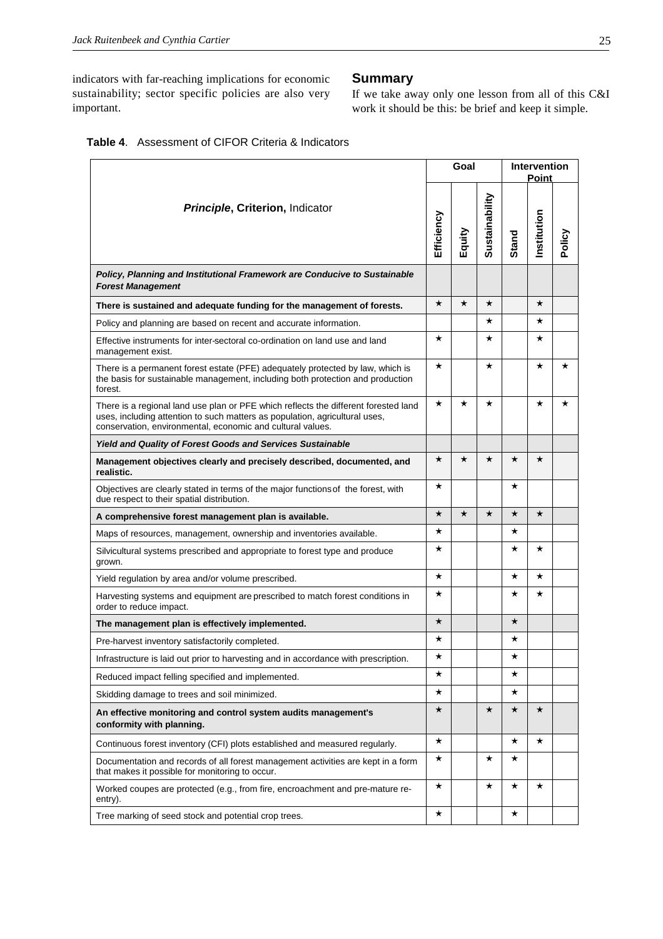indicators with far-reaching implications for economic sustainability; sector specific policies are also very important.

### **Summary**

If we take away only one lesson from all of this C&I work it should be this: be brief and keep it simple.

|  | <b>Table 4.</b> Assessment of CIFOR Criteria & Indicators |  |  |  |
|--|-----------------------------------------------------------|--|--|--|
|--|-----------------------------------------------------------|--|--|--|

|                                                                                                                                                                                                                                  |            | Goal     |                |              | <b>Intervention</b><br>Point |          |  |
|----------------------------------------------------------------------------------------------------------------------------------------------------------------------------------------------------------------------------------|------------|----------|----------------|--------------|------------------------------|----------|--|
| Principle, Criterion, Indicator                                                                                                                                                                                                  | Efficiency | Equity   | Sustainability | <b>Stand</b> | Institution                  | Policy   |  |
| Policy, Planning and Institutional Framework are Conducive to Sustainable<br><b>Forest Management</b>                                                                                                                            |            |          |                |              |                              |          |  |
| There is sustained and adequate funding for the management of forests.                                                                                                                                                           | $\star$    | $\star$  | $^\star$       |              | $\star$                      |          |  |
| Policy and planning are based on recent and accurate information.                                                                                                                                                                |            |          | $^\star$       |              | $\star$                      |          |  |
| Effective instruments for inter-sectoral co-ordination on land use and land<br>management exist.                                                                                                                                 | $\star$    |          | $^\star$       |              | $\star$                      |          |  |
| There is a permanent forest estate (PFE) adequately protected by law, which is<br>the basis for sustainable management, including both protection and production<br>forest.                                                      | $^\star$   |          | $^\star$       |              | $^\star$                     | $^\star$ |  |
| There is a regional land use plan or PFE which reflects the different forested land<br>uses, including attention to such matters as population, agricultural uses,<br>conservation, environmental, economic and cultural values. | $^\star$   | $^\star$ | $^\star$       |              | $^\star$                     | $^\star$ |  |
| <b>Yield and Quality of Forest Goods and Services Sustainable</b>                                                                                                                                                                |            |          |                |              |                              |          |  |
| Management objectives clearly and precisely described, documented, and<br>realistic.                                                                                                                                             | $\star$    | $^\star$ | $^\star$       | $^\star$     | $\star$                      |          |  |
| Objectives are clearly stated in terms of the major functions of the forest, with<br>due respect to their spatial distribution.                                                                                                  | $\star$    |          |                | $^\star$     |                              |          |  |
| A comprehensive forest management plan is available.                                                                                                                                                                             | $\star$    | $\star$  | $\star$        | $^\star$     | $\star$                      |          |  |
| Maps of resources, management, ownership and inventories available.                                                                                                                                                              | $\star$    |          |                | $^\star$     |                              |          |  |
| Silvicultural systems prescribed and appropriate to forest type and produce<br>grown.                                                                                                                                            | $\star$    |          |                | $^\star$     | $^\star$                     |          |  |
| Yield regulation by area and/or volume prescribed.                                                                                                                                                                               | $^\star$   |          |                | $^\star$     | $\star$                      |          |  |
| Harvesting systems and equipment are prescribed to match forest conditions in<br>order to reduce impact.                                                                                                                         | $\star$    |          |                | $^\star$     | $\star$                      |          |  |
| The management plan is effectively implemented.                                                                                                                                                                                  | $\star$    |          |                | $\star$      |                              |          |  |
| Pre-harvest inventory satisfactorily completed.                                                                                                                                                                                  | $^\star$   |          |                | $^\star$     |                              |          |  |
| Infrastructure is laid out prior to harvesting and in accordance with prescription.                                                                                                                                              |            |          |                | л            |                              |          |  |
| Reduced impact felling specified and implemented.                                                                                                                                                                                | $^\star$   |          |                | *            |                              |          |  |
| Skidding damage to trees and soil minimized.                                                                                                                                                                                     | $^\star$   |          |                | $^\star$     |                              |          |  |
| An effective monitoring and control system audits management's<br>conformity with planning.                                                                                                                                      | $\star$    |          | $\star$        | $\star$      | $\star$                      |          |  |
| Continuous forest inventory (CFI) plots established and measured regularly.                                                                                                                                                      | $\star$    |          |                | $^\star$     | $\star$                      |          |  |
| Documentation and records of all forest management activities are kept in a form<br>that makes it possible for monitoring to occur.                                                                                              | $^\star$   |          | $^\star$       | *            |                              |          |  |
| Worked coupes are protected (e.g., from fire, encroachment and pre-mature re-<br>entry).                                                                                                                                         | $\star$    |          | $^\star$       | $^\star$     | $^\star$                     |          |  |
| Tree marking of seed stock and potential crop trees.                                                                                                                                                                             | $^\star$   |          |                | *            |                              |          |  |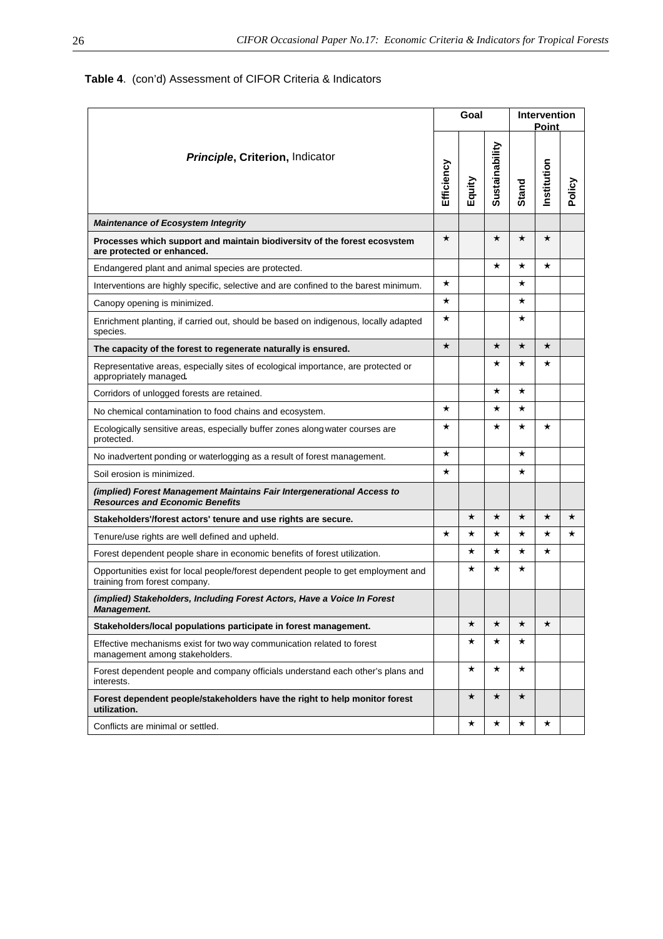# **Table 4**. (con'd) Assessment of CIFOR Criteria & Indicators

|                                                                                                                     |            | Goal     |                | <b>Intervention</b><br><b>Point</b> |             |         |  |
|---------------------------------------------------------------------------------------------------------------------|------------|----------|----------------|-------------------------------------|-------------|---------|--|
| Principle, Criterion, Indicator                                                                                     | Efficiency | Equity   | Sustainability | <b>Stand</b>                        | Institution | Policy  |  |
| <b>Maintenance of Ecosystem Integrity</b>                                                                           |            |          |                |                                     |             |         |  |
| Processes which support and maintain biodiversity of the forest ecosystem<br>are protected or enhanced.             | $\star$    |          | $^\star$       | $\star$                             | $^\star$    |         |  |
| Endangered plant and animal species are protected.                                                                  |            |          | $^\star$       | $^\star$                            | $^\star$    |         |  |
| Interventions are highly specific, selective and are confined to the barest minimum.                                | $^\star$   |          |                | $\star$                             |             |         |  |
| Canopy opening is minimized.                                                                                        | $^\star$   |          |                | $\star$                             |             |         |  |
| Enrichment planting, if carried out, should be based on indigenous, locally adapted<br>species.                     | *          |          |                | $\star$                             |             |         |  |
| The capacity of the forest to regenerate naturally is ensured.                                                      | $\star$    |          | $\star$        | $\star$                             | $\star$     |         |  |
| Representative areas, especially sites of ecological importance, are protected or<br>appropriately managed          |            |          | $^\star$       | $^\star$                            | $^\star$    |         |  |
| Corridors of unlogged forests are retained.                                                                         |            |          | $^\star$       | $^\star$                            |             |         |  |
| No chemical contamination to food chains and ecosystem.                                                             | $^\star$   |          | $^\star$       | $\star$                             |             |         |  |
| Ecologically sensitive areas, especially buffer zones along water courses are<br>protected.                         | *          |          | *              | *                                   | $^\star$    |         |  |
| No inadvertent ponding or waterlogging as a result of forest management.                                            | $^\star$   |          |                | $\star$                             |             |         |  |
| Soil erosion is minimized.                                                                                          | $^\star$   |          |                | $^\star$                            |             |         |  |
| (implied) Forest Management Maintains Fair Intergenerational Access to<br><b>Resources and Economic Benefits</b>    |            |          |                |                                     |             |         |  |
| Stakeholders'/forest actors' tenure and use rights are secure.                                                      |            | $^\star$ | $\star$        | $\star$                             | $\star$     | $\star$ |  |
| Tenure/use rights are well defined and upheld.                                                                      | $^\star$   | *        | $^\star$       | $^\star$                            | ★           | $\star$ |  |
| Forest dependent people share in economic benefits of forest utilization.                                           |            | *        | $^\star$       | $\star$                             | $^\star$    |         |  |
| Opportunities exist for local people/forest dependent people to get employment and<br>training from forest company. |            | $^\star$ | $^\star$       | $\star$                             |             |         |  |
| (implied) Stakeholders, Including Forest Actors, Have a Voice In Forest<br><b>Management.</b>                       |            |          |                |                                     |             |         |  |
| Stakeholders/local populations participate in forest management.                                                    |            | $\star$  | $\star$        | $\star$                             | $\star$     |         |  |
| Effective mechanisms exist for two way communication related to forest<br>management among stakeholders.            |            | $^\star$ | $\star$        | $\star$                             |             |         |  |
| Forest dependent people and company officials understand each other's plans and<br>interests.                       |            | $^\star$ | $^\star$       | $\star$                             |             |         |  |
| Forest dependent people/stakeholders have the right to help monitor forest<br>utilization.                          |            | $\star$  | $\star$        | $\star$                             |             |         |  |
| Conflicts are minimal or settled.                                                                                   |            | ★        | $\star$        | $\star$                             | $^\star$    |         |  |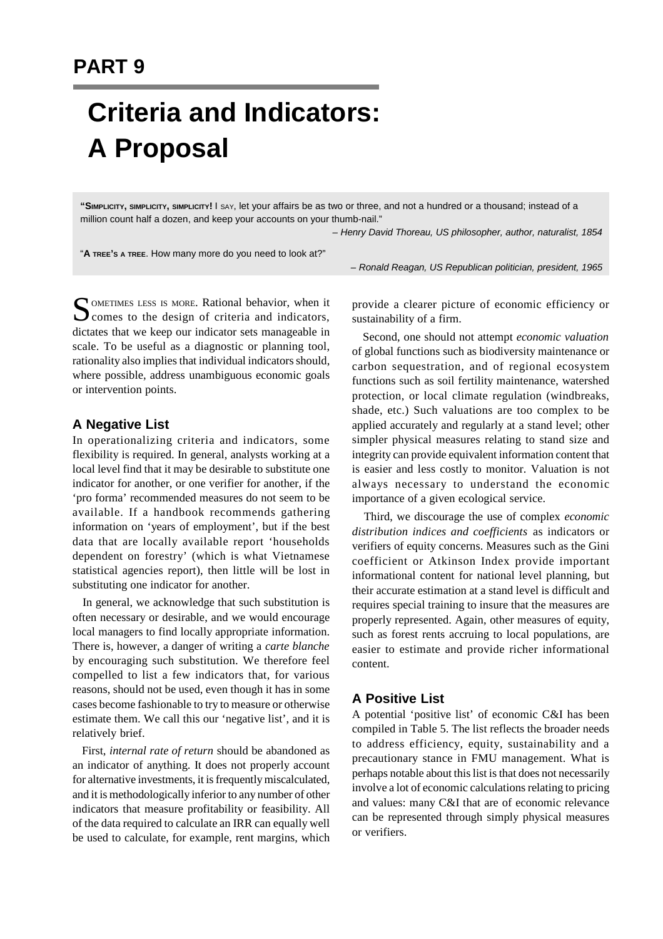# **Criteria and Indicators: A Proposal**

**"SIMPLICITY, SIMPLICITY, SIMPLICITY!** I SAY, let your affairs be as two or three, and not a hundred or a thousand; instead of a million count half a dozen, and keep your accounts on your thumb-nail."

*– Henry David Thoreau, US philosopher, author, naturalist, 1854*

"**A TREE'S A TREE**. How many more do you need to look at?"

*– Ronald Reagan, US Republican politician, president, 1965*

SOMETIMES LESS IS MORE. Rational behavior, when it comes to the design of criteria and indicators, OMETIMES LESS IS MORE. Rational behavior, when it dictates that we keep our indicator sets manageable in scale. To be useful as a diagnostic or planning tool, rationality also implies that individual indicators should, where possible, address unambiguous economic goals or intervention points.

## **A Negative List**

In operationalizing criteria and indicators, some flexibility is required. In general, analysts working at a local level find that it may be desirable to substitute one indicator for another, or one verifier for another, if the 'pro forma' recommended measures do not seem to be available. If a handbook recommends gathering information on 'years of employment', but if the best data that are locally available report 'households dependent on forestry' (which is what Vietnamese statistical agencies report), then little will be lost in substituting one indicator for another.

 In general, we acknowledge that such substitution is often necessary or desirable, and we would encourage local managers to find locally appropriate information. There is, however, a danger of writing a *carte blanche* by encouraging such substitution. We therefore feel compelled to list a few indicators that, for various reasons, should not be used, even though it has in some cases become fashionable to try to measure or otherwise estimate them. We call this our 'negative list', and it is relatively brief.

 First, *internal rate of return* should be abandoned as an indicator of anything. It does not properly account for alternative investments, it is frequently miscalculated, and it is methodologically inferior to any number of other indicators that measure profitability or feasibility. All of the data required to calculate an IRR can equally well be used to calculate, for example, rent margins, which provide a clearer picture of economic efficiency or sustainability of a firm.

 Second, one should not attempt *economic valuation* of global functions such as biodiversity maintenance or carbon sequestration, and of regional ecosystem functions such as soil fertility maintenance, watershed protection, or local climate regulation (windbreaks, shade, etc.) Such valuations are too complex to be applied accurately and regularly at a stand level; other simpler physical measures relating to stand size and integrity can provide equivalent information content that is easier and less costly to monitor. Valuation is not always necessary to understand the economic importance of a given ecological service.

 Third, we discourage the use of complex *economic distribution indices and coefficients* as indicators or verifiers of equity concerns. Measures such as the Gini coefficient or Atkinson Index provide important informational content for national level planning, but their accurate estimation at a stand level is difficult and requires special training to insure that the measures are properly represented. Again, other measures of equity, such as forest rents accruing to local populations, are easier to estimate and provide richer informational content.

## **A Positive List**

A potential 'positive list' of economic C&I has been compiled in Table 5. The list reflects the broader needs to address efficiency, equity, sustainability and a precautionary stance in FMU management. What is perhaps notable about this list is that does not necessarily involve a lot of economic calculations relating to pricing and values: many C&I that are of economic relevance can be represented through simply physical measures or verifiers.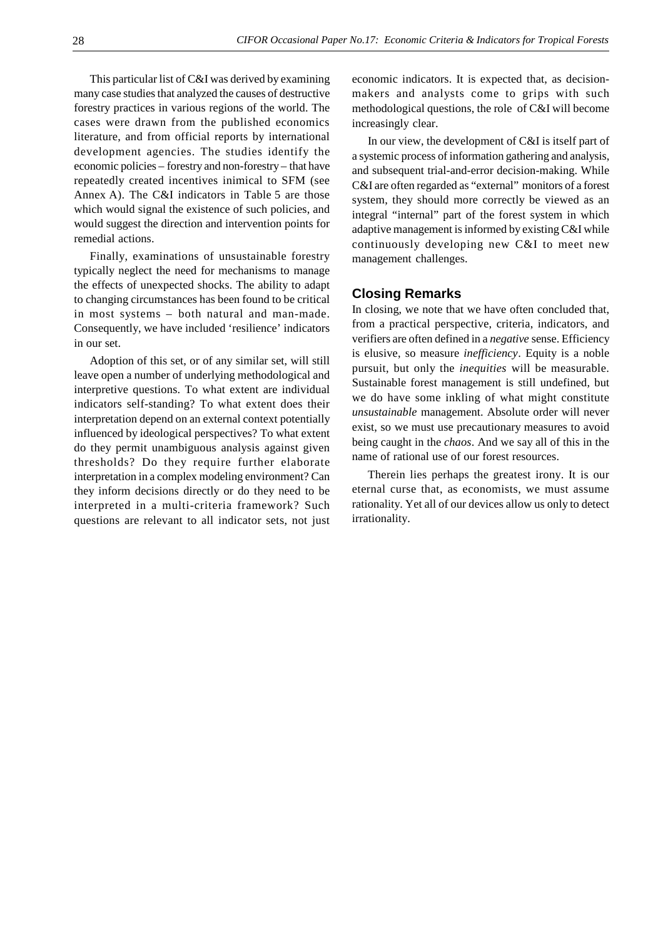This particular list of C&I was derived by examining many case studies that analyzed the causes of destructive forestry practices in various regions of the world. The cases were drawn from the published economics literature, and from official reports by international development agencies. The studies identify the economic policies – forestry and non-forestry – that have repeatedly created incentives inimical to SFM (see Annex A). The C&I indicators in Table 5 are those which would signal the existence of such policies, and would suggest the direction and intervention points for remedial actions.

Finally, examinations of unsustainable forestry typically neglect the need for mechanisms to manage the effects of unexpected shocks. The ability to adapt to changing circumstances has been found to be critical in most systems – both natural and man-made. Consequently, we have included 'resilience' indicators in our set.

Adoption of this set, or of any similar set, will still leave open a number of underlying methodological and interpretive questions. To what extent are individual indicators self-standing? To what extent does their interpretation depend on an external context potentially influenced by ideological perspectives? To what extent do they permit unambiguous analysis against given thresholds? Do they require further elaborate interpretation in a complex modeling environment? Can they inform decisions directly or do they need to be interpreted in a multi-criteria framework? Such questions are relevant to all indicator sets, not just economic indicators. It is expected that, as decisionmakers and analysts come to grips with such methodological questions, the role of C&I will become increasingly clear.

In our view, the development of C&I is itself part of a systemic process of information gathering and analysis, and subsequent trial-and-error decision-making. While C&I are often regarded as "external" monitors of a forest system, they should more correctly be viewed as an integral "internal" part of the forest system in which adaptive management is informed by existing C&I while continuously developing new C&I to meet new management challenges.

#### **Closing Remarks**

In closing, we note that we have often concluded that, from a practical perspective, criteria, indicators, and verifiers are often defined in a *negative* sense. Efficiency is elusive, so measure *inefficiency*. Equity is a noble pursuit, but only the *inequities* will be measurable. Sustainable forest management is still undefined, but we do have some inkling of what might constitute *unsustainable* management. Absolute order will never exist, so we must use precautionary measures to avoid being caught in the *chaos*. And we say all of this in the name of rational use of our forest resources.

Therein lies perhaps the greatest irony. It is our eternal curse that, as economists, we must assume rationality. Yet all of our devices allow us only to detect irrationality.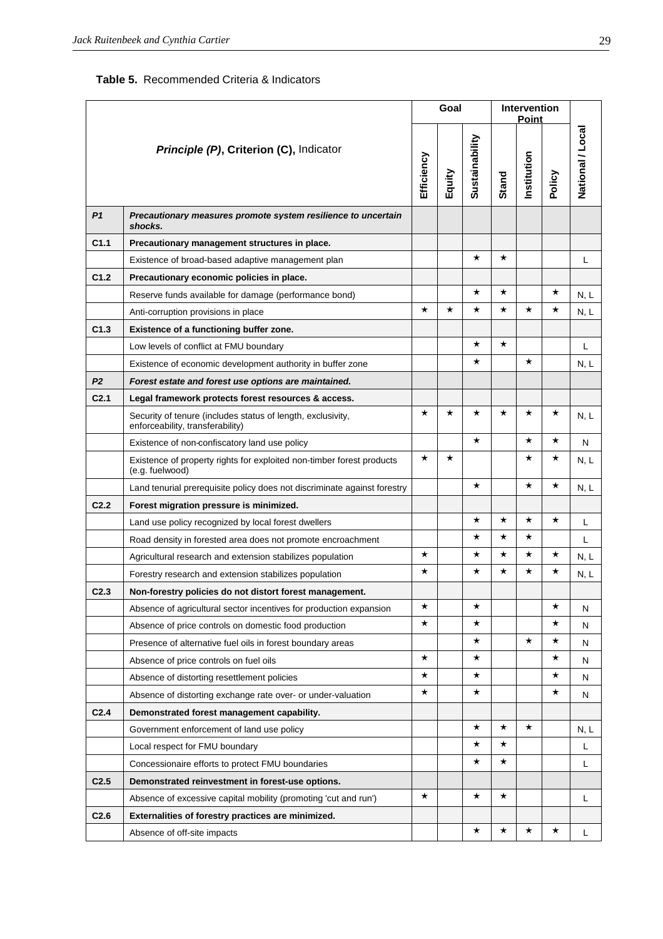| <b>Table 5.</b> Recommended Criteria & Indicators |  |  |
|---------------------------------------------------|--|--|
|                                                   |  |  |

|                  |                                                                                                 |            | Goal     |                |          | <b>Intervention</b><br><b>Point</b> |          |                  |
|------------------|-------------------------------------------------------------------------------------------------|------------|----------|----------------|----------|-------------------------------------|----------|------------------|
|                  | Principle (P), Criterion (C), Indicator                                                         | Efficiency | Equity   | Sustainability | Stand    | Institution                         | Policy   | National / Local |
| P <sub>1</sub>   | Precautionary measures promote system resilience to uncertain<br>shocks.                        |            |          |                |          |                                     |          |                  |
| C1.1             | Precautionary management structures in place.                                                   |            |          |                |          |                                     |          |                  |
|                  | Existence of broad-based adaptive management plan                                               |            |          | $\star$        | $\star$  |                                     |          | Г                |
| C <sub>1.2</sub> | Precautionary economic policies in place.                                                       |            |          |                |          |                                     |          |                  |
|                  | Reserve funds available for damage (performance bond)                                           |            |          | $^\star$       | $\star$  |                                     | $^\star$ | N, L             |
|                  | Anti-corruption provisions in place                                                             | $^\star$   | $^\star$ | $^\star$       | $^\star$ | $^\star$                            | $\star$  | N, L             |
| C <sub>1.3</sub> | Existence of a functioning buffer zone.                                                         |            |          |                |          |                                     |          |                  |
|                  | Low levels of conflict at FMU boundary                                                          |            |          | $^\star$       | $\star$  |                                     |          | L                |
|                  | Existence of economic development authority in buffer zone                                      |            |          | $\star$        |          | $^\star$                            |          | N, L             |
| P <sub>2</sub>   | Forest estate and forest use options are maintained.                                            |            |          |                |          |                                     |          |                  |
| C <sub>2.1</sub> | Legal framework protects forest resources & access.                                             |            |          |                |          |                                     |          |                  |
|                  | Security of tenure (includes status of length, exclusivity,<br>enforceability, transferability) | $^\star$   | $^\star$ | $^\star$       | $\star$  | $^\star$                            | $^\star$ | N, L             |
|                  | Existence of non-confiscatory land use policy                                                   |            |          | $^\star$       |          | $^\star$                            | $^\star$ | N                |
|                  | Existence of property rights for exploited non-timber forest products<br>(e.g. fuelwood)        | $^\star$   | $^\star$ |                |          | $^\star$                            | *        | N, L             |
|                  | Land tenurial prerequisite policy does not discriminate against forestry                        |            |          | $\star$        |          | $\star$                             | $\star$  | N, L             |
| C <sub>2.2</sub> | Forest migration pressure is minimized.                                                         |            |          |                |          |                                     |          |                  |
|                  | Land use policy recognized by local forest dwellers                                             |            |          | $^\star$       | $^\star$ | $^\star$                            | $\star$  | Г                |
|                  | Road density in forested area does not promote encroachment                                     |            |          | $^\star$       | $^\star$ | $^\star$                            |          | L                |
|                  | Agricultural research and extension stabilizes population                                       | $^\star$   |          | $^\star$       | $\star$  | $^\star$                            | $^\star$ | N, L             |
|                  | Forestry research and extension stabilizes population                                           | $\star$    |          | $^\star$       | $^\star$ | $^\star$                            | *        | N, L             |
| C <sub>2.3</sub> | Non-forestry policies do not distort forest management.                                         |            |          |                |          |                                     |          |                  |
|                  | Absence of agricultural sector incentives for production expansion                              | $^\star$   |          | $^\star$       |          |                                     | $^\star$ | Ν                |
|                  | Absence of price controls on domestic food production                                           | $^\star$   |          | $^\star$       |          |                                     | *        | N                |
|                  | Presence of alternative fuel oils in forest boundary areas                                      |            |          | $^\star$       |          | $^\star$                            | *        | N                |
|                  | Absence of price controls on fuel oils                                                          | $\star$    |          | $^\star$       |          |                                     | $^\star$ | N                |
|                  | Absence of distorting resettlement policies                                                     | $^\star$   |          | $^\star$       |          |                                     | *        | N                |
|                  | Absence of distorting exchange rate over- or under-valuation                                    | $^\star$   |          | $^\star$       |          |                                     | $\star$  | N                |
| C <sub>2.4</sub> | Demonstrated forest management capability.                                                      |            |          |                |          |                                     |          |                  |
|                  | Government enforcement of land use policy                                                       |            |          | $^\star$       | $\star$  | $^\star$                            |          | N, L             |
|                  | Local respect for FMU boundary                                                                  |            |          | $^\star$       | $\star$  |                                     |          | Г                |
|                  | Concessionaire efforts to protect FMU boundaries                                                |            |          | $^\star$       | $^\star$ |                                     |          | L                |
| C <sub>2.5</sub> | Demonstrated reinvestment in forest-use options.                                                |            |          |                |          |                                     |          |                  |
|                  | Absence of excessive capital mobility (promoting 'cut and run')                                 | $^\star$   |          | $\star$        | $^\star$ |                                     |          | L                |
| C <sub>2.6</sub> | Externalities of forestry practices are minimized.                                              |            |          |                |          |                                     |          |                  |
|                  | Absence of off-site impacts                                                                     |            |          | $^\star$       | $\star$  | $\star$                             | $\star$  | Г                |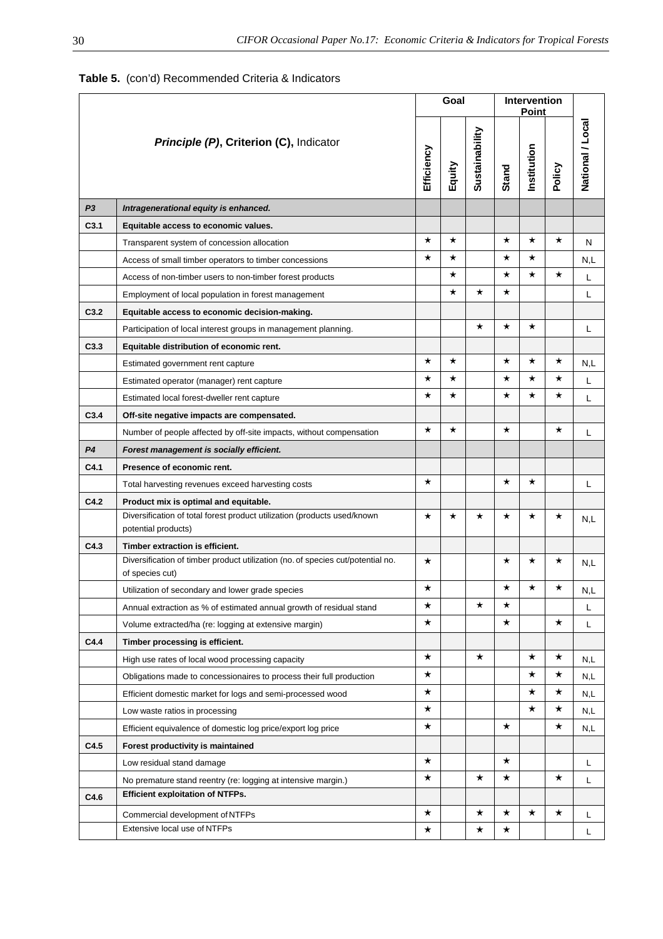|                  |                                                                                                    |            | Goal     |                |              | Intervention<br><b>Point</b> |          |                  |
|------------------|----------------------------------------------------------------------------------------------------|------------|----------|----------------|--------------|------------------------------|----------|------------------|
|                  | Principle (P), Criterion (C), Indicator                                                            | Efficiency | Equity   | Sustainability | <b>Stand</b> | Institution                  | Policy   | National / Local |
| P <sub>3</sub>   | Intragenerational equity is enhanced.                                                              |            |          |                |              |                              |          |                  |
| C <sub>3.1</sub> | Equitable access to economic values.                                                               |            |          |                |              |                              |          |                  |
|                  | Transparent system of concession allocation                                                        | $\star$    | $\star$  |                | $\star$      | $\star$                      | $\star$  | N                |
|                  | Access of small timber operators to timber concessions                                             | $^\star$   | $^\star$ |                | $^\star$     | $^\star$                     |          | N,L              |
|                  | Access of non-timber users to non-timber forest products                                           |            | $^\star$ |                | $^\star$     | $\star$                      | ★        | L                |
|                  | Employment of local population in forest management                                                |            | $\star$  | $^\star$       | $^\star$     |                              |          | L                |
| C3.2             | Equitable access to economic decision-making.                                                      |            |          |                |              |                              |          |                  |
|                  | Participation of local interest groups in management planning.                                     |            |          | $^\star$       | $^\star$     | $^\star$                     |          | L                |
| C3.3             | Equitable distribution of economic rent.                                                           |            |          |                |              |                              |          |                  |
|                  | Estimated government rent capture                                                                  | $^\star$   | $^\star$ |                | $^\star$     | $^\star$                     | $^\star$ | N,L              |
|                  | Estimated operator (manager) rent capture                                                          | $^\star$   | ★        |                | $^\star$     | ★                            | $^\star$ | L                |
|                  | Estimated local forest-dweller rent capture                                                        | $^\star$   | $^\star$ |                | $^\star$     | $\star$                      | $^\star$ | L                |
| C3.4             | Off-site negative impacts are compensated.                                                         |            |          |                |              |                              |          |                  |
|                  | Number of people affected by off-site impacts, without compensation                                | $\star$    | $^\star$ |                | $^\star$     |                              | $^\star$ | L                |
| P <sub>4</sub>   | Forest management is socially efficient.                                                           |            |          |                |              |                              |          |                  |
| C4.1             | Presence of economic rent.                                                                         |            |          |                |              |                              |          |                  |
|                  | Total harvesting revenues exceed harvesting costs                                                  | $^\star$   |          |                | $^\star$     | $^\star$                     |          | L                |
| C4.2             | Product mix is optimal and equitable.                                                              |            |          |                |              |                              |          |                  |
|                  | Diversification of total forest product utilization (products used/known<br>potential products)    | $\star$    | $^\star$ | *              | $^\star$     | $\star$                      | ★        | N,L              |
| C4.3             | Timber extraction is efficient.                                                                    |            |          |                |              |                              |          |                  |
|                  | Diversification of timber product utilization (no. of species cut/potential no.<br>of species cut) | $\star$    |          |                | $^\star$     | $\star$                      | ★        | N,L              |
|                  | Utilization of secondary and lower grade species                                                   |            |          |                |              |                              |          | N,L              |
|                  | Annual extraction as % of estimated annual growth of residual stand                                | $\star$    |          | $^\star$       | $\star$      |                              |          | L                |
|                  | Volume extracted/ha (re: logging at extensive margin)                                              | $\star$    |          |                | $\star$      |                              | $\star$  | L                |
| C4.4             | Timber processing is efficient.                                                                    |            |          |                |              |                              |          |                  |
|                  | High use rates of local wood processing capacity                                                   | $\star$    |          | $\star$        |              | $\star$                      | $\star$  | N,L              |
|                  | Obligations made to concessionaires to process their full production                               | $\star$    |          |                |              | $\star$                      | $\star$  | N,L              |
|                  | Efficient domestic market for logs and semi-processed wood                                         | $\star$    |          |                |              | $\star$                      | $\star$  | N,L              |
|                  | Low waste ratios in processing                                                                     | $\star$    |          |                |              | $\star$                      | $\star$  | N,L              |
|                  | Efficient equivalence of domestic log price/export log price                                       | $\star$    |          |                | $\star$      |                              | $\star$  | N,L              |
| C4.5             | Forest productivity is maintained                                                                  |            |          |                |              |                              |          |                  |
|                  | Low residual stand damage                                                                          | $\star$    |          |                | $\star$      |                              |          | L                |
|                  | No premature stand reentry (re: logging at intensive margin.)                                      | $\star$    |          | $\star$        | $\star$      |                              | $\star$  | L                |
| C4.6             | <b>Efficient exploitation of NTFPs.</b>                                                            |            |          |                |              |                              |          |                  |
|                  | Commercial development of NTFPs                                                                    | $\star$    |          | $\star$        | $\star$      | $\star$                      | $\star$  | L                |
|                  | Extensive local use of NTFPs                                                                       | $\star$    |          | $\star$        | $\star$      |                              |          | L                |

# **Table 5.** (con'd) Recommended Criteria & Indicators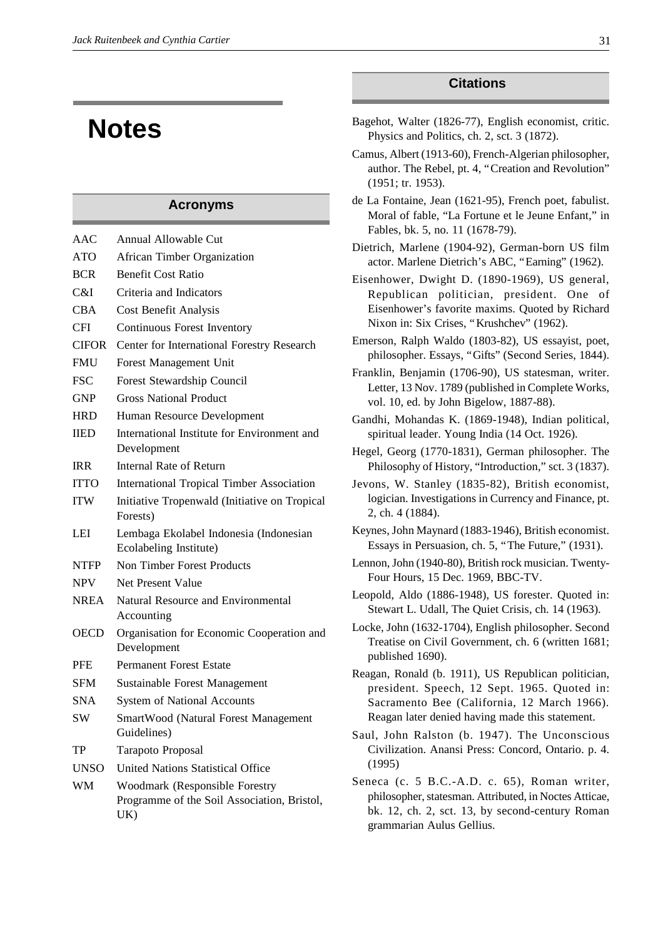# **Notes**

## **Acronyms**

| AAC          | Annual Allowable Cut                                                                        |
|--------------|---------------------------------------------------------------------------------------------|
| <b>ATO</b>   | African Timber Organization                                                                 |
| <b>BCR</b>   | <b>Benefit Cost Ratio</b>                                                                   |
| C&I          | Criteria and Indicators                                                                     |
| CBA          | Cost Benefit Analysis                                                                       |
| <b>CFI</b>   | <b>Continuous Forest Inventory</b>                                                          |
| <b>CIFOR</b> | Center for International Forestry Research                                                  |
| <b>FMU</b>   | Forest Management Unit                                                                      |
| <b>FSC</b>   | Forest Stewardship Council                                                                  |
| GNP          | <b>Gross National Product</b>                                                               |
| HRD          | Human Resource Development                                                                  |
| <b>IIED</b>  | International Institute for Environment and<br>Development                                  |
| <b>IRR</b>   | <b>Internal Rate of Return</b>                                                              |
| <b>ITTO</b>  | <b>International Tropical Timber Association</b>                                            |
| <b>ITW</b>   | Initiative Tropenwald (Initiative on Tropical<br>Forests)                                   |
| LEI          | Lembaga Ekolabel Indonesia (Indonesian<br>Ecolabeling Institute)                            |
| <b>NTFP</b>  | <b>Non Timber Forest Products</b>                                                           |
| <b>NPV</b>   | Net Present Value                                                                           |
| <b>NREA</b>  | <b>Natural Resource and Environmental</b><br>Accounting                                     |
| <b>OECD</b>  | Organisation for Economic Cooperation and<br>Development                                    |
| <b>PFE</b>   | <b>Permanent Forest Estate</b>                                                              |
| <b>SFM</b>   | <b>Sustainable Forest Management</b>                                                        |
| <b>SNA</b>   | <b>System of National Accounts</b>                                                          |
| <b>SW</b>    | SmartWood (Natural Forest Management<br>Guidelines)                                         |
| TP           | Tarapoto Proposal                                                                           |
| UNSO         | <b>United Nations Statistical Office</b>                                                    |
| WM           | <b>Woodmark (Responsible Forestry</b><br>Programme of the Soil Association, Bristol,<br>UK) |
|              |                                                                                             |

# **Citations**

- Bagehot, Walter (1826-77), English economist, critic. Physics and Politics, ch. 2, sct. 3 (1872).
- Camus, Albert (1913-60), French-Algerian philosopher, author. The Rebel, pt. 4, "Creation and Revolution" (1951; tr. 1953).
- de La Fontaine, Jean (1621-95), French poet, fabulist. Moral of fable, "La Fortune et le Jeune Enfant," in Fables, bk. 5, no. 11 (1678-79).
- Dietrich, Marlene (1904-92), German-born US film actor. Marlene Dietrich's ABC, "Earning" (1962).
- Eisenhower, Dwight D. (1890-1969), US general, Republican politician, president. One of Eisenhower's favorite maxims. Quoted by Richard Nixon in: Six Crises, "Krushchev" (1962).
- Emerson, Ralph Waldo (1803-82), US essayist, poet, philosopher. Essays, "Gifts" (Second Series, 1844).
- Franklin, Benjamin (1706-90), US statesman, writer. Letter, 13 Nov. 1789 (published in Complete Works, vol. 10, ed. by John Bigelow, 1887-88).
- Gandhi, Mohandas K. (1869-1948), Indian political, spiritual leader. Young India (14 Oct. 1926).
- Hegel, Georg (1770-1831), German philosopher. The Philosophy of History, "Introduction," sct. 3 (1837).
- Jevons, W. Stanley (1835-82), British economist, logician. Investigations in Currency and Finance, pt. 2, ch. 4 (1884).
- Keynes, John Maynard (1883-1946), British economist. Essays in Persuasion, ch. 5, "The Future," (1931).
- Lennon, John (1940-80), British rock musician. Twenty-Four Hours, 15 Dec. 1969, BBC-TV.
- Leopold, Aldo (1886-1948), US forester. Quoted in: Stewart L. Udall, The Quiet Crisis, ch. 14 (1963).
- Locke, John (1632-1704), English philosopher. Second Treatise on Civil Government, ch. 6 (written 1681; published 1690).
- Reagan, Ronald (b. 1911), US Republican politician, president. Speech, 12 Sept. 1965. Quoted in: Sacramento Bee (California, 12 March 1966). Reagan later denied having made this statement.
- Saul, John Ralston (b. 1947). The Unconscious Civilization. Anansi Press: Concord, Ontario. p. 4. (1995)
- Seneca (c. 5 B.C.-A.D. c. 65), Roman writer, philosopher, statesman. Attributed, in Noctes Atticae, bk. 12, ch. 2, sct. 13, by second-century Roman grammarian Aulus Gellius.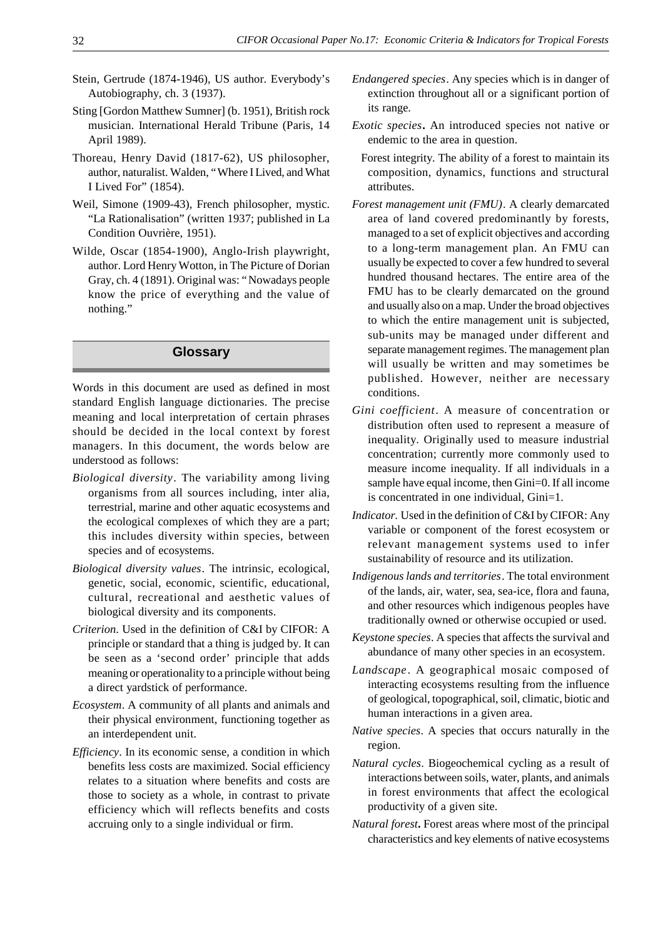- Stein, Gertrude (1874-1946), US author. Everybody's Autobiography, ch. 3 (1937).
- Sting [Gordon Matthew Sumner] (b. 1951), British rock musician. International Herald Tribune (Paris, 14 April 1989).
- Thoreau, Henry David (1817-62), US philosopher, author, naturalist. Walden, "Where I Lived, and What I Lived For" (1854).
- Weil, Simone (1909-43), French philosopher, mystic. "La Rationalisation" (written 1937; published in La Condition Ouvrière, 1951).
- Wilde, Oscar (1854-1900), Anglo-Irish playwright, author. Lord Henry Wotton, in The Picture of Dorian Gray, ch. 4 (1891). Original was: "Nowadays people know the price of everything and the value of nothing."

# **Glossary**

Words in this document are used as defined in most standard English language dictionaries. The precise meaning and local interpretation of certain phrases should be decided in the local context by forest managers. In this document, the words below are understood as follows:

- *Biological diversity*. The variability among living organisms from all sources including, inter alia, terrestrial, marine and other aquatic ecosystems and the ecological complexes of which they are a part; this includes diversity within species, between species and of ecosystems.
- *Biological diversity values*. The intrinsic, ecological, genetic, social, economic, scientific, educational, cultural, recreational and aesthetic values of biological diversity and its components.
- *Criterion*. Used in the definition of C&I by CIFOR: A principle or standard that a thing is judged by. It can be seen as a 'second order' principle that adds meaning or operationality to a principle without being a direct yardstick of performance.
- *Ecosystem*. A community of all plants and animals and their physical environment, functioning together as an interdependent unit.
- *Efficiency*. In its economic sense, a condition in which benefits less costs are maximized. Social efficiency relates to a situation where benefits and costs are those to society as a whole, in contrast to private efficiency which will reflects benefits and costs accruing only to a single individual or firm.
- *Endangered species*. Any species which is in danger of extinction throughout all or a significant portion of its range.
- *Exotic species***.** An introduced species not native or endemic to the area in question.
- Forest integrity. The ability of a forest to maintain its composition, dynamics, functions and structural attributes.
- *Forest management unit (FMU)*. A clearly demarcated area of land covered predominantly by forests, managed to a set of explicit objectives and according to a long-term management plan. An FMU can usually be expected to cover a few hundred to several hundred thousand hectares. The entire area of the FMU has to be clearly demarcated on the ground and usually also on a map. Under the broad objectives to which the entire management unit is subjected, sub-units may be managed under different and separate management regimes. The management plan will usually be written and may sometimes be published. However, neither are necessary conditions.
- *Gini coefficient*. A measure of concentration or distribution often used to represent a measure of inequality. Originally used to measure industrial concentration; currently more commonly used to measure income inequality. If all individuals in a sample have equal income, then Gini=0. If all income is concentrated in one individual, Gini=1.
- *Indicator.* Used in the definition of C&I by CIFOR: Any variable or component of the forest ecosystem or relevant management systems used to infer sustainability of resource and its utilization.
- *Indigenous lands and territories*. The total environment of the lands, air, water, sea, sea-ice, flora and fauna, and other resources which indigenous peoples have traditionally owned or otherwise occupied or used.
- *Keystone species*. A species that affects the survival and abundance of many other species in an ecosystem.
- *Landscape* . A geographical mosaic composed of interacting ecosystems resulting from the influence of geological, topographical, soil, climatic, biotic and human interactions in a given area.
- *Native species*. A species that occurs naturally in the region.
- *Natural cycles*. Biogeochemical cycling as a result of interactions between soils, water, plants, and animals in forest environments that affect the ecological productivity of a given site.
- *Natural forest***.** Forest areas where most of the principal characteristics and key elements of native ecosystems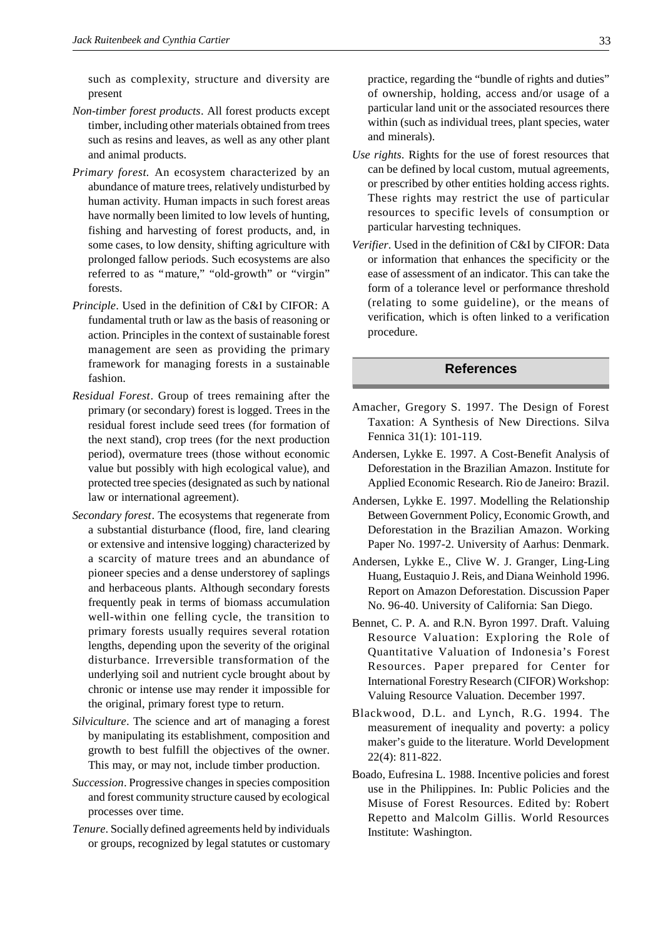such as complexity, structure and diversity are present

- *Non-timber forest products*. All forest products except timber, including other materials obtained from trees such as resins and leaves, as well as any other plant and animal products.
- *Primary forest.* An ecosystem characterized by an abundance of mature trees, relatively undisturbed by human activity. Human impacts in such forest areas have normally been limited to low levels of hunting, fishing and harvesting of forest products, and, in some cases, to low density, shifting agriculture with prolonged fallow periods. Such ecosystems are also referred to as "mature," "old-growth" or "virgin" forests.
- *Principle*. Used in the definition of C&I by CIFOR: A fundamental truth or law as the basis of reasoning or action. Principles in the context of sustainable forest management are seen as providing the primary framework for managing forests in a sustainable fashion.
- *Residual Forest*. Group of trees remaining after the primary (or secondary) forest is logged. Trees in the residual forest include seed trees (for formation of the next stand), crop trees (for the next production period), overmature trees (those without economic value but possibly with high ecological value), and protected tree species (designated as such by national law or international agreement).
- *Secondary forest*. The ecosystems that regenerate from a substantial disturbance (flood, fire, land clearing or extensive and intensive logging) characterized by a scarcity of mature trees and an abundance of pioneer species and a dense understorey of saplings and herbaceous plants. Although secondary forests frequently peak in terms of biomass accumulation well-within one felling cycle, the transition to primary forests usually requires several rotation lengths, depending upon the severity of the original disturbance. Irreversible transformation of the underlying soil and nutrient cycle brought about by chronic or intense use may render it impossible for the original, primary forest type to return.
- *Silviculture*. The science and art of managing a forest by manipulating its establishment, composition and growth to best fulfill the objectives of the owner. This may, or may not, include timber production.
- *Succession*. Progressive changes in species composition and forest community structure caused by ecological processes over time.
- *Tenure*. Socially defined agreements held by individuals or groups, recognized by legal statutes or customary

practice, regarding the "bundle of rights and duties" of ownership, holding, access and/or usage of a particular land unit or the associated resources there within (such as individual trees, plant species, water and minerals).

- *Use rights*. Rights for the use of forest resources that can be defined by local custom, mutual agreements, or prescribed by other entities holding access rights. These rights may restrict the use of particular resources to specific levels of consumption or particular harvesting techniques.
- *Verifier*. Used in the definition of C&I by CIFOR: Data or information that enhances the specificity or the ease of assessment of an indicator. This can take the form of a tolerance level or performance threshold (relating to some guideline), or the means of verification, which is often linked to a verification procedure.

### **References**

- Amacher, Gregory S. 1997. The Design of Forest Taxation: A Synthesis of New Directions. Silva Fennica 31(1): 101-119.
- Andersen, Lykke E. 1997. A Cost-Benefit Analysis of Deforestation in the Brazilian Amazon. Institute for Applied Economic Research. Rio de Janeiro: Brazil.
- Andersen, Lykke E. 1997. Modelling the Relationship Between Government Policy, Economic Growth, and Deforestation in the Brazilian Amazon. Working Paper No. 1997-2. University of Aarhus: Denmark.
- Andersen, Lykke E., Clive W. J. Granger, Ling-Ling Huang, Eustaquio J. Reis, and Diana Weinhold 1996. Report on Amazon Deforestation. Discussion Paper No. 96-40. University of California: San Diego.
- Bennet, C. P. A. and R.N. Byron 1997. Draft. Valuing Resource Valuation: Exploring the Role of Quantitative Valuation of Indonesia's Forest Resources. Paper prepared for Center for International Forestry Research (CIFOR) Workshop: Valuing Resource Valuation. December 1997.
- Blackwood, D.L. and Lynch, R.G. 1994. The measurement of inequality and poverty: a policy maker's guide to the literature. World Development 22(4): 811-822.
- Boado, Eufresina L. 1988. Incentive policies and forest use in the Philippines. In: Public Policies and the Misuse of Forest Resources. Edited by: Robert Repetto and Malcolm Gillis. World Resources Institute: Washington.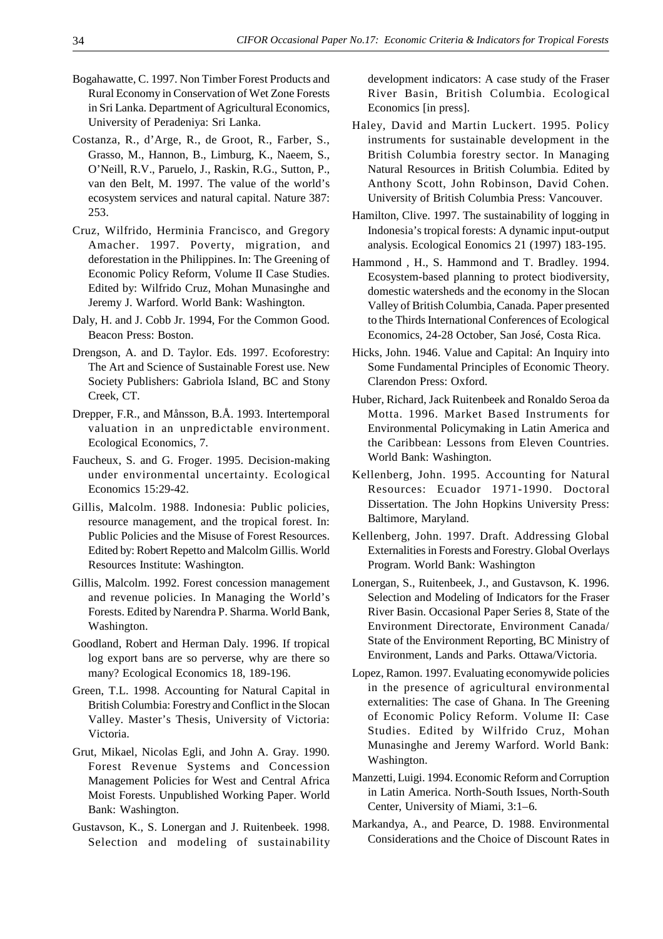- Bogahawatte, C. 1997. Non Timber Forest Products and Rural Economy in Conservation of Wet Zone Forests in Sri Lanka. Department of Agricultural Economics, University of Peradeniya: Sri Lanka.
- Costanza, R., d'Arge, R., de Groot, R., Farber, S., Grasso, M., Hannon, B., Limburg, K., Naeem, S., O'Neill, R.V., Paruelo, J., Raskin, R.G., Sutton, P., van den Belt, M. 1997. The value of the world's ecosystem services and natural capital. Nature 387: 253.
- Cruz, Wilfrido, Herminia Francisco, and Gregory Amacher. 1997. Poverty, migration, and deforestation in the Philippines. In: The Greening of Economic Policy Reform, Volume II Case Studies. Edited by: Wilfrido Cruz, Mohan Munasinghe and Jeremy J. Warford. World Bank: Washington.
- Daly, H. and J. Cobb Jr. 1994, For the Common Good. Beacon Press: Boston.
- Drengson, A. and D. Taylor. Eds. 1997. Ecoforestry: The Art and Science of Sustainable Forest use. New Society Publishers: Gabriola Island, BC and Stony Creek, CT.
- Drepper, F.R., and Månsson, B.Å. 1993. Intertemporal valuation in an unpredictable environment. Ecological Economics, 7.
- Faucheux, S. and G. Froger. 1995. Decision-making under environmental uncertainty. Ecological Economics 15:29-42.
- Gillis, Malcolm. 1988. Indonesia: Public policies, resource management, and the tropical forest. In: Public Policies and the Misuse of Forest Resources. Edited by: Robert Repetto and Malcolm Gillis. World Resources Institute: Washington.
- Gillis, Malcolm. 1992. Forest concession management and revenue policies. In Managing the World's Forests. Edited by Narendra P. Sharma. World Bank, Washington.
- Goodland, Robert and Herman Daly. 1996. If tropical log export bans are so perverse, why are there so many? Ecological Economics 18, 189-196.
- Green, T.L. 1998. Accounting for Natural Capital in British Columbia: Forestry and Conflict in the Slocan Valley. Master's Thesis, University of Victoria: Victoria.
- Grut, Mikael, Nicolas Egli, and John A. Gray. 1990. Forest Revenue Systems and Concession Management Policies for West and Central Africa Moist Forests. Unpublished Working Paper. World Bank: Washington.
- Gustavson, K., S. Lonergan and J. Ruitenbeek. 1998. Selection and modeling of sustainability

development indicators: A case study of the Fraser River Basin, British Columbia. Ecological Economics [in press].

- Haley, David and Martin Luckert. 1995. Policy instruments for sustainable development in the British Columbia forestry sector. In Managing Natural Resources in British Columbia. Edited by Anthony Scott, John Robinson, David Cohen. University of British Columbia Press: Vancouver.
- Hamilton, Clive. 1997. The sustainability of logging in Indonesia's tropical forests: A dynamic input-output analysis. Ecological Eonomics 21 (1997) 183-195.
- Hammond , H., S. Hammond and T. Bradley. 1994. Ecosystem-based planning to protect biodiversity, domestic watersheds and the economy in the Slocan Valley of British Columbia, Canada. Paper presented to the Thirds International Conferences of Ecological Economics, 24-28 October, San José, Costa Rica.
- Hicks, John. 1946. Value and Capital: An Inquiry into Some Fundamental Principles of Economic Theory. Clarendon Press: Oxford.
- Huber, Richard, Jack Ruitenbeek and Ronaldo Seroa da Motta. 1996. Market Based Instruments for Environmental Policymaking in Latin America and the Caribbean: Lessons from Eleven Countries. World Bank: Washington.
- Kellenberg, John. 1995. Accounting for Natural Resources: Ecuador 1971-1990. Doctoral Dissertation. The John Hopkins University Press: Baltimore, Maryland.
- Kellenberg, John. 1997. Draft. Addressing Global Externalities in Forests and Forestry. Global Overlays Program. World Bank: Washington
- Lonergan, S., Ruitenbeek, J., and Gustavson, K. 1996. Selection and Modeling of Indicators for the Fraser River Basin. Occasional Paper Series 8, State of the Environment Directorate, Environment Canada/ State of the Environment Reporting, BC Ministry of Environment, Lands and Parks. Ottawa/Victoria.
- Lopez, Ramon. 1997. Evaluating economywide policies in the presence of agricultural environmental externalities: The case of Ghana. In The Greening of Economic Policy Reform. Volume II: Case Studies. Edited by Wilfrido Cruz, Mohan Munasinghe and Jeremy Warford. World Bank: Washington.
- Manzetti, Luigi. 1994. Economic Reform and Corruption in Latin America. North-South Issues, North-South Center, University of Miami, 3:1–6.
- Markandya, A., and Pearce, D. 1988. Environmental Considerations and the Choice of Discount Rates in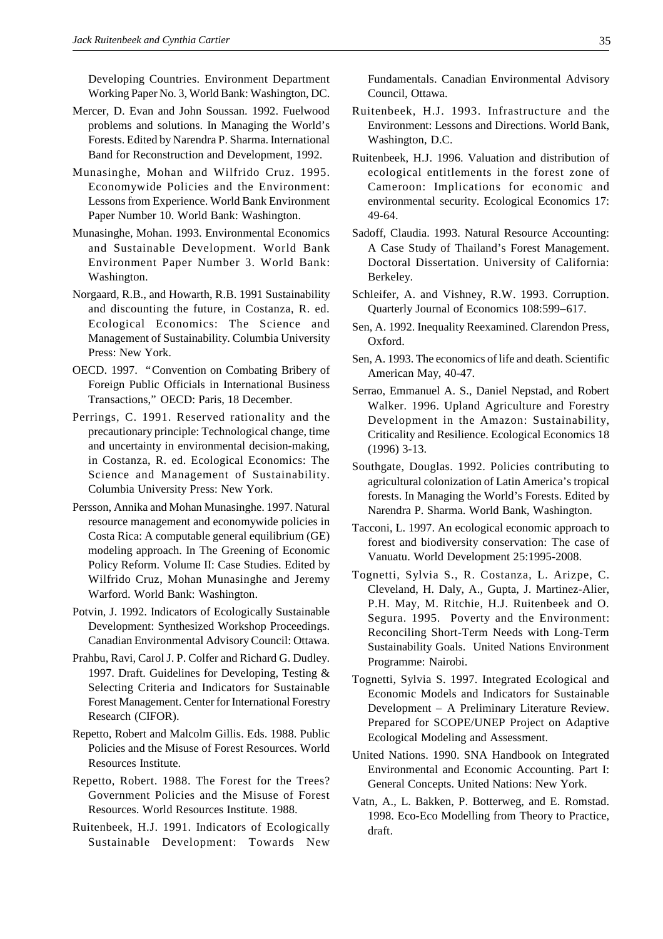Developing Countries. Environment Department Working Paper No. 3, World Bank: Washington, DC.

- Mercer, D. Evan and John Soussan. 1992. Fuelwood problems and solutions. In Managing the World's Forests. Edited by Narendra P. Sharma. International Band for Reconstruction and Development, 1992.
- Munasinghe, Mohan and Wilfrido Cruz. 1995. Economywide Policies and the Environment: Lessons from Experience. World Bank Environment Paper Number 10. World Bank: Washington.
- Munasinghe, Mohan. 1993. Environmental Economics and Sustainable Development. World Bank Environment Paper Number 3. World Bank: Washington.
- Norgaard, R.B., and Howarth, R.B. 1991 Sustainability and discounting the future, in Costanza, R. ed. Ecological Economics: The Science and Management of Sustainability. Columbia University Press: New York.
- OECD. 1997. "Convention on Combating Bribery of Foreign Public Officials in International Business Transactions," OECD: Paris, 18 December.
- Perrings, C. 1991. Reserved rationality and the precautionary principle: Technological change, time and uncertainty in environmental decision-making, in Costanza, R. ed. Ecological Economics: The Science and Management of Sustainability. Columbia University Press: New York.
- Persson, Annika and Mohan Munasinghe. 1997. Natural resource management and economywide policies in Costa Rica: A computable general equilibrium (GE) modeling approach. In The Greening of Economic Policy Reform. Volume II: Case Studies. Edited by Wilfrido Cruz, Mohan Munasinghe and Jeremy Warford. World Bank: Washington.
- Potvin, J. 1992. Indicators of Ecologically Sustainable Development: Synthesized Workshop Proceedings. Canadian Environmental Advisory Council: Ottawa.
- Prahbu, Ravi, Carol J. P. Colfer and Richard G. Dudley. 1997. Draft. Guidelines for Developing, Testing & Selecting Criteria and Indicators for Sustainable Forest Management. Center for International Forestry Research (CIFOR).
- Repetto, Robert and Malcolm Gillis. Eds. 1988. Public Policies and the Misuse of Forest Resources. World Resources Institute.
- Repetto, Robert. 1988. The Forest for the Trees? Government Policies and the Misuse of Forest Resources. World Resources Institute. 1988.
- Ruitenbeek, H.J. 1991. Indicators of Ecologically Sustainable Development: Towards New

Fundamentals. Canadian Environmental Advisory Council, Ottawa.

- Ruitenbeek, H.J. 1993. Infrastructure and the Environment: Lessons and Directions. World Bank, Washington, D.C.
- Ruitenbeek, H.J. 1996. Valuation and distribution of ecological entitlements in the forest zone of Cameroon: Implications for economic and environmental security. Ecological Economics 17: 49-64.
- Sadoff, Claudia. 1993. Natural Resource Accounting: A Case Study of Thailand's Forest Management. Doctoral Dissertation. University of California: Berkeley.
- Schleifer, A. and Vishney, R.W. 1993. Corruption. Quarterly Journal of Economics 108:599–617.
- Sen, A. 1992. Inequality Reexamined. Clarendon Press, Oxford.
- Sen, A. 1993. The economics of life and death. Scientific American May, 40-47.
- Serrao, Emmanuel A. S., Daniel Nepstad, and Robert Walker. 1996. Upland Agriculture and Forestry Development in the Amazon: Sustainability, Criticality and Resilience. Ecological Economics 18 (1996) 3-13.
- Southgate, Douglas. 1992. Policies contributing to agricultural colonization of Latin America's tropical forests. In Managing the World's Forests. Edited by Narendra P. Sharma. World Bank, Washington.
- Tacconi, L. 1997. An ecological economic approach to forest and biodiversity conservation: The case of Vanuatu. World Development 25:1995-2008.
- Tognetti, Sylvia S., R. Costanza, L. Arizpe, C. Cleveland, H. Daly, A., Gupta, J. Martinez-Alier, P.H. May, M. Ritchie, H.J. Ruitenbeek and O. Segura. 1995. Poverty and the Environment: Reconciling Short-Term Needs with Long-Term Sustainability Goals. United Nations Environment Programme: Nairobi.
- Tognetti, Sylvia S. 1997. Integrated Ecological and Economic Models and Indicators for Sustainable Development – A Preliminary Literature Review. Prepared for SCOPE/UNEP Project on Adaptive Ecological Modeling and Assessment.
- United Nations. 1990. SNA Handbook on Integrated Environmental and Economic Accounting. Part I: General Concepts. United Nations: New York.
- Vatn, A., L. Bakken, P. Botterweg, and E. Romstad. 1998. Eco-Eco Modelling from Theory to Practice, draft.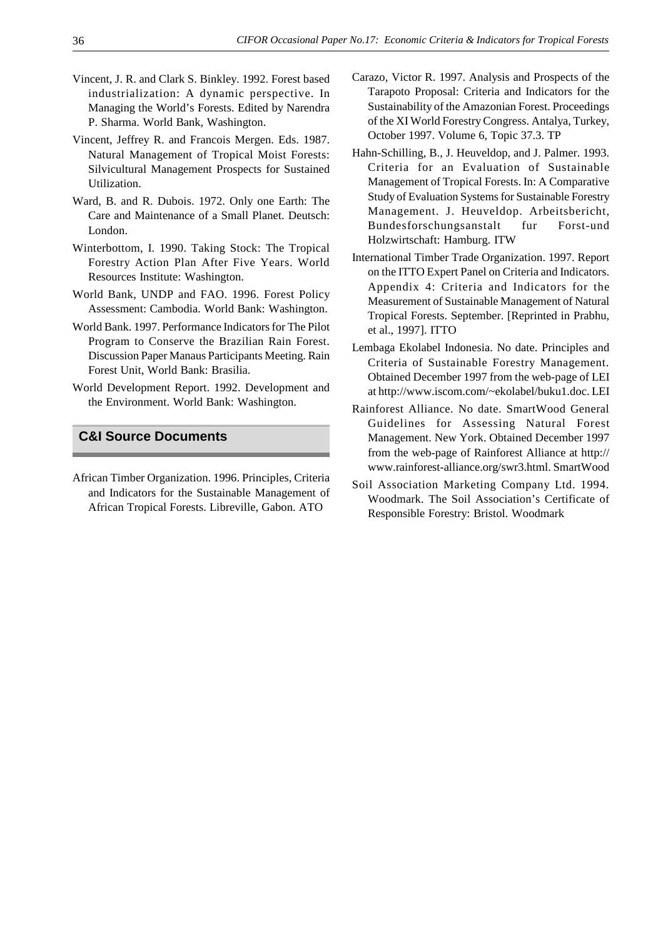- Vincent, J. R. and Clark S. Binkley. 1992. Forest based industrialization: A dynamic perspective. In Managing the World's Forests. Edited by Narendra P. Sharma. World Bank, Washington.
- Vincent, Jeffrey R. and Francois Mergen. Eds. 1987. Natural Management of Tropical Moist Forests: Silvicultural Management Prospects for Sustained Utilization.
- Ward, B. and R. Dubois. 1972. Only one Earth: The Care and Maintenance of a Small Planet. Deutsch: London.
- Winterbottom, I. 1990. Taking Stock: The Tropical Forestry Action Plan After Five Years. World Resources Institute: Washington.
- World Bank, UNDP and FAO. 1996. Forest Policy Assessment: Cambodia. World Bank: Washington.
- World Bank. 1997. Performance Indicators for The Pilot Program to Conserve the Brazilian Rain Forest. Discussion Paper Manaus Participants Meeting. Rain Forest Unit, World Bank: Brasilia.
- World Development Report. 1992. Development and the Environment. World Bank: Washington.

## **C&I Source Documents**

African Timber Organization. 1996. Principles, Criteria and Indicators for the Sustainable Management of African Tropical Forests. Libreville, Gabon. ATO

- Carazo, Victor R. 1997. Analysis and Prospects of the Tarapoto Proposal: Criteria and Indicators for the Sustainability of the Amazonian Forest. Proceedings of the XI World Forestry Congress. Antalya, Turkey, October 1997. Volume 6, Topic 37.3. TP
- Hahn-Schilling, B., J. Heuveldop, and J. Palmer. 1993. Criteria for an Evaluation of Sustainable Management of Tropical Forests. In: A Comparative Study of Evaluation Systems for Sustainable Forestry Management. J. Heuveldop. Arbeitsbericht, Bundesforschungsanstalt fur Forst-und Holzwirtschaft: Hamburg. ITW
- International Timber Trade Organization. 1997. Report on the ITTO Expert Panel on Criteria and Indicators. Appendix 4: Criteria and Indicators for the Measurement of Sustainable Management of Natural Tropical Forests. September. [Reprinted in Prabhu, et al., 1997]. ITTO
- Lembaga Ekolabel Indonesia. No date. Principles and Criteria of Sustainable Forestry Management. Obtained December 1997 from the web-page of LEI at http://www.iscom.com/~ekolabel/buku1.doc. LEI
- Rainforest Alliance. No date. SmartWood General Guidelines for Assessing Natural Forest Management. New York. Obtained December 1997 from the web-page of Rainforest Alliance at http:// www.rainforest-alliance.org/swr3.html. SmartWood
- Soil Association Marketing Company Ltd. 1994. Woodmark. The Soil Association's Certificate of Responsible Forestry: Bristol. Woodmark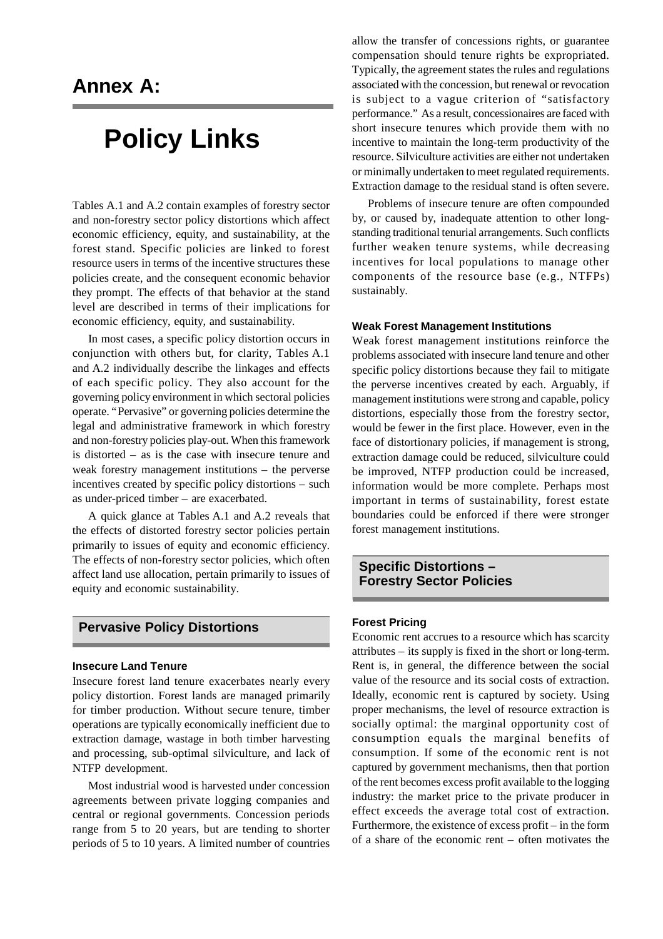# **Annex A:**

# **Policy Links**

Tables A.1 and A.2 contain examples of forestry sector and non-forestry sector policy distortions which affect economic efficiency, equity, and sustainability, at the forest stand. Specific policies are linked to forest resource users in terms of the incentive structures these policies create, and the consequent economic behavior they prompt. The effects of that behavior at the stand level are described in terms of their implications for economic efficiency, equity, and sustainability.

In most cases, a specific policy distortion occurs in conjunction with others but, for clarity, Tables A.1 and A.2 individually describe the linkages and effects of each specific policy. They also account for the governing policy environment in which sectoral policies operate. "Pervasive" or governing policies determine the legal and administrative framework in which forestry and non-forestry policies play-out. When this framework is distorted – as is the case with insecure tenure and weak forestry management institutions – the perverse incentives created by specific policy distortions – such as under-priced timber – are exacerbated.

A quick glance at Tables A.1 and A.2 reveals that the effects of distorted forestry sector policies pertain primarily to issues of equity and economic efficiency. The effects of non-forestry sector policies, which often affect land use allocation, pertain primarily to issues of equity and economic sustainability.

# **Pervasive Policy Distortions**

#### **Insecure Land Tenure**

Insecure forest land tenure exacerbates nearly every policy distortion. Forest lands are managed primarily for timber production. Without secure tenure, timber operations are typically economically inefficient due to extraction damage, wastage in both timber harvesting and processing, sub-optimal silviculture, and lack of NTFP development.

Most industrial wood is harvested under concession agreements between private logging companies and central or regional governments. Concession periods range from 5 to 20 years, but are tending to shorter periods of 5 to 10 years. A limited number of countries allow the transfer of concessions rights, or guarantee compensation should tenure rights be expropriated. Typically, the agreement states the rules and regulations associated with the concession, but renewal or revocation is subject to a vague criterion of "satisfactory performance." As a result, concessionaires are faced with short insecure tenures which provide them with no incentive to maintain the long-term productivity of the resource. Silviculture activities are either not undertaken or minimally undertaken to meet regulated requirements. Extraction damage to the residual stand is often severe.

Problems of insecure tenure are often compounded by, or caused by, inadequate attention to other longstanding traditional tenurial arrangements. Such conflicts further weaken tenure systems, while decreasing incentives for local populations to manage other components of the resource base (e.g., NTFPs) sustainably.

#### **Weak Forest Management Institutions**

Weak forest management institutions reinforce the problems associated with insecure land tenure and other specific policy distortions because they fail to mitigate the perverse incentives created by each. Arguably, if management institutions were strong and capable, policy distortions, especially those from the forestry sector, would be fewer in the first place. However, even in the face of distortionary policies, if management is strong, extraction damage could be reduced, silviculture could be improved, NTFP production could be increased, information would be more complete. Perhaps most important in terms of sustainability, forest estate boundaries could be enforced if there were stronger forest management institutions.

## **Specific Distortions – Forestry Sector Policies**

#### **Forest Pricing**

Economic rent accrues to a resource which has scarcity attributes – its supply is fixed in the short or long-term. Rent is, in general, the difference between the social value of the resource and its social costs of extraction. Ideally, economic rent is captured by society. Using proper mechanisms, the level of resource extraction is socially optimal: the marginal opportunity cost of consumption equals the marginal benefits of consumption. If some of the economic rent is not captured by government mechanisms, then that portion of the rent becomes excess profit available to the logging industry: the market price to the private producer in effect exceeds the average total cost of extraction. Furthermore, the existence of excess profit – in the form of a share of the economic rent – often motivates the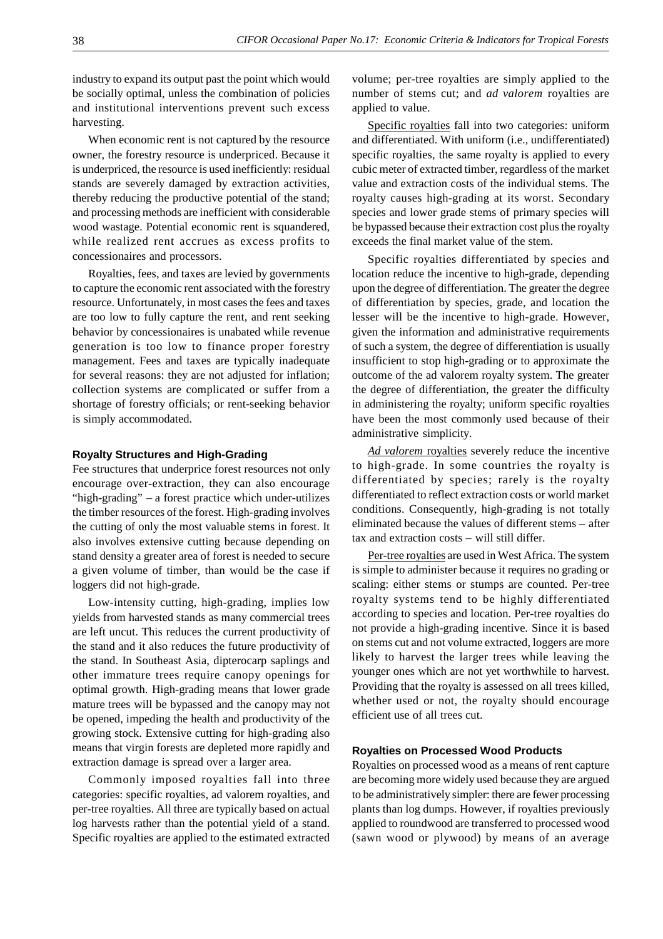industry to expand its output past the point which would be socially optimal, unless the combination of policies and institutional interventions prevent such excess harvesting.

When economic rent is not captured by the resource owner, the forestry resource is underpriced. Because it is underpriced, the resource is used inefficiently: residual stands are severely damaged by extraction activities, thereby reducing the productive potential of the stand; and processing methods are inefficient with considerable wood wastage. Potential economic rent is squandered, while realized rent accrues as excess profits to concessionaires and processors.

Royalties, fees, and taxes are levied by governments to capture the economic rent associated with the forestry resource. Unfortunately, in most cases the fees and taxes are too low to fully capture the rent, and rent seeking behavior by concessionaires is unabated while revenue generation is too low to finance proper forestry management. Fees and taxes are typically inadequate for several reasons: they are not adjusted for inflation; collection systems are complicated or suffer from a shortage of forestry officials; or rent-seeking behavior is simply accommodated.

#### **Royalty Structures and High-Grading**

Fee structures that underprice forest resources not only encourage over-extraction, they can also encourage "high-grading" – a forest practice which under-utilizes the timber resources of the forest. High-grading involves the cutting of only the most valuable stems in forest. It also involves extensive cutting because depending on stand density a greater area of forest is needed to secure a given volume of timber, than would be the case if loggers did not high-grade.

Low-intensity cutting, high-grading, implies low yields from harvested stands as many commercial trees are left uncut. This reduces the current productivity of the stand and it also reduces the future productivity of the stand. In Southeast Asia, dipterocarp saplings and other immature trees require canopy openings for optimal growth. High-grading means that lower grade mature trees will be bypassed and the canopy may not be opened, impeding the health and productivity of the growing stock. Extensive cutting for high-grading also means that virgin forests are depleted more rapidly and extraction damage is spread over a larger area.

Commonly imposed royalties fall into three categories: specific royalties, ad valorem royalties, and per-tree royalties. All three are typically based on actual log harvests rather than the potential yield of a stand. Specific royalties are applied to the estimated extracted

volume; per-tree royalties are simply applied to the number of stems cut; and *ad valorem* royalties are applied to value.

Specific royalties fall into two categories: uniform and differentiated. With uniform (i.e., undifferentiated) specific royalties, the same royalty is applied to every cubic meter of extracted timber, regardless of the market value and extraction costs of the individual stems. The royalty causes high-grading at its worst. Secondary species and lower grade stems of primary species will be bypassed because their extraction cost plus the royalty exceeds the final market value of the stem.

Specific royalties differentiated by species and location reduce the incentive to high-grade, depending upon the degree of differentiation. The greater the degree of differentiation by species, grade, and location the lesser will be the incentive to high-grade. However, given the information and administrative requirements of such a system, the degree of differentiation is usually insufficient to stop high-grading or to approximate the outcome of the ad valorem royalty system. The greater the degree of differentiation, the greater the difficulty in administering the royalty; uniform specific royalties have been the most commonly used because of their administrative simplicity.

*Ad valorem* royalties severely reduce the incentive to high-grade. In some countries the royalty is differentiated by species; rarely is the royalty differentiated to reflect extraction costs or world market conditions. Consequently, high-grading is not totally eliminated because the values of different stems – after tax and extraction costs – will still differ.

Per-tree royalties are used in West Africa. The system is simple to administer because it requires no grading or scaling: either stems or stumps are counted. Per-tree royalty systems tend to be highly differentiated according to species and location. Per-tree royalties do not provide a high-grading incentive. Since it is based on stems cut and not volume extracted, loggers are more likely to harvest the larger trees while leaving the younger ones which are not yet worthwhile to harvest. Providing that the royalty is assessed on all trees killed, whether used or not, the royalty should encourage efficient use of all trees cut.

#### **Royalties on Processed Wood Products**

Royalties on processed wood as a means of rent capture are becoming more widely used because they are argued to be administratively simpler: there are fewer processing plants than log dumps. However, if royalties previously applied to roundwood are transferred to processed wood (sawn wood or plywood) by means of an average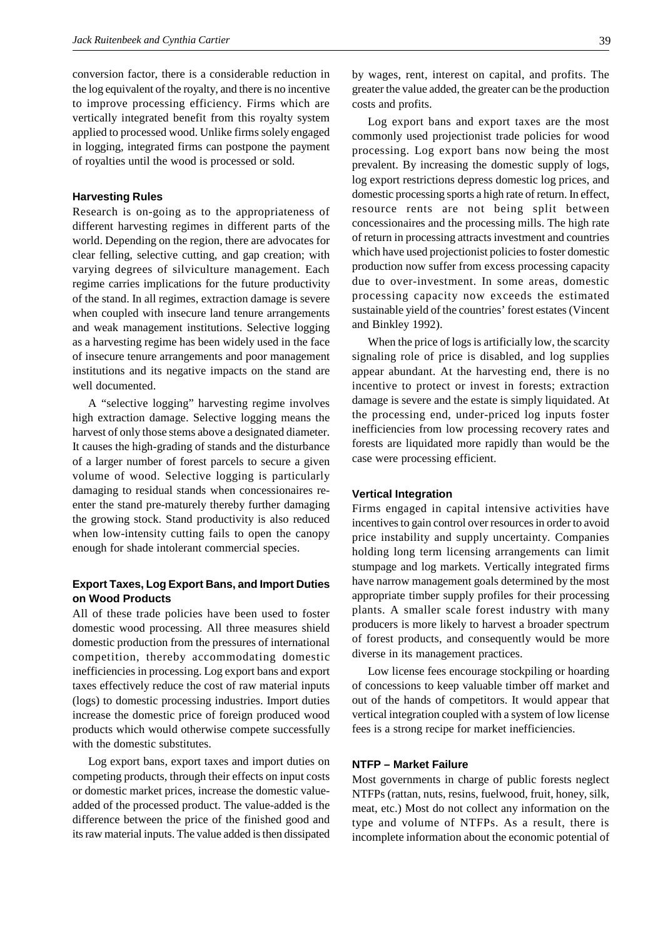conversion factor, there is a considerable reduction in the log equivalent of the royalty, and there is no incentive to improve processing efficiency. Firms which are vertically integrated benefit from this royalty system applied to processed wood. Unlike firms solely engaged in logging, integrated firms can postpone the payment of royalties until the wood is processed or sold.

#### **Harvesting Rules**

Research is on-going as to the appropriateness of different harvesting regimes in different parts of the world. Depending on the region, there are advocates for clear felling, selective cutting, and gap creation; with varying degrees of silviculture management. Each regime carries implications for the future productivity of the stand. In all regimes, extraction damage is severe when coupled with insecure land tenure arrangements and weak management institutions. Selective logging as a harvesting regime has been widely used in the face of insecure tenure arrangements and poor management institutions and its negative impacts on the stand are well documented.

A "selective logging" harvesting regime involves high extraction damage. Selective logging means the harvest of only those stems above a designated diameter. It causes the high-grading of stands and the disturbance of a larger number of forest parcels to secure a given volume of wood. Selective logging is particularly damaging to residual stands when concessionaires reenter the stand pre-maturely thereby further damaging the growing stock. Stand productivity is also reduced when low-intensity cutting fails to open the canopy enough for shade intolerant commercial species.

#### **Export Taxes, Log Export Bans, and Import Duties on Wood Products**

All of these trade policies have been used to foster domestic wood processing. All three measures shield domestic production from the pressures of international competition, thereby accommodating domestic inefficiencies in processing. Log export bans and export taxes effectively reduce the cost of raw material inputs (logs) to domestic processing industries. Import duties increase the domestic price of foreign produced wood products which would otherwise compete successfully with the domestic substitutes.

Log export bans, export taxes and import duties on competing products, through their effects on input costs or domestic market prices, increase the domestic valueadded of the processed product. The value-added is the difference between the price of the finished good and its raw material inputs. The value added is then dissipated by wages, rent, interest on capital, and profits. The greater the value added, the greater can be the production costs and profits.

Log export bans and export taxes are the most commonly used projectionist trade policies for wood processing. Log export bans now being the most prevalent. By increasing the domestic supply of logs, log export restrictions depress domestic log prices, and domestic processing sports a high rate of return. In effect, resource rents are not being split between concessionaires and the processing mills. The high rate of return in processing attracts investment and countries which have used projectionist policies to foster domestic production now suffer from excess processing capacity due to over-investment. In some areas, domestic processing capacity now exceeds the estimated sustainable yield of the countries' forest estates (Vincent and Binkley 1992).

When the price of logs is artificially low, the scarcity signaling role of price is disabled, and log supplies appear abundant. At the harvesting end, there is no incentive to protect or invest in forests; extraction damage is severe and the estate is simply liquidated. At the processing end, under-priced log inputs foster inefficiencies from low processing recovery rates and forests are liquidated more rapidly than would be the case were processing efficient.

#### **Vertical Integration**

Firms engaged in capital intensive activities have incentives to gain control over resources in order to avoid price instability and supply uncertainty. Companies holding long term licensing arrangements can limit stumpage and log markets. Vertically integrated firms have narrow management goals determined by the most appropriate timber supply profiles for their processing plants. A smaller scale forest industry with many producers is more likely to harvest a broader spectrum of forest products, and consequently would be more diverse in its management practices.

Low license fees encourage stockpiling or hoarding of concessions to keep valuable timber off market and out of the hands of competitors. It would appear that vertical integration coupled with a system of low license fees is a strong recipe for market inefficiencies.

#### **NTFP – Market Failure**

Most governments in charge of public forests neglect NTFPs (rattan, nuts, resins, fuelwood, fruit, honey, silk, meat, etc.) Most do not collect any information on the type and volume of NTFPs. As a result, there is incomplete information about the economic potential of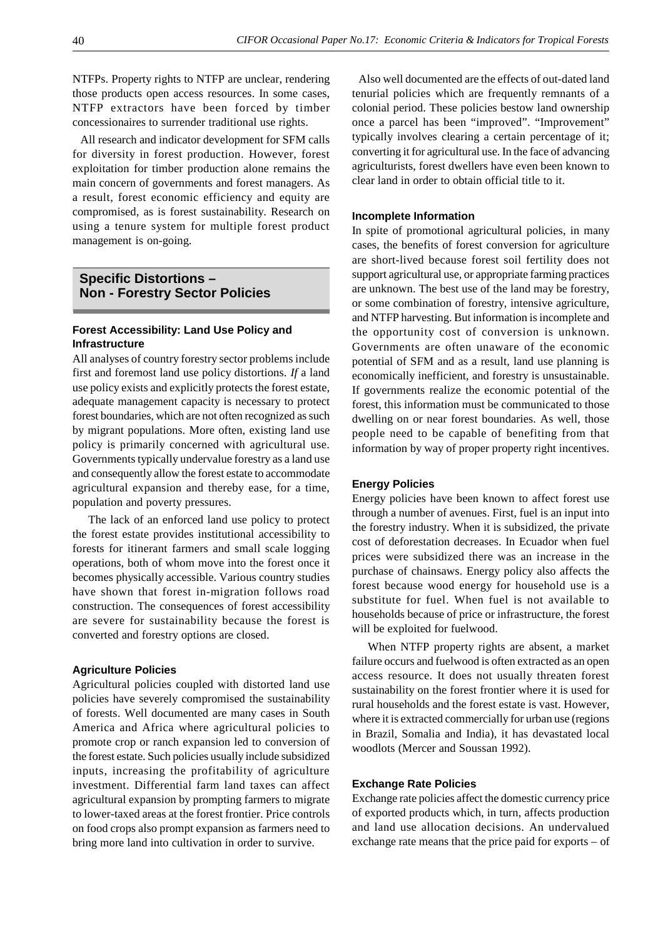NTFPs. Property rights to NTFP are unclear, rendering those products open access resources. In some cases, NTFP extractors have been forced by timber concessionaires to surrender traditional use rights.

 All research and indicator development for SFM calls for diversity in forest production. However, forest exploitation for timber production alone remains the main concern of governments and forest managers. As a result, forest economic efficiency and equity are compromised, as is forest sustainability. Research on using a tenure system for multiple forest product management is on-going.

## **Specific Distortions – Non - Forestry Sector Policies**

## **Forest Accessibility: Land Use Policy and Infrastructure**

All analyses of country forestry sector problems include first and foremost land use policy distortions. *If* a land use policy exists and explicitly protects the forest estate, adequate management capacity is necessary to protect forest boundaries, which are not often recognized as such by migrant populations. More often, existing land use policy is primarily concerned with agricultural use. Governments typically undervalue forestry as a land use and consequently allow the forest estate to accommodate agricultural expansion and thereby ease, for a time, population and poverty pressures.

The lack of an enforced land use policy to protect the forest estate provides institutional accessibility to forests for itinerant farmers and small scale logging operations, both of whom move into the forest once it becomes physically accessible. Various country studies have shown that forest in-migration follows road construction. The consequences of forest accessibility are severe for sustainability because the forest is converted and forestry options are closed.

#### **Agriculture Policies**

Agricultural policies coupled with distorted land use policies have severely compromised the sustainability of forests. Well documented are many cases in South America and Africa where agricultural policies to promote crop or ranch expansion led to conversion of the forest estate. Such policies usually include subsidized inputs, increasing the profitability of agriculture investment. Differential farm land taxes can affect agricultural expansion by prompting farmers to migrate to lower-taxed areas at the forest frontier. Price controls on food crops also prompt expansion as farmers need to bring more land into cultivation in order to survive.

 Also well documented are the effects of out-dated land tenurial policies which are frequently remnants of a colonial period. These policies bestow land ownership once a parcel has been "improved". "Improvement" typically involves clearing a certain percentage of it; converting it for agricultural use. In the face of advancing agriculturists, forest dwellers have even been known to clear land in order to obtain official title to it.

#### **Incomplete Information**

In spite of promotional agricultural policies, in many cases, the benefits of forest conversion for agriculture are short-lived because forest soil fertility does not support agricultural use, or appropriate farming practices are unknown. The best use of the land may be forestry, or some combination of forestry, intensive agriculture, and NTFP harvesting. But information is incomplete and the opportunity cost of conversion is unknown. Governments are often unaware of the economic potential of SFM and as a result, land use planning is economically inefficient, and forestry is unsustainable. If governments realize the economic potential of the forest, this information must be communicated to those dwelling on or near forest boundaries. As well, those people need to be capable of benefiting from that information by way of proper property right incentives.

#### **Energy Policies**

Energy policies have been known to affect forest use through a number of avenues. First, fuel is an input into the forestry industry. When it is subsidized, the private cost of deforestation decreases. In Ecuador when fuel prices were subsidized there was an increase in the purchase of chainsaws. Energy policy also affects the forest because wood energy for household use is a substitute for fuel. When fuel is not available to households because of price or infrastructure, the forest will be exploited for fuelwood.

When NTFP property rights are absent, a market failure occurs and fuelwood is often extracted as an open access resource. It does not usually threaten forest sustainability on the forest frontier where it is used for rural households and the forest estate is vast. However, where it is extracted commercially for urban use (regions in Brazil, Somalia and India), it has devastated local woodlots (Mercer and Soussan 1992).

#### **Exchange Rate Policies**

Exchange rate policies affect the domestic currency price of exported products which, in turn, affects production and land use allocation decisions. An undervalued exchange rate means that the price paid for exports – of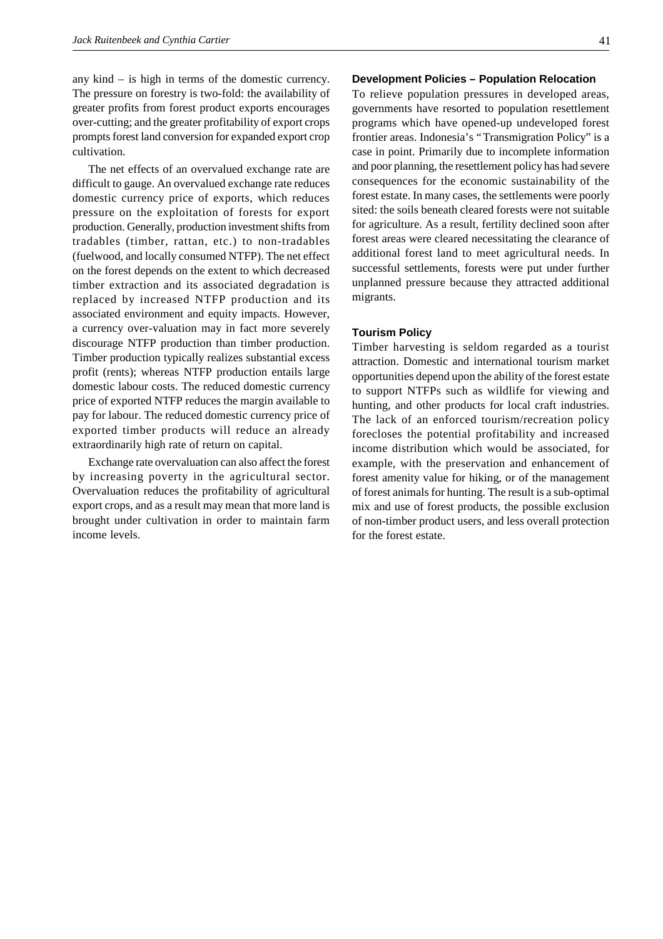any kind – is high in terms of the domestic currency. The pressure on forestry is two-fold: the availability of greater profits from forest product exports encourages over-cutting; and the greater profitability of export crops prompts forest land conversion for expanded export crop cultivation.

The net effects of an overvalued exchange rate are difficult to gauge. An overvalued exchange rate reduces domestic currency price of exports, which reduces pressure on the exploitation of forests for export production. Generally, production investment shifts from tradables (timber, rattan, etc.) to non-tradables (fuelwood, and locally consumed NTFP). The net effect on the forest depends on the extent to which decreased timber extraction and its associated degradation is replaced by increased NTFP production and its associated environment and equity impacts. However, a currency over-valuation may in fact more severely discourage NTFP production than timber production. Timber production typically realizes substantial excess profit (rents); whereas NTFP production entails large domestic labour costs. The reduced domestic currency price of exported NTFP reduces the margin available to pay for labour. The reduced domestic currency price of exported timber products will reduce an already extraordinarily high rate of return on capital.

Exchange rate overvaluation can also affect the forest by increasing poverty in the agricultural sector. Overvaluation reduces the profitability of agricultural export crops, and as a result may mean that more land is brought under cultivation in order to maintain farm income levels.

# **Development Policies – Population Relocation**

To relieve population pressures in developed areas, governments have resorted to population resettlement programs which have opened-up undeveloped forest frontier areas. Indonesia's "Transmigration Policy" is a case in point. Primarily due to incomplete information and poor planning, the resettlement policy has had severe consequences for the economic sustainability of the forest estate. In many cases, the settlements were poorly sited: the soils beneath cleared forests were not suitable for agriculture. As a result, fertility declined soon after forest areas were cleared necessitating the clearance of additional forest land to meet agricultural needs. In successful settlements, forests were put under further unplanned pressure because they attracted additional migrants.

#### **Tourism Policy**

Timber harvesting is seldom regarded as a tourist attraction. Domestic and international tourism market opportunities depend upon the ability of the forest estate to support NTFPs such as wildlife for viewing and hunting, and other products for local craft industries. The lack of an enforced tourism/recreation policy forecloses the potential profitability and increased income distribution which would be associated, for example, with the preservation and enhancement of forest amenity value for hiking, or of the management of forest animals for hunting. The result is a sub-optimal mix and use of forest products, the possible exclusion of non-timber product users, and less overall protection for the forest estate.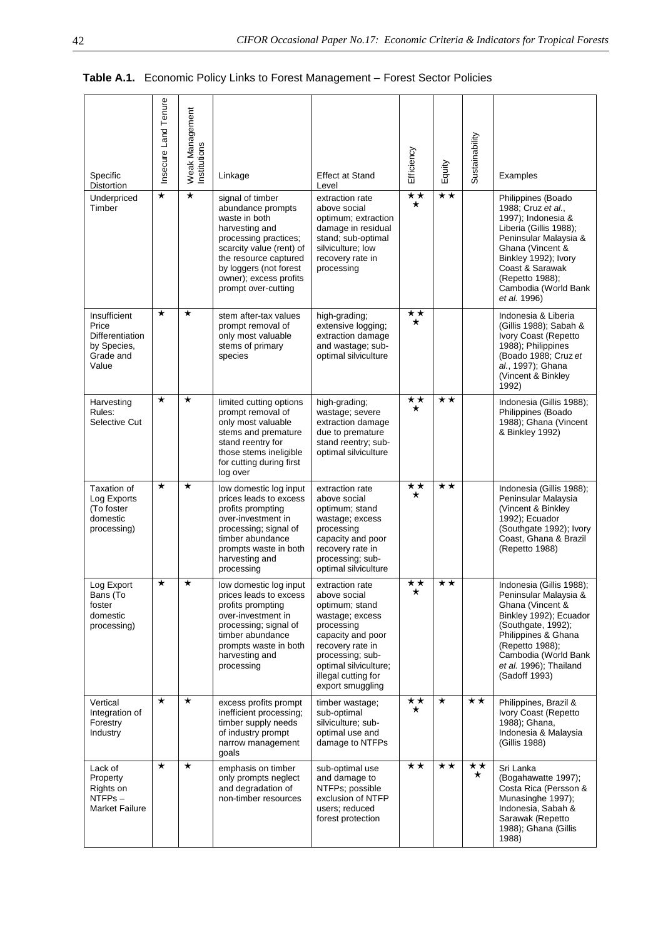|  |  | Table A.1. Economic Policy Links to Forest Management - Forest Sector Policies |  |
|--|--|--------------------------------------------------------------------------------|--|
|--|--|--------------------------------------------------------------------------------|--|

| Specific<br>Distortion                                                        | Insecure Land Tenure | <b>Weak Management</b><br>nstitutions | Linkage                                                                                                                                                                                                                           | <b>Effect at Stand</b><br>Level                                                                                                                                                                                     | Efficiency              | Equity       | Sustainability | Examples                                                                                                                                                                                                                                    |
|-------------------------------------------------------------------------------|----------------------|---------------------------------------|-----------------------------------------------------------------------------------------------------------------------------------------------------------------------------------------------------------------------------------|---------------------------------------------------------------------------------------------------------------------------------------------------------------------------------------------------------------------|-------------------------|--------------|----------------|---------------------------------------------------------------------------------------------------------------------------------------------------------------------------------------------------------------------------------------------|
| Underpriced<br>Timber                                                         | $\star$              | $\star$                               | signal of timber<br>abundance prompts<br>waste in both<br>harvesting and<br>processing practices;<br>scarcity value (rent) of<br>the resource captured<br>by loggers (not forest<br>owner); excess profits<br>prompt over-cutting | extraction rate<br>above social<br>optimum; extraction<br>damage in residual<br>stand; sub-optimal<br>silviculture; low<br>recovery rate in<br>processing                                                           | $\star\star$<br>$\star$ | $\star\star$ |                | Philippines (Boado<br>1988; Cruz et al.,<br>1997); Indonesia &<br>Liberia (Gillis 1988);<br>Peninsular Malaysia &<br>Ghana (Vincent &<br>Binkley 1992); Ivory<br>Coast & Sarawak<br>(Repetto 1988);<br>Cambodia (World Bank<br>et al. 1996) |
| Insufficient<br>Price<br>Differentiation<br>by Species,<br>Grade and<br>Value | $\star$              | $\star$                               | stem after-tax values<br>prompt removal of<br>only most valuable<br>stems of primary<br>species                                                                                                                                   | high-grading;<br>extensive logging;<br>extraction damage<br>and wastage; sub-<br>optimal silviculture                                                                                                               | $\star\star$<br>$\star$ |              |                | Indonesia & Liberia<br>(Gillis 1988); Sabah &<br>Ivory Coast (Repetto<br>1988); Philippines<br>(Boado 1988; Cruz et<br>al., 1997); Ghana<br>(Vincent & Binkley<br>1992)                                                                     |
| Harvesting<br>Rules:<br>Selective Cut                                         | $^\star$             | $^\star$                              | limited cutting options<br>prompt removal of<br>only most valuable<br>stems and premature<br>stand reentry for<br>those stems ineligible<br>for cutting during first<br>log over                                                  | high-grading;<br>wastage; severe<br>extraction damage<br>due to premature<br>stand reentry; sub-<br>optimal silviculture                                                                                            | ★★<br>$\star$           | **           |                | Indonesia (Gillis 1988);<br>Philippines (Boado<br>1988); Ghana (Vincent<br>& Binkley 1992)                                                                                                                                                  |
| Taxation of<br>Log Exports<br>(To foster<br>domestic<br>processing)           | $\star$              | $\star$                               | low domestic log input<br>prices leads to excess<br>profits prompting<br>over-investment in<br>processing; signal of<br>timber abundance<br>prompts waste in both<br>harvesting and<br>processing                                 | extraction rate<br>above social<br>optimum; stand<br>wastage; excess<br>processing<br>capacity and poor<br>recovery rate in<br>processing; sub-<br>optimal silviculture                                             | $\star\star$<br>$\star$ | $\star\star$ |                | Indonesia (Gillis 1988);<br>Peninsular Malaysia<br>(Vincent & Binkley)<br>1992); Ecuador<br>(Southgate 1992); Ivory<br>Coast, Ghana & Brazil<br>(Repetto 1988)                                                                              |
| Log Export<br>Bans (To<br>foster<br>domestic<br>processing)                   | $\star$              | $\star$                               | low domestic log input<br>prices leads to excess<br>profits prompting<br>over-investment in<br>processing; signal of<br>timber abundance<br>prompts waste in both<br>harvesting and<br>processing                                 | extraction rate<br>above social<br>optimum; stand<br>wastage; excess<br>processing<br>capacity and poor<br>recovery rate in<br>processing; sub-<br>optimal silviculture;<br>illegal cutting for<br>export smuggling | **                      | $\star\star$ |                | Indonesia (Gillis 1988);<br>Peninsular Malaysia &<br>Ghana (Vincent &<br>Binkley 1992); Ecuador<br>(Southgate, 1992);<br>Philippines & Ghana<br>(Repetto 1988);<br>Cambodia (World Bank<br>et al. 1996); Thailand<br>(Sadoff 1993)          |
| Vertical<br>Integration of<br>Forestry<br>Industry                            | $\star$              | $\star$                               | excess profits prompt<br>inefficient processing;<br>timber supply needs<br>of industry prompt<br>narrow management<br>goals                                                                                                       | timber wastage;<br>sub-optimal<br>silviculture; sub-<br>optimal use and<br>damage to NTFPs                                                                                                                          | $\star\star$<br>$\star$ | $\star$      | $\star\star$   | Philippines, Brazil &<br>Ivory Coast (Repetto<br>1988); Ghana,<br>Indonesia & Malaysia<br>(Gillis 1988)                                                                                                                                     |
| Lack of<br>Property<br>Rights on<br>NTFPs-<br><b>Market Failure</b>           | $\star$              | $\star$                               | emphasis on timber<br>only prompts neglect<br>and degradation of<br>non-timber resources                                                                                                                                          | sub-optimal use<br>and damage to<br>NTFPs; possible<br>exclusion of NTFP<br>users; reduced<br>forest protection                                                                                                     | $\star\star$            | $\star\star$ | ★★<br>$\star$  | Sri Lanka<br>(Bogahawatte 1997);<br>Costa Rica (Persson &<br>Munasinghe 1997);<br>Indonesia, Sabah &<br>Sarawak (Repetto<br>1988); Ghana (Gillis<br>1988)                                                                                   |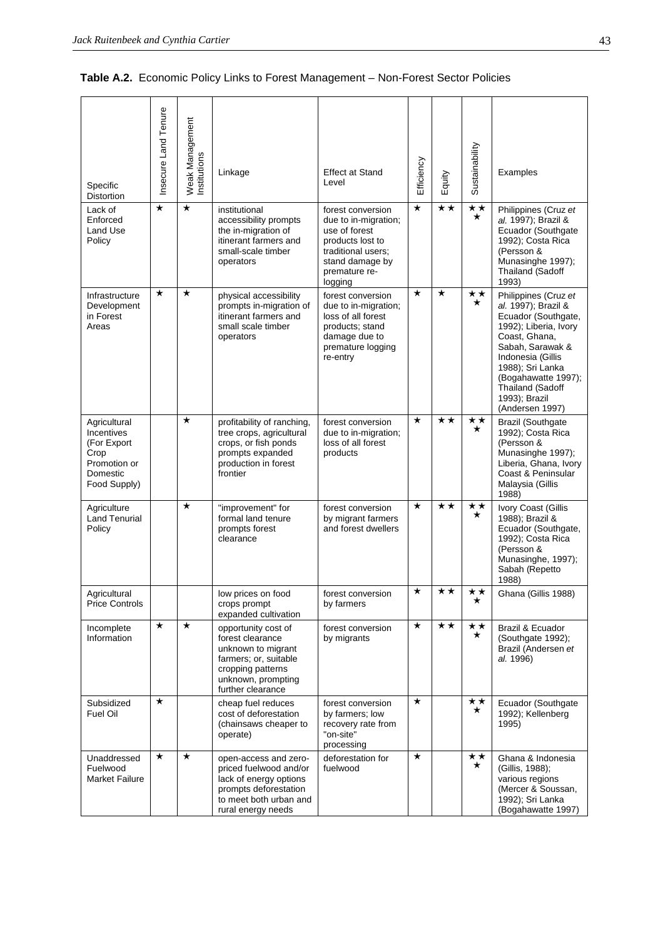| Table A.2. Economic Policy Links to Forest Management - Non-Forest Sector Policies |
|------------------------------------------------------------------------------------|
|                                                                                    |

| Specific<br>Distortion                                                                        | Insecure Land Tenure | Weak Management<br>Institutions | Linkage                                                                                                                                                | <b>Effect at Stand</b><br>Level                                                                                                                     | Efficiency | Equity       | Sustainability          | Examples                                                                                                                                                                                                                                                 |
|-----------------------------------------------------------------------------------------------|----------------------|---------------------------------|--------------------------------------------------------------------------------------------------------------------------------------------------------|-----------------------------------------------------------------------------------------------------------------------------------------------------|------------|--------------|-------------------------|----------------------------------------------------------------------------------------------------------------------------------------------------------------------------------------------------------------------------------------------------------|
| Lack of<br>Enforced<br>Land Use<br>Policy                                                     | $\star$              | $\star$                         | institutional<br>accessibility prompts<br>the in-migration of<br>itinerant farmers and<br>small-scale timber<br>operators                              | forest conversion<br>due to in-migration;<br>use of forest<br>products lost to<br>traditional users;<br>stand damage by<br>premature re-<br>logging | $\star$    | $\star\star$ | $\star\star$<br>$\star$ | Philippines (Cruz et<br>al. 1997); Brazil &<br>Ecuador (Southgate<br>1992); Costa Rica<br>(Persson &<br>Munasinghe 1997);<br>Thailand (Sadoff<br>1993)                                                                                                   |
| Infrastructure<br>Development<br>in Forest<br>Areas                                           | $\star$              | $\star$                         | physical accessibility<br>prompts in-migration of<br>itinerant farmers and<br>small scale timber<br>operators                                          | forest conversion<br>due to in-migration;<br>loss of all forest<br>products; stand<br>damage due to<br>premature logging<br>re-entry                | $\star$    | $\star$      | **<br>$\star$           | Philippines (Cruz et<br>al. 1997); Brazil &<br>Ecuador (Southgate,<br>1992); Liberia, Ivory<br>Coast, Ghana,<br>Sabah, Sarawak &<br>Indonesia (Gillis<br>1988); Sri Lanka<br>(Bogahawatte 1997);<br>Thailand (Sadoff<br>1993); Brazil<br>(Andersen 1997) |
| Agricultural<br>Incentives<br>(For Export<br>Crop<br>Promotion or<br>Domestic<br>Food Supply) |                      | $\star$                         | profitability of ranching,<br>tree crops, agricultural<br>crops, or fish ponds<br>prompts expanded<br>production in forest<br>frontier                 | forest conversion<br>due to in-migration;<br>loss of all forest<br>products                                                                         | $\star$    | **           | * *<br>$\star$          | <b>Brazil (Southgate</b><br>1992); Costa Rica<br>(Persson &<br>Munasinghe 1997);<br>Liberia, Ghana, Ivory<br>Coast & Peninsular<br>Malaysia (Gillis<br>1988)                                                                                             |
| Agriculture<br><b>Land Tenurial</b><br>Policy                                                 |                      | $\star$                         | "improvement" for<br>formal land tenure<br>prompts forest<br>clearance                                                                                 | forest conversion<br>by migrant farmers<br>and forest dwellers                                                                                      | $\star$    | $\star\star$ | $\star\star$<br>$\star$ | Ivory Coast (Gillis<br>1988); Brazil &<br>Ecuador (Southgate,<br>1992); Costa Rica<br>(Persson &<br>Munasinghe, 1997);<br>Sabah (Repetto<br>1988)                                                                                                        |
| Agricultural<br><b>Price Controls</b>                                                         |                      |                                 | low prices on food<br>crops prompt<br>expanded cultivation                                                                                             | forest conversion<br>by farmers                                                                                                                     | $\star$    | $\star\star$ | **<br>$\star$           | Ghana (Gillis 1988)                                                                                                                                                                                                                                      |
| Incomplete<br>Information                                                                     | $\star$              | $\star$                         | opportunity cost of<br>forest clearance<br>unknown to migrant<br>farmers; or, suitable<br>cropping patterns<br>unknown, prompting<br>further clearance | forest conversion<br>by migrants                                                                                                                    | $\star$    | $\star\star$ | ★★<br>$\star$           | Brazil & Ecuador<br>(Southgate 1992);<br>Brazil (Andersen et<br>al. 1996)                                                                                                                                                                                |
| Subsidized<br>Fuel Oil                                                                        | $\star$              |                                 | cheap fuel reduces<br>cost of deforestation<br>(chainsaws cheaper to<br>operate)                                                                       | forest conversion<br>by farmers; low<br>recovery rate from<br>"on-site"<br>processing                                                               | $\star$    |              | **<br>$\star$           | Ecuador (Southgate<br>1992); Kellenberg<br>1995)                                                                                                                                                                                                         |
| Unaddressed<br>Fuelwood<br><b>Market Failure</b>                                              | $\star$              | $\star$                         | open-access and zero-<br>priced fuelwood and/or<br>lack of energy options<br>prompts deforestation<br>to meet both urban and<br>rural energy needs     | deforestation for<br>fuelwood                                                                                                                       | $\star$    |              | **<br>$\star$           | Ghana & Indonesia<br>(Gillis, 1988);<br>various regions<br>(Mercer & Soussan,<br>1992); Sri Lanka<br>(Bogahawatte 1997)                                                                                                                                  |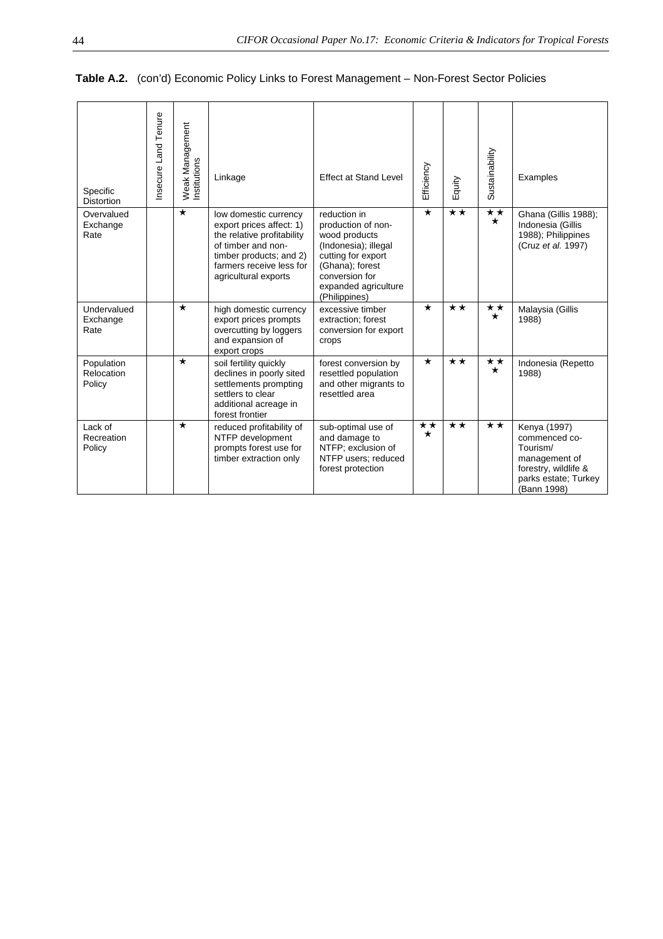| Specific<br><b>Distortion</b>      | nsecure Land Tenure | Weak Management<br>Institutions | Linkage                                                                                                                                                                              | <b>Effect at Stand Level</b>                                                                                                                                                    | Efficiency              | Equity       | Sustainability          | Examples                                                                                                                  |
|------------------------------------|---------------------|---------------------------------|--------------------------------------------------------------------------------------------------------------------------------------------------------------------------------------|---------------------------------------------------------------------------------------------------------------------------------------------------------------------------------|-------------------------|--------------|-------------------------|---------------------------------------------------------------------------------------------------------------------------|
| Overvalued<br>Exchange<br>Rate     |                     | $\star$                         | low domestic currency<br>export prices affect: 1)<br>the relative profitability<br>of timber and non-<br>timber products; and 2)<br>farmers receive less for<br>agricultural exports | reduction in<br>production of non-<br>wood products<br>(Indonesia); illegal<br>cutting for export<br>(Ghana); forest<br>conversion for<br>expanded agriculture<br>(Philippines) | $\star$                 | $\star\star$ | $\star\star$<br>$\star$ | Ghana (Gillis 1988);<br>Indonesia (Gillis<br>1988); Philippines<br>(Cruz et al. 1997)                                     |
| Undervalued<br>Exchange<br>Rate    |                     | $\star$                         | high domestic currency<br>export prices prompts<br>overcutting by loggers<br>and expansion of<br>export crops                                                                        | excessive timber<br>extraction; forest<br>conversion for export<br>crops                                                                                                        | $\star$                 | $\star\star$ | ★★<br>$\star$           | Malaysia (Gillis<br>1988)                                                                                                 |
| Population<br>Relocation<br>Policy |                     | $\star$                         | soil fertility quickly<br>declines in poorly sited<br>settlements prompting<br>settlers to clear<br>additional acreage in<br>forest frontier                                         | forest conversion by<br>resettled population<br>and other migrants to<br>resettled area                                                                                         | $\star$                 | $\star\star$ | $\star\star$<br>$\star$ | Indonesia (Repetto<br>1988)                                                                                               |
| Lack of<br>Recreation<br>Policy    |                     | $\star$                         | reduced profitability of<br>NTFP development<br>prompts forest use for<br>timber extraction only                                                                                     | sub-optimal use of<br>and damage to<br>NTFP; exclusion of<br>NTFP users; reduced<br>forest protection                                                                           | $\star\star$<br>$\star$ | $\star\star$ | $\star\star$            | Kenya (1997)<br>commenced co-<br>Tourism/<br>management of<br>forestry, wildlife &<br>parks estate; Turkey<br>(Bann 1998) |

# **Table A.2.** (con'd) Economic Policy Links to Forest Management – Non-Forest Sector Policies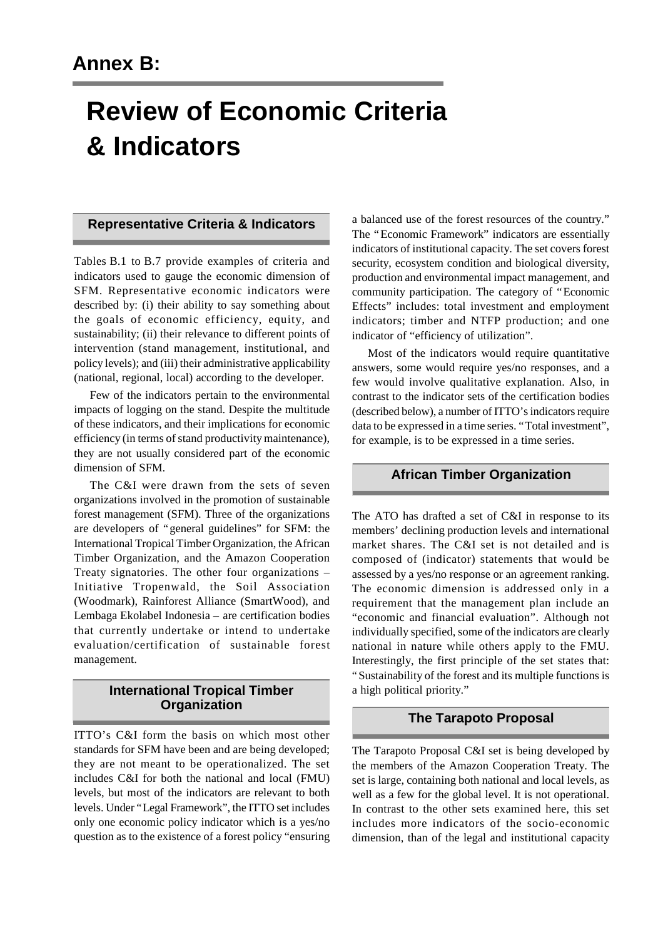# **Review of Economic Criteria & Indicators**

## **Representative Criteria & Indicators**

Tables B.1 to B.7 provide examples of criteria and indicators used to gauge the economic dimension of SFM. Representative economic indicators were described by: (i) their ability to say something about the goals of economic efficiency, equity, and sustainability; (ii) their relevance to different points of intervention (stand management, institutional, and policy levels); and (iii) their administrative applicability (national, regional, local) according to the developer.

Few of the indicators pertain to the environmental impacts of logging on the stand. Despite the multitude of these indicators, and their implications for economic efficiency (in terms of stand productivity maintenance), they are not usually considered part of the economic dimension of SFM.

The C&I were drawn from the sets of seven organizations involved in the promotion of sustainable forest management (SFM). Three of the organizations are developers of "general guidelines" for SFM: the International Tropical Timber Organization, the African Timber Organization, and the Amazon Cooperation Treaty signatories. The other four organizations – Initiative Tropenwald, the Soil Association (Woodmark), Rainforest Alliance (SmartWood), and Lembaga Ekolabel Indonesia – are certification bodies that currently undertake or intend to undertake evaluation/certification of sustainable forest management.

# **International Tropical Timber Organization**

ITTO's C&I form the basis on which most other standards for SFM have been and are being developed; they are not meant to be operationalized. The set includes C&I for both the national and local (FMU) levels, but most of the indicators are relevant to both levels. Under "Legal Framework", the ITTO set includes only one economic policy indicator which is a yes/no question as to the existence of a forest policy "ensuring

a balanced use of the forest resources of the country." The "Economic Framework" indicators are essentially indicators of institutional capacity. The set covers forest security, ecosystem condition and biological diversity, production and environmental impact management, and community participation. The category of "Economic Effects" includes: total investment and employment indicators; timber and NTFP production; and one indicator of "efficiency of utilization".

Most of the indicators would require quantitative answers, some would require yes/no responses, and a few would involve qualitative explanation. Also, in contrast to the indicator sets of the certification bodies (described below), a number of ITTO's indicators require data to be expressed in a time series. "Total investment", for example, is to be expressed in a time series.

# **African Timber Organization**

The ATO has drafted a set of C&I in response to its members' declining production levels and international market shares. The C&I set is not detailed and is composed of (indicator) statements that would be assessed by a yes/no response or an agreement ranking. The economic dimension is addressed only in a requirement that the management plan include an "economic and financial evaluation". Although not individually specified, some of the indicators are clearly national in nature while others apply to the FMU. Interestingly, the first principle of the set states that: "Sustainability of the forest and its multiple functions is a high political priority."

# **The Tarapoto Proposal**

The Tarapoto Proposal C&I set is being developed by the members of the Amazon Cooperation Treaty. The set is large, containing both national and local levels, as well as a few for the global level. It is not operational. In contrast to the other sets examined here, this set includes more indicators of the socio-economic dimension, than of the legal and institutional capacity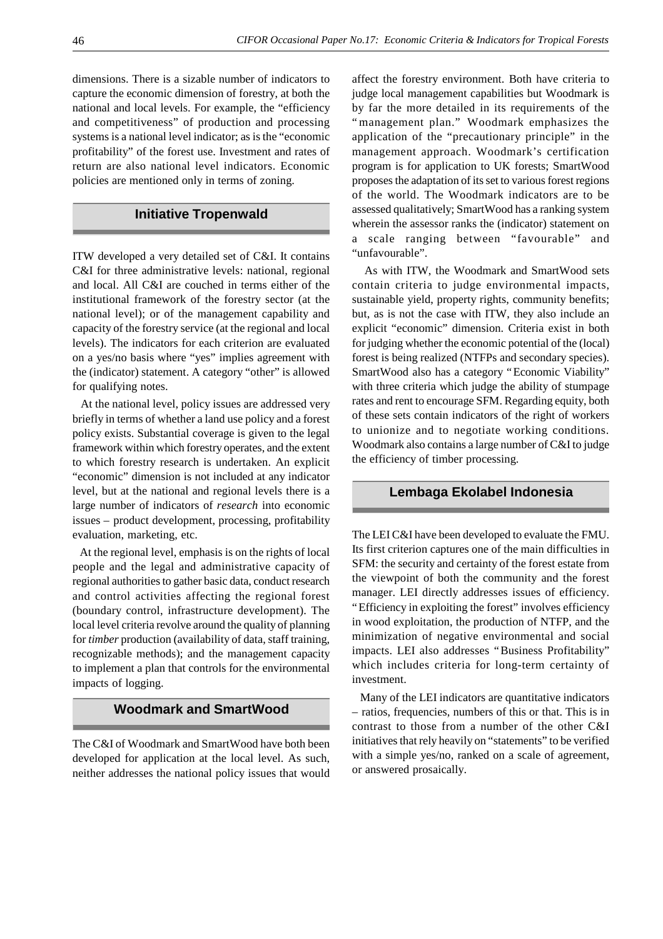dimensions. There is a sizable number of indicators to capture the economic dimension of forestry, at both the national and local levels. For example, the "efficiency and competitiveness" of production and processing systems is a national level indicator; as is the "economic profitability" of the forest use. Investment and rates of return are also national level indicators. Economic policies are mentioned only in terms of zoning.

## **Initiative Tropenwald**

ITW developed a very detailed set of C&I. It contains C&I for three administrative levels: national, regional and local. All C&I are couched in terms either of the institutional framework of the forestry sector (at the national level); or of the management capability and capacity of the forestry service (at the regional and local levels). The indicators for each criterion are evaluated on a yes/no basis where "yes" implies agreement with the (indicator) statement. A category "other" is allowed for qualifying notes.

 At the national level, policy issues are addressed very briefly in terms of whether a land use policy and a forest policy exists. Substantial coverage is given to the legal framework within which forestry operates, and the extent to which forestry research is undertaken. An explicit "economic" dimension is not included at any indicator level, but at the national and regional levels there is a large number of indicators of *research* into economic issues – product development, processing, profitability evaluation, marketing, etc.

 At the regional level, emphasis is on the rights of local people and the legal and administrative capacity of regional authorities to gather basic data, conduct research and control activities affecting the regional forest (boundary control, infrastructure development). The local level criteria revolve around the quality of planning for *timber* production (availability of data, staff training, recognizable methods); and the management capacity to implement a plan that controls for the environmental impacts of logging.

## **Woodmark and SmartWood**

The C&I of Woodmark and SmartWood have both been developed for application at the local level. As such, neither addresses the national policy issues that would affect the forestry environment. Both have criteria to judge local management capabilities but Woodmark is by far the more detailed in its requirements of the "management plan." Woodmark emphasizes the application of the "precautionary principle" in the management approach. Woodmark's certification program is for application to UK forests; SmartWood proposes the adaptation of its set to various forest regions of the world. The Woodmark indicators are to be assessed qualitatively; SmartWood has a ranking system wherein the assessor ranks the (indicator) statement on a scale ranging between "favourable" and "unfavourable".

 As with ITW, the Woodmark and SmartWood sets contain criteria to judge environmental impacts, sustainable yield, property rights, community benefits; but, as is not the case with ITW, they also include an explicit "economic" dimension. Criteria exist in both for judging whether the economic potential of the (local) forest is being realized (NTFPs and secondary species). SmartWood also has a category "Economic Viability" with three criteria which judge the ability of stumpage rates and rent to encourage SFM. Regarding equity, both of these sets contain indicators of the right of workers to unionize and to negotiate working conditions. Woodmark also contains a large number of C&I to judge the efficiency of timber processing.

#### **Lembaga Ekolabel Indonesia**

The LEI C&I have been developed to evaluate the FMU. Its first criterion captures one of the main difficulties in SFM: the security and certainty of the forest estate from the viewpoint of both the community and the forest manager. LEI directly addresses issues of efficiency. "Efficiency in exploiting the forest" involves efficiency in wood exploitation, the production of NTFP, and the minimization of negative environmental and social impacts. LEI also addresses "Business Profitability" which includes criteria for long-term certainty of investment.

 Many of the LEI indicators are quantitative indicators – ratios, frequencies, numbers of this or that. This is in contrast to those from a number of the other C&I initiatives that rely heavily on "statements" to be verified with a simple yes/no, ranked on a scale of agreement, or answered prosaically.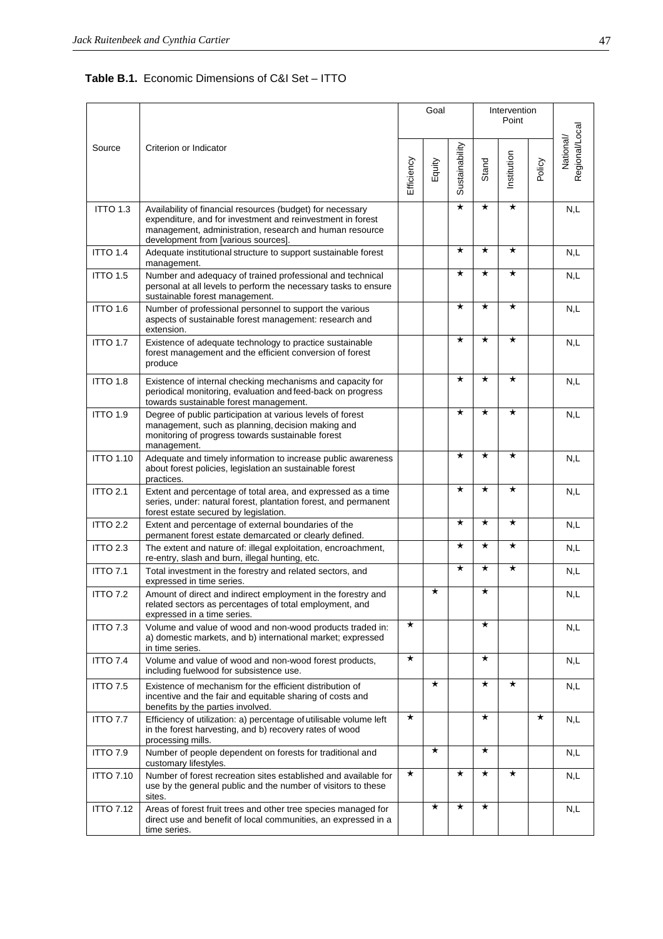**Table B.1.** Economic Dimensions of C&I Set – ITTO

|                  |                                                                                                                                                                                                                            |            | Goal    |                |          | Intervention<br>Point |         |                             |
|------------------|----------------------------------------------------------------------------------------------------------------------------------------------------------------------------------------------------------------------------|------------|---------|----------------|----------|-----------------------|---------|-----------------------------|
| Source           | Criterion or Indicator                                                                                                                                                                                                     | Efficiency | Equity  | Sustainability | Stand    | Institution           | Policy  | Regional/Local<br>National/ |
| <b>ITTO 1.3</b>  | Availability of financial resources (budget) for necessary<br>expenditure, and for investment and reinvestment in forest<br>management, administration, research and human resource<br>development from [various sources]. |            |         | $\star$        | $^\star$ | $^\star$              |         | N,L                         |
| ITTO 1.4         | Adequate institutional structure to support sustainable forest<br>management.                                                                                                                                              |            |         | $^\star$       | $^\star$ | $\star$               |         | N,L                         |
| <b>ITTO 1.5</b>  | Number and adequacy of trained professional and technical<br>personal at all levels to perform the necessary tasks to ensure<br>sustainable forest management.                                                             |            |         | $\star$        | $^\star$ | $\star$               |         | N,L                         |
| ITTO 1.6         | Number of professional personnel to support the various<br>aspects of sustainable forest management: research and<br>extension.                                                                                            |            |         | $\star$        | $\star$  | $\star$               |         | N,L                         |
| <b>ITTO 1.7</b>  | Existence of adequate technology to practice sustainable<br>forest management and the efficient conversion of forest<br>produce                                                                                            |            |         | $\star$        | $^\star$ | $\star$               |         | N,L                         |
| <b>ITTO 1.8</b>  | Existence of internal checking mechanisms and capacity for<br>periodical monitoring, evaluation and feed-back on progress<br>towards sustainable forest management.                                                        |            |         | $\star$        | $^\star$ | $\star$               |         | N,L                         |
| ITTO 1.9         | Degree of public participation at various levels of forest<br>management, such as planning, decision making and<br>monitoring of progress towards sustainable forest<br>management.                                        |            |         | $\star$        | $\star$  | $\star$               |         | N,L                         |
| <b>ITTO 1.10</b> | Adequate and timely information to increase public awareness<br>about forest policies, legislation an sustainable forest<br>practices.                                                                                     |            |         | $\star$        | $\star$  | $\star$               |         | N,L                         |
| <b>ITTO 2.1</b>  | Extent and percentage of total area, and expressed as a time<br>series, under: natural forest, plantation forest, and permanent<br>forest estate secured by legislation.                                                   |            |         | $\star$        | $\star$  | $\star$               |         | N,L                         |
| <b>ITTO 2.2</b>  | Extent and percentage of external boundaries of the<br>permanent forest estate demarcated or clearly defined.                                                                                                              |            |         | $^\star$       | $^\star$ | $\star$               |         | N,L                         |
| ITTO 2.3         | The extent and nature of: illegal exploitation, encroachment,<br>re-entry, slash and burn, illegal hunting, etc.                                                                                                           |            |         | $\star$        | $^\star$ | $\star$               |         | N,L                         |
| <b>ITTO 7.1</b>  | Total investment in the forestry and related sectors, and<br>expressed in time series.                                                                                                                                     |            |         | $^\star$       | $^\star$ | $\star$               |         | N,L                         |
| <b>ITTO 7.2</b>  | Amount of direct and indirect employment in the forestry and<br>related sectors as percentages of total employment, and<br>expressed in a time series.                                                                     |            | $\star$ |                | $\star$  |                       |         | N,L                         |
| <b>ITTO 7.3</b>  | Volume and value of wood and non-wood products traded in:<br>a) domestic markets, and b) international market; expressed<br>in time series.                                                                                | $^\star$   |         |                | $\star$  |                       |         | N,L                         |
| <b>ITTO 7.4</b>  | Volume and value of wood and non-wood forest products,<br>including fuelwood for subsistence use.                                                                                                                          | $^\star$   |         |                | $^\star$ |                       |         | N,L                         |
| <b>ITTO 7.5</b>  | Existence of mechanism for the efficient distribution of<br>incentive and the fair and equitable sharing of costs and<br>benefits by the parties involved.                                                                 |            | $\star$ |                | $^\star$ | $\star$               |         | N,L                         |
| <b>ITTO 7.7</b>  | Efficiency of utilization: a) percentage of utilisable volume left<br>in the forest harvesting, and b) recovery rates of wood<br>processing mills.                                                                         | $^\star$   |         |                | $^\star$ |                       | $\star$ | N,L                         |
| <b>ITTO 7.9</b>  | Number of people dependent on forests for traditional and<br>customary lifestyles.                                                                                                                                         |            | $\star$ |                | $\star$  |                       |         | N,L                         |
| <b>ITTO 7.10</b> | Number of forest recreation sites established and available for<br>use by the general public and the number of visitors to these<br>sites.                                                                                 | $^\star$   |         | $\star$        | $^\star$ | $\star$               |         | N,L                         |
| <b>ITTO 7.12</b> | Areas of forest fruit trees and other tree species managed for<br>direct use and benefit of local communities, an expressed in a<br>time series.                                                                           |            | $\star$ | $\star$        | $\star$  |                       |         | N,L                         |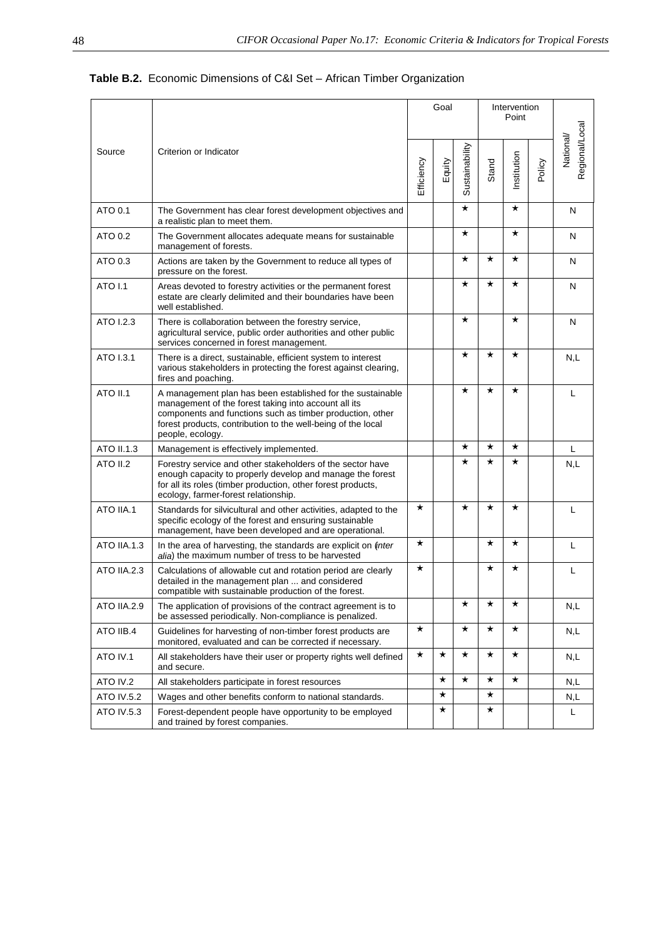|                    |                                                                                                                                                                                                                                                                     |            | Goal     |                |          | Intervention<br>Point |        |                           |
|--------------------|---------------------------------------------------------------------------------------------------------------------------------------------------------------------------------------------------------------------------------------------------------------------|------------|----------|----------------|----------|-----------------------|--------|---------------------------|
| Source             | Criterion or Indicator                                                                                                                                                                                                                                              | Efficiency | Equity   | Sustainability | Stand    | Institution           | Policy | Regional/Loca<br>National |
| ATO 0.1            | The Government has clear forest development objectives and<br>a realistic plan to meet them.                                                                                                                                                                        |            |          | $^\star$       |          | $^\star$              |        | N                         |
| ATO 0.2            | The Government allocates adequate means for sustainable<br>management of forests.                                                                                                                                                                                   |            |          | $^\star$       |          | $\star$               |        | N                         |
| ATO 0.3            | Actions are taken by the Government to reduce all types of<br>pressure on the forest.                                                                                                                                                                               |            |          | $^\star$       | $^\star$ | $\star$               |        | N                         |
| <b>ATO I.1</b>     | Areas devoted to forestry activities or the permanent forest<br>estate are clearly delimited and their boundaries have been<br>well established.                                                                                                                    |            |          | $^\star$       | $^\star$ | $\star$               |        | N                         |
| ATO 1.2.3          | There is collaboration between the forestry service,<br>agricultural service, public order authorities and other public<br>services concerned in forest management.                                                                                                 |            |          | $^\star$       |          | $\star$               |        | N                         |
| ATO I.3.1          | There is a direct, sustainable, efficient system to interest<br>various stakeholders in protecting the forest against clearing,<br>fires and poaching.                                                                                                              |            |          | $^\star$       | $^\star$ | $\star$               |        | N,L                       |
| <b>ATO II.1</b>    | A management plan has been established for the sustainable<br>management of the forest taking into account all its<br>components and functions such as timber production, other<br>forest products, contribution to the well-being of the local<br>people, ecology. |            |          | $^\star$       | $^\star$ | $\star$               |        | L                         |
| ATO II.1.3         | Management is effectively implemented.                                                                                                                                                                                                                              |            |          | $^\star$       | $^\star$ | $\star$               |        | L                         |
| <b>ATO II.2</b>    | Forestry service and other stakeholders of the sector have<br>enough capacity to properly develop and manage the forest<br>for all its roles (timber production, other forest products,<br>ecology, farmer-forest relationship.                                     |            |          | $^\star$       | $\star$  | $\star$               |        | N,L                       |
| ATO IIA.1          | Standards for silvicultural and other activities, adapted to the<br>specific ecology of the forest and ensuring sustainable<br>management, have been developed and are operational.                                                                                 | $^\star$   |          | $^\star$       | $^\star$ | $^\star$              |        | L                         |
| <b>ATO IIA.1.3</b> | In the area of harvesting, the standards are explicit on (inter<br>alia) the maximum number of tress to be harvested                                                                                                                                                | $^\star$   |          |                | $^\star$ | $\star$               |        | L                         |
| ATO IIA.2.3        | Calculations of allowable cut and rotation period are clearly<br>detailed in the management plan  and considered<br>compatible with sustainable production of the forest.                                                                                           | $^\star$   |          |                | $^\star$ | $\star$               |        | L                         |
| ATO IIA.2.9        | The application of provisions of the contract agreement is to<br>be assessed periodically. Non-compliance is penalized.                                                                                                                                             |            |          | $^\star$       | $^\star$ | $\star$               |        | N,L                       |
| ATO IIB.4          | Guidelines for harvesting of non-timber forest products are<br>monitored, evaluated and can be corrected if necessary.                                                                                                                                              | $\star$    |          | $^\star$       | $^\star$ | $^\star$              |        | N,L                       |
| ATO IV.1           | All stakeholders have their user or property rights well defined<br>and secure.                                                                                                                                                                                     | $^\star$   | $\star$  | $^\star$       | $\star$  | $^\star$              |        | N,L                       |
| ATO IV.2           | All stakeholders participate in forest resources                                                                                                                                                                                                                    |            | $^\star$ | $^\star$       | $^\star$ | $\star$               |        | N,L                       |
| <b>ATO IV.5.2</b>  | Wages and other benefits conform to national standards.                                                                                                                                                                                                             |            | $\star$  |                | $^\star$ |                       |        | N,L                       |
| ATO IV.5.3         | Forest-dependent people have opportunity to be employed<br>and trained by forest companies.                                                                                                                                                                         |            | $\star$  |                | $^\star$ |                       |        | L                         |

# **Table B.2.** Economic Dimensions of C&I Set – African Timber Organization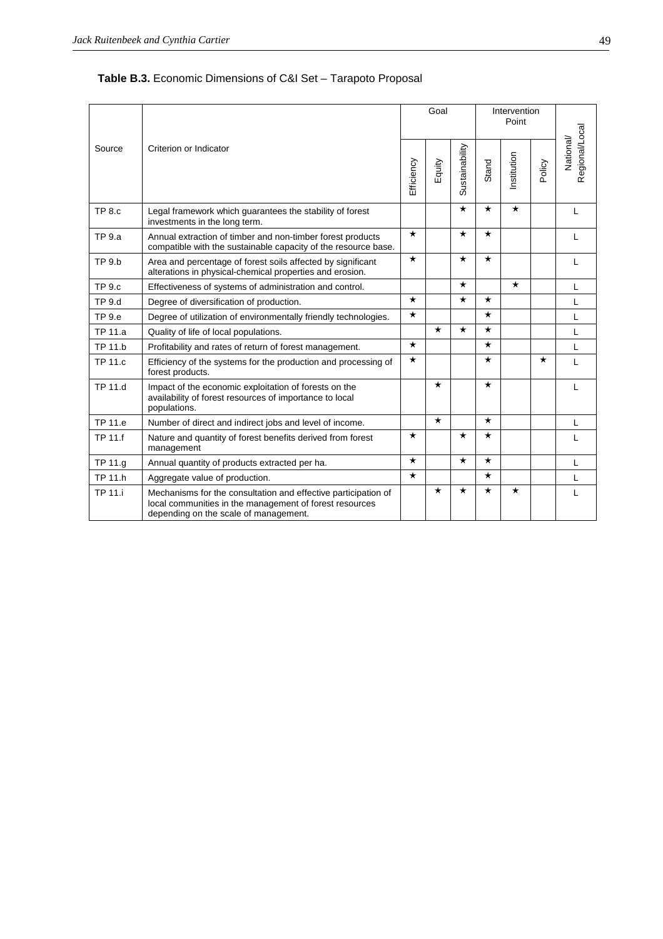| Table B.3. Economic Dimensions of C&I Set - Tarapoto Proposal |  |
|---------------------------------------------------------------|--|
|---------------------------------------------------------------|--|

|                |                                                                                                                                                                    |            | Goal    |                |          | Intervention<br>Point |         |                             |
|----------------|--------------------------------------------------------------------------------------------------------------------------------------------------------------------|------------|---------|----------------|----------|-----------------------|---------|-----------------------------|
| Source         | Criterion or Indicator                                                                                                                                             | Efficiency | Equity  | Sustainability | Stand    | Institution           | Policy  | Regional/Local<br>National/ |
| <b>TP 8.c</b>  | Legal framework which guarantees the stability of forest<br>investments in the long term.                                                                          |            |         | $^\star$       | $^\star$ | $\star$               |         | L                           |
| <b>TP 9.a</b>  | Annual extraction of timber and non-timber forest products<br>compatible with the sustainable capacity of the resource base.                                       | $\star$    |         | $\star$        | $\star$  |                       |         | L                           |
| <b>TP 9.b</b>  | Area and percentage of forest soils affected by significant<br>alterations in physical-chemical properties and erosion.                                            | $\star$    |         | $\star$        | $\star$  |                       |         | L                           |
| <b>TP 9.c</b>  | Effectiveness of systems of administration and control.                                                                                                            |            |         | $^\star$       |          | $\star$               |         | L                           |
| <b>TP 9.d</b>  | Degree of diversification of production.                                                                                                                           | $\star$    |         | $\star$        | $\star$  |                       |         | L                           |
| <b>TP 9.e</b>  | Degree of utilization of environmentally friendly technologies.                                                                                                    | $\star$    |         |                | $\star$  |                       |         | L                           |
| TP 11.a        | Quality of life of local populations.                                                                                                                              |            | $\star$ | $\star$        | $\star$  |                       |         | L                           |
| <b>TP 11.b</b> | Profitability and rates of return of forest management.                                                                                                            | $\star$    |         |                | $\star$  |                       |         | L                           |
| <b>TP 11.c</b> | Efficiency of the systems for the production and processing of<br>forest products.                                                                                 | $\star$    |         |                | $\star$  |                       | $\star$ | L                           |
| TP 11.d        | Impact of the economic exploitation of forests on the<br>availability of forest resources of importance to local<br>populations.                                   |            | $\star$ |                | $\star$  |                       |         | L                           |
| TP 11.e        | Number of direct and indirect jobs and level of income.                                                                                                            |            | $\star$ |                | $\star$  |                       |         | L                           |
| TP 11.f        | Nature and quantity of forest benefits derived from forest<br>management                                                                                           | $\star$    |         | $\star$        | $\star$  |                       |         | L                           |
| TP 11.g        | Annual quantity of products extracted per ha.                                                                                                                      | $\star$    |         | $\star$        | $\star$  |                       |         | L                           |
| <b>TP 11.h</b> | Aggregate value of production.                                                                                                                                     | $\star$    |         |                | $\star$  |                       |         | L                           |
| <b>TP 11.i</b> | Mechanisms for the consultation and effective participation of<br>local communities in the management of forest resources<br>depending on the scale of management. |            | $\star$ | $^\star$       | $^\star$ | $\star$               |         | L                           |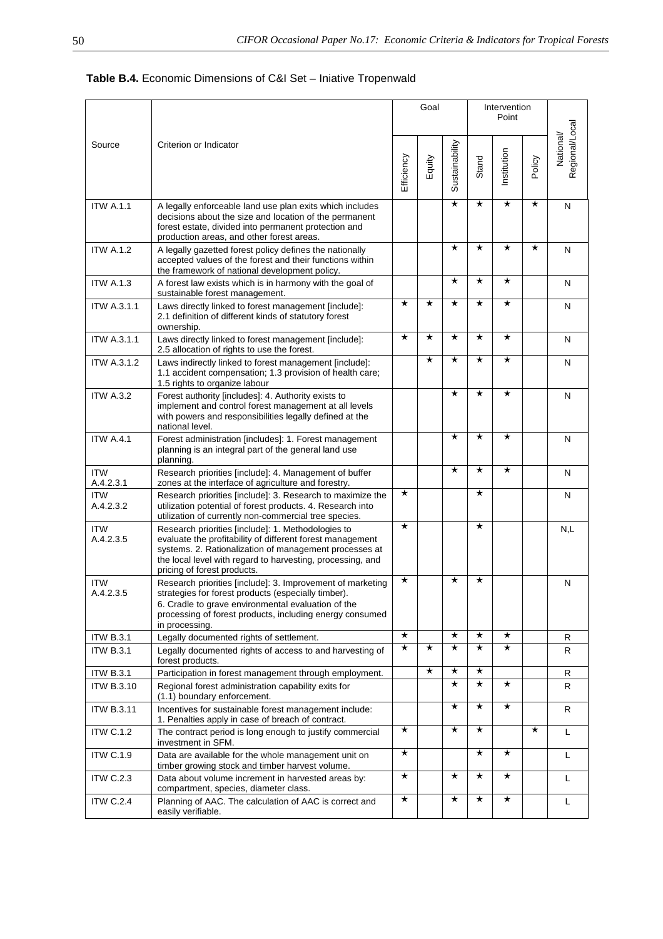|                                       |                                                                                                                                                                                                                                                                        |            | Goal                |                     |                     | Intervention<br>Point |          |                             |
|---------------------------------------|------------------------------------------------------------------------------------------------------------------------------------------------------------------------------------------------------------------------------------------------------------------------|------------|---------------------|---------------------|---------------------|-----------------------|----------|-----------------------------|
| Source                                | Criterion or Indicator                                                                                                                                                                                                                                                 | Efficiency | Equity              | Sustainability      | Stand               | Institution           | Policy   | Regional/Local<br>National/ |
| <b>ITW A.1.1</b>                      | A legally enforceable land use plan exits which includes<br>decisions about the size and location of the permanent<br>forest estate, divided into permanent protection and<br>production areas, and other forest areas.                                                |            |                     | $\star$             | $^\star$            | $\star$               | $\star$  | N                           |
| <b>ITW A.1.2</b>                      | A legally gazetted forest policy defines the nationally<br>accepted values of the forest and their functions within<br>the framework of national development policy.                                                                                                   |            |                     | $\star$             | $\star$             | $^\star$              | $\star$  | N                           |
| <b>ITW A.1.3</b>                      | A forest law exists which is in harmony with the goal of<br>sustainable forest management.                                                                                                                                                                             |            |                     | $\star$             | $^\star$            | $^\star$              |          | N                           |
| <b>ITW A.3.1.1</b>                    | Laws directly linked to forest management [include]:<br>2.1 definition of different kinds of statutory forest<br>ownership.                                                                                                                                            | $\star$    | $\star$             | $\star$             | $^\star$            | $\star$               |          | N                           |
| <b>ITW A.3.1.1</b>                    | Laws directly linked to forest management [include]:<br>2.5 allocation of rights to use the forest.                                                                                                                                                                    | $\star$    | $\star$             | $\star$             | $^\star$            | $^\star$              |          | N                           |
| <b>ITW A.3.1.2</b>                    | Laws indirectly linked to forest management [include]:<br>1.1 accident compensation; 1.3 provision of health care;<br>1.5 rights to organize labour                                                                                                                    |            | $^\star$            | $\star$             | $\star$             | $\star$               |          | N                           |
| <b>ITW A.3.2</b>                      | Forest authority [includes]: 4. Authority exists to<br>implement and control forest management at all levels<br>with powers and responsibilities legally defined at the<br>national level.                                                                             |            |                     | $\star$             | $\star$             | $\star$               |          | N                           |
| <b>ITW A.4.1</b>                      | Forest administration [includes]: 1. Forest management<br>planning is an integral part of the general land use<br>planning.                                                                                                                                            |            |                     | $\star$             | $\star$             | $^\star$              |          | N                           |
| <b>ITW</b><br>A.4.2.3.1               | Research priorities [include]: 4. Management of buffer<br>zones at the interface of agriculture and forestry.                                                                                                                                                          |            |                     | $\star$             | $^\star$            | $^\star$              |          | N                           |
| <b>ITW</b><br>A.4.2.3.2               | Research priorities [include]: 3. Research to maximize the<br>utilization potential of forest products. 4. Research into<br>utilization of currently non-commercial tree species.                                                                                      | $\star$    |                     |                     | $^\star$            |                       |          | N                           |
| <b>ITW</b><br>A.4.2.3.5               | Research priorities [include]: 1. Methodologies to<br>evaluate the profitability of different forest management<br>systems. 2. Rationalization of management processes at<br>the local level with regard to harvesting, processing, and<br>pricing of forest products. | $\star$    |                     |                     | $^\star$            |                       |          | N,L                         |
| <b>ITW</b><br>A.4.2.3.5               | Research priorities [include]: 3. Improvement of marketing<br>strategies for forest products (especially timber).<br>6. Cradle to grave environmental evaluation of the<br>processing of forest products, including energy consumed<br>in processing.                  | $\star$    |                     | $\star$             | $\star$             |                       |          | N                           |
| <b>ITW B.3.1</b>                      | Legally documented rights of settlement.                                                                                                                                                                                                                               | $\star$    |                     | $\star$             | $^\star$            | $^\star$              |          | R                           |
| <b>ITW B.3.1</b>                      | Legally documented rights of access to and harvesting of<br>forest products.                                                                                                                                                                                           | $\star$    | $\star$<br>$^\star$ | $\star$<br>$^\star$ | $\star$<br>$^\star$ | $\star$               |          | R                           |
| <b>ITW B.3.1</b><br><b>ITW B.3.10</b> | Participation in forest management through employment.<br>Regional forest administration capability exits for                                                                                                                                                          |            |                     | $\star$             | $^\star$            | $^\star$              |          | R<br>R                      |
|                                       | (1.1) boundary enforcement.                                                                                                                                                                                                                                            |            |                     |                     |                     |                       |          |                             |
| <b>ITW B.3.11</b>                     | Incentives for sustainable forest management include:<br>1. Penalties apply in case of breach of contract.                                                                                                                                                             |            |                     | $\star$             | $\star$             | $\star$               |          | R                           |
| <b>ITW C.1.2</b>                      | The contract period is long enough to justify commercial<br>investment in SFM.                                                                                                                                                                                         | $\star$    |                     | $\star$             | $^\star$            |                       | $^\star$ | L                           |
| <b>ITW C.1.9</b>                      | Data are available for the whole management unit on<br>timber growing stock and timber harvest volume.                                                                                                                                                                 | $^\star$   |                     |                     | $\star$             | $^\star$              |          | L                           |
| <b>ITW C.2.3</b>                      | Data about volume increment in harvested areas by:<br>compartment, species, diameter class.                                                                                                                                                                            | $\star$    |                     | $\star$             | $^\star$            | $^\star$              |          | L                           |
| <b>ITW C.2.4</b>                      | Planning of AAC. The calculation of AAC is correct and<br>easily verifiable.                                                                                                                                                                                           | $\star$    |                     | $\star$             | $\star$             | $\star$               |          | L                           |

# **Table B.4.** Economic Dimensions of C&I Set – Iniative Tropenwald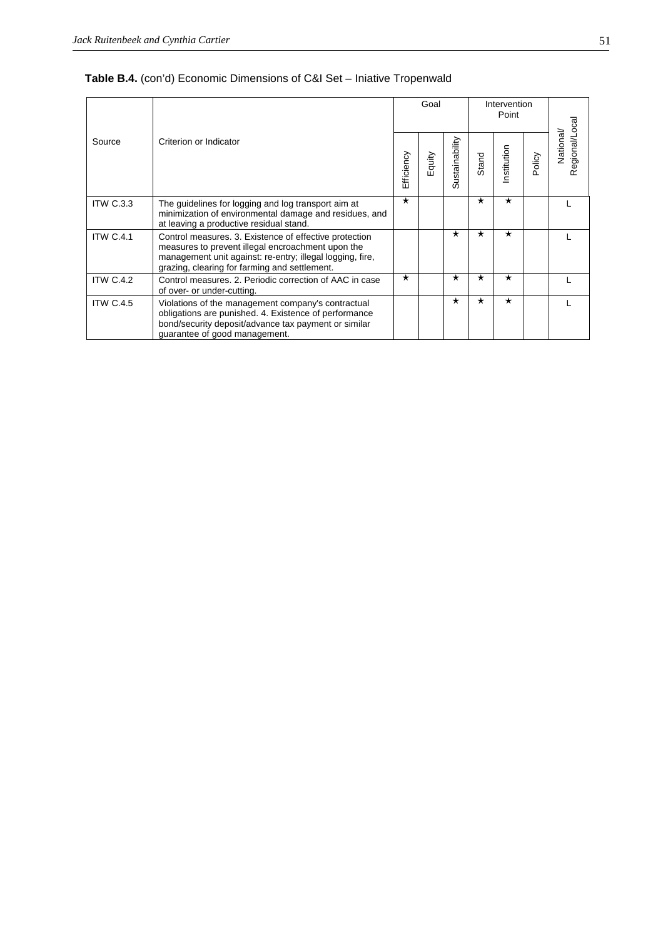|                  |                                                                                                                                                                                                                           |            | Goal   |                    |          | Intervention<br>Point |        |                           |
|------------------|---------------------------------------------------------------------------------------------------------------------------------------------------------------------------------------------------------------------------|------------|--------|--------------------|----------|-----------------------|--------|---------------------------|
| Source           | Criterion or Indicator                                                                                                                                                                                                    | Efficiency | Equity | ustainability<br>ഗ | Stand    | Institution           | Policy | Regional/Loca<br>National |
| <b>ITW C.3.3</b> | The guidelines for logging and log transport aim at<br>minimization of environmental damage and residues, and<br>at leaving a productive residual stand.                                                                  | $\star$    |        |                    | $\star$  | $\star$               |        |                           |
| <b>ITW C.4.1</b> | Control measures. 3. Existence of effective protection<br>measures to prevent illegal encroachment upon the<br>management unit against: re-entry; illegal logging, fire,<br>grazing, clearing for farming and settlement. |            |        | $\star$            | $^\star$ | $\star$               |        |                           |
| <b>ITW C.4.2</b> | Control measures, 2. Periodic correction of AAC in case<br>of over- or under-cutting.                                                                                                                                     | $\star$    |        | $\star$            | $^\star$ | $\star$               |        |                           |
| <b>ITW C.4.5</b> | Violations of the management company's contractual<br>obligations are punished. 4. Existence of performance<br>bond/security deposit/advance tax payment or similar<br>guarantee of good management.                      |            |        | $\star$            | $^\star$ | $\star$               |        |                           |

# **Table B.4.** (con'd) Economic Dimensions of C&I Set – Iniative Tropenwald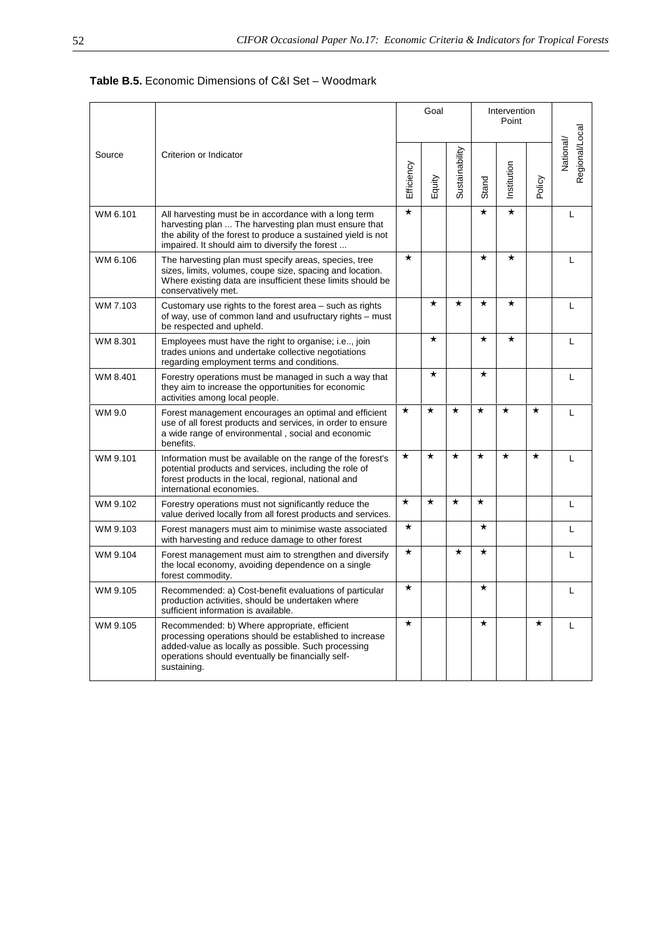| Table B.5. Economic Dimensions of C&I Set - Woodmark |
|------------------------------------------------------|
|------------------------------------------------------|

|          | Criterion or Indicator                                                                                                                                                                                                             | Goal       |          |                |          | Intervention<br>Point |          |                             |
|----------|------------------------------------------------------------------------------------------------------------------------------------------------------------------------------------------------------------------------------------|------------|----------|----------------|----------|-----------------------|----------|-----------------------------|
| Source   |                                                                                                                                                                                                                                    | Efficiency | Equity   | Sustainability | Stand    | Institution           | Policy   | Regional/Local<br>National/ |
| WM 6.101 | All harvesting must be in accordance with a long term<br>harvesting plan  The harvesting plan must ensure that<br>the ability of the forest to produce a sustained yield is not<br>impaired. It should aim to diversify the forest | $\star$    |          |                | $\star$  | $\star$               |          | L                           |
| WM 6.106 | The harvesting plan must specify areas, species, tree<br>sizes, limits, volumes, coupe size, spacing and location.<br>Where existing data are insufficient these limits should be<br>conservatively met.                           | $\star$    |          |                | $\star$  | $\star$               |          | L                           |
| WM 7.103 | Customary use rights to the forest area – such as rights<br>of way, use of common land and usufructary rights – must<br>be respected and upheld.                                                                                   |            | $\star$  | $\star$        | $\star$  | $\star$               |          | L                           |
| WM 8.301 | Employees must have the right to organise; i.e, join<br>trades unions and undertake collective negotiations<br>regarding employment terms and conditions.                                                                          |            | $^\star$ |                | $\star$  | $^\star$              |          | L                           |
| WM 8.401 | Forestry operations must be managed in such a way that<br>they aim to increase the opportunities for economic<br>activities among local people.                                                                                    |            | $^\star$ |                | $\star$  |                       |          | L                           |
| WM 9.0   | Forest management encourages an optimal and efficient<br>use of all forest products and services, in order to ensure<br>a wide range of environmental, social and economic<br>benefits.                                            | $\star$    | $\star$  | $\star$        | $\star$  | $\star$               | $^\star$ | L                           |
| WM 9.101 | Information must be available on the range of the forest's<br>potential products and services, including the role of<br>forest products in the local, regional, national and<br>international economies.                           | $\star$    | $\star$  | $\star$        | $\star$  | $\star$               | $\star$  | L                           |
| WM 9.102 | Forestry operations must not significantly reduce the<br>value derived locally from all forest products and services.                                                                                                              | $\star$    | $\star$  | $\star$        | $\star$  |                       |          | L                           |
| WM 9.103 | Forest managers must aim to minimise waste associated<br>with harvesting and reduce damage to other forest                                                                                                                         | $\star$    |          |                | $\star$  |                       |          | L                           |
| WM 9.104 | Forest management must aim to strengthen and diversify<br>the local economy, avoiding dependence on a single<br>forest commodity.                                                                                                  | $\star$    |          | $\star$        | $\star$  |                       |          | L                           |
| WM 9.105 | Recommended: a) Cost-benefit evaluations of particular<br>production activities, should be undertaken where<br>sufficient information is available.                                                                                | $\star$    |          |                | $\star$  |                       |          | L                           |
| WM 9.105 | Recommended: b) Where appropriate, efficient<br>processing operations should be established to increase<br>added-value as locally as possible. Such processing<br>operations should eventually be financially self-<br>sustaining. | $\star$    |          |                | $^\star$ |                       | $^\star$ | L                           |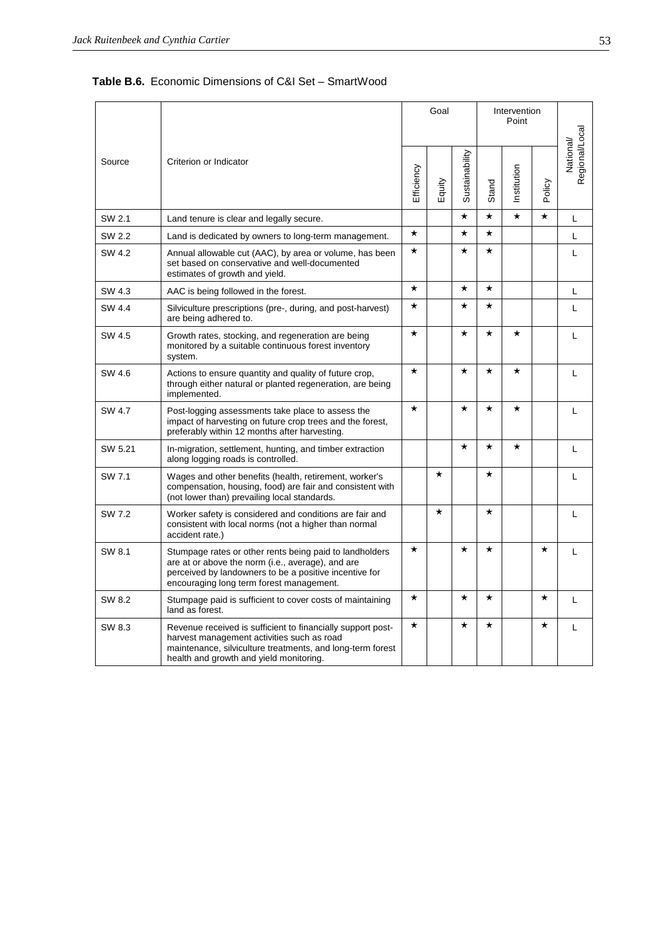| <b>Table B.6.</b> Economic Dimensions of C&I Set – SmartWood |
|--------------------------------------------------------------|
|--------------------------------------------------------------|

|         | Criterion or Indicator                                                                                                                                                                                             | Goal       |          |                | Intervention |             |          |                             |
|---------|--------------------------------------------------------------------------------------------------------------------------------------------------------------------------------------------------------------------|------------|----------|----------------|--------------|-------------|----------|-----------------------------|
| Source  |                                                                                                                                                                                                                    | Efficiency | Equity   | Sustainability | Stand        | Institution | Policy   | Regional/Local<br>National/ |
| SW 2.1  | Land tenure is clear and legally secure.                                                                                                                                                                           |            |          | $^\star$       | $^\star$     | $\star$     | $\star$  | L                           |
| SW 2.2  | Land is dedicated by owners to long-term management.                                                                                                                                                               | $\star$    |          | $\star$        | $\star$      |             |          | Г                           |
| SW 4.2  | Annual allowable cut (AAC), by area or volume, has been<br>set based on conservative and well-documented<br>estimates of growth and yield.                                                                         | $^\star$   |          | $^\star$       | $^\star$     |             |          | L                           |
| SW 4.3  | AAC is being followed in the forest.                                                                                                                                                                               | $^\star$   |          | $\star$        | $^\star$     |             |          | L                           |
| SW 4.4  | Silviculture prescriptions (pre-, during, and post-harvest)<br>are being adhered to.                                                                                                                               | $^\star$   |          | $^\star$       | $^\star$     |             |          | L                           |
| SW 4.5  | Growth rates, stocking, and regeneration are being<br>monitored by a suitable continuous forest inventory<br>system.                                                                                               | $\star$    |          | $\star$        | $\star$      | $\star$     |          | L                           |
| SW 4.6  | Actions to ensure quantity and quality of future crop,<br>through either natural or planted regeneration, are being<br>implemented.                                                                                | $^\star$   |          | $^\star$       | $^\star$     | $^\star$    |          | L                           |
| SW 4.7  | Post-logging assessments take place to assess the<br>impact of harvesting on future crop trees and the forest,<br>preferably within 12 months after harvesting.                                                    | $\star$    |          | $\star$        | $\star$      | $\star$     |          | L                           |
| SW 5.21 | In-migration, settlement, hunting, and timber extraction<br>along logging roads is controlled.                                                                                                                     |            |          | $^\star$       | $^\star$     | $\star$     |          | L                           |
| SW 7.1  | Wages and other benefits (health, retirement, worker's<br>compensation, housing, food) are fair and consistent with<br>(not lower than) prevailing local standards.                                                |            | $^\star$ |                | $^\star$     |             |          | L                           |
| SW 7.2  | Worker safety is considered and conditions are fair and<br>consistent with local norms (not a higher than normal<br>accident rate.)                                                                                |            | $\star$  |                | $\star$      |             |          | L                           |
| SW 8.1  | Stumpage rates or other rents being paid to landholders<br>are at or above the norm (i.e., average), and are<br>perceived by landowners to be a positive incentive for<br>encouraging long term forest management. | $^\star$   |          | $\star$        | $^\star$     |             | $^\star$ | L                           |
| SW 8.2  | Stumpage paid is sufficient to cover costs of maintaining<br>land as forest.                                                                                                                                       | $^\star$   |          | $\star$        | $^\star$     |             | $^\star$ | L                           |
| SW 8.3  | Revenue received is sufficient to financially support post-<br>harvest management activities such as road<br>maintenance, silviculture treatments, and long-term forest<br>health and growth and yield monitoring. | $\star$    |          | $\star$        | $\star$      |             | $\star$  | L                           |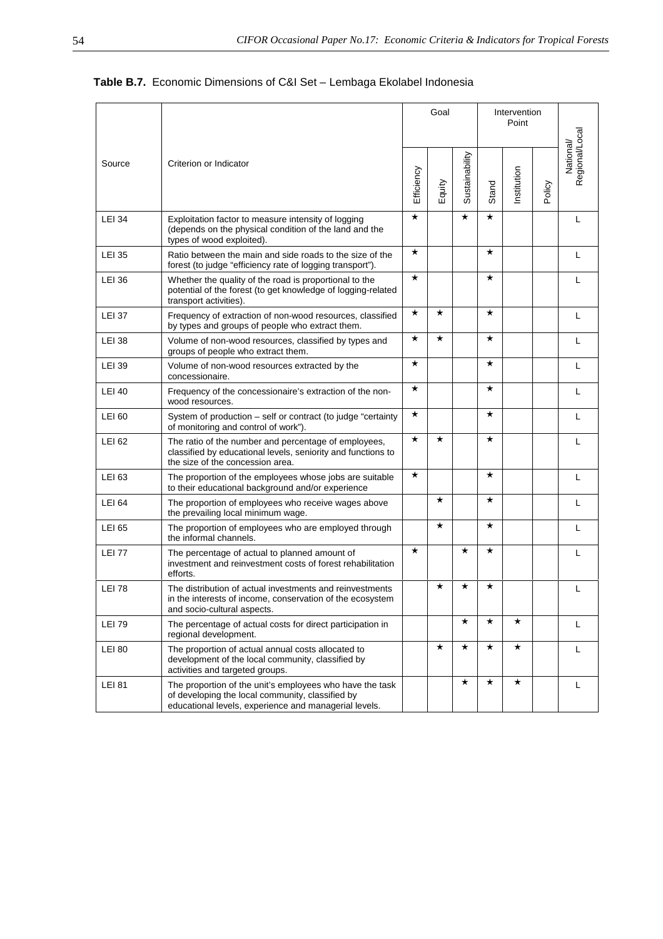# **Table B.7.** Economic Dimensions of C&I Set – Lembaga Ekolabel Indonesia

| Source        | Criterion or Indicator                                                                                                                                                | Goal       |          |                |          | Intervention<br>Point |        |                            |
|---------------|-----------------------------------------------------------------------------------------------------------------------------------------------------------------------|------------|----------|----------------|----------|-----------------------|--------|----------------------------|
|               |                                                                                                                                                                       | Efficiency | Equity   | Sustainability | Stand    | Institution           | Policy | Regional/Local<br>National |
| <b>LEI 34</b> | Exploitation factor to measure intensity of logging<br>(depends on the physical condition of the land and the<br>types of wood exploited).                            | $\star$    |          | $\star$        | $^\star$ |                       |        | $\mathbf{L}$               |
| <b>LEI 35</b> | Ratio between the main and side roads to the size of the<br>forest (to judge "efficiency rate of logging transport").                                                 | $\star$    |          |                | $^\star$ |                       |        | L                          |
| <b>LEI 36</b> | Whether the quality of the road is proportional to the<br>potential of the forest (to get knowledge of logging-related<br>transport activities).                      | $\star$    |          |                | $^\star$ |                       |        | L                          |
| <b>LEI 37</b> | Frequency of extraction of non-wood resources, classified<br>by types and groups of people who extract them.                                                          | $^\star$   | $^\star$ |                | $^\star$ |                       |        | L                          |
| <b>LEI 38</b> | Volume of non-wood resources, classified by types and<br>groups of people who extract them.                                                                           | $^\star$   | $^\star$ |                | $^\star$ |                       |        | $\mathbf{I}$               |
| <b>LEI 39</b> | Volume of non-wood resources extracted by the<br>concessionaire.                                                                                                      | $\star$    |          |                | $^\star$ |                       |        | L                          |
| <b>LEI 40</b> | Frequency of the concessionaire's extraction of the non-<br>wood resources.                                                                                           | $\star$    |          |                | $^\star$ |                       |        | L                          |
| <b>LEI 60</b> | System of production - self or contract (to judge "certainty<br>of monitoring and control of work").                                                                  | $\star$    |          |                | $\star$  |                       |        | L                          |
| <b>LEI 62</b> | The ratio of the number and percentage of employees,<br>classified by educational levels, seniority and functions to<br>the size of the concession area.              | $\star$    | $^\star$ |                | $^\star$ |                       |        | L                          |
| <b>LEI 63</b> | The proportion of the employees whose jobs are suitable<br>to their educational background and/or experience                                                          | $^\star$   |          |                | $^\star$ |                       |        | L                          |
| <b>LEI 64</b> | The proportion of employees who receive wages above<br>the prevailing local minimum wage.                                                                             |            | $\star$  |                | $\star$  |                       |        | L                          |
| <b>LEI 65</b> | The proportion of employees who are employed through<br>the informal channels.                                                                                        |            | $^\star$ |                | $^\star$ |                       |        | L                          |
| <b>LEI 77</b> | The percentage of actual to planned amount of<br>investment and reinvestment costs of forest rehabilitation<br>efforts.                                               | $\star$    |          | $^\star$       | $^\star$ |                       |        | L                          |
| <b>LEI 78</b> | The distribution of actual investments and reinvestments<br>in the interests of income, conservation of the ecosystem<br>and socio-cultural aspects.                  |            | $^\star$ | $^\star$       | $^\star$ |                       |        | L                          |
| <b>LEI 79</b> | The percentage of actual costs for direct participation in<br>regional development.                                                                                   |            |          | $\star$        | $\star$  | $\star$               |        | L                          |
| <b>LEI 80</b> | The proportion of actual annual costs allocated to<br>development of the local community, classified by<br>activities and targeted groups.                            |            | $^\star$ | $\star$        | $^\star$ | $\star$               |        | L                          |
| <b>LEI 81</b> | The proportion of the unit's employees who have the task<br>of developing the local community, classified by<br>educational levels, experience and managerial levels. |            |          | $^\star$       | $^\star$ | $^\star$              |        | L                          |